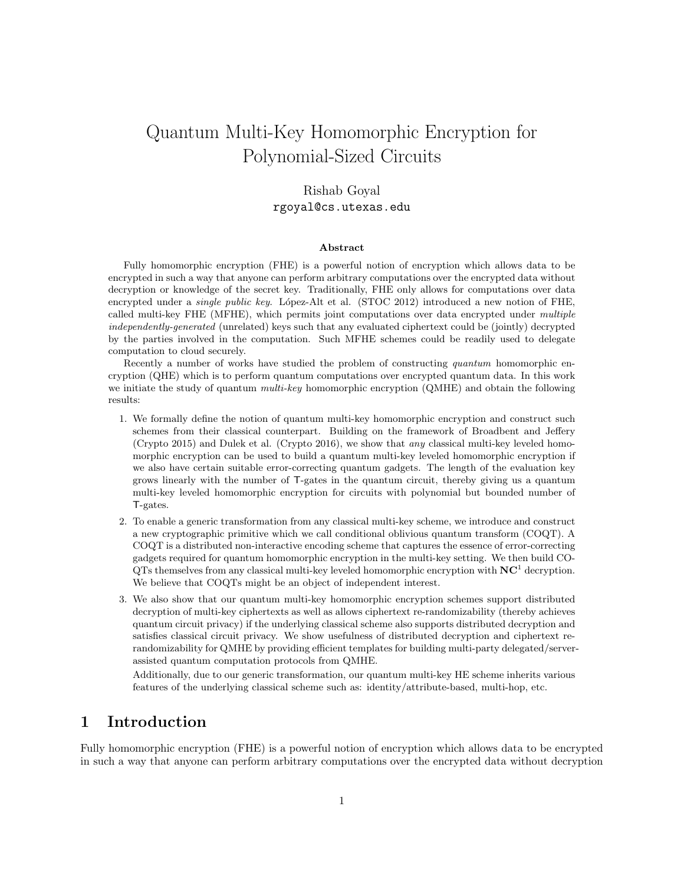# Quantum Multi-Key Homomorphic Encryption for Polynomial-Sized Circuits

## Rishab Goyal rgoyal@cs.utexas.edu

#### Abstract

Fully homomorphic encryption (FHE) is a powerful notion of encryption which allows data to be encrypted in such a way that anyone can perform arbitrary computations over the encrypted data without decryption or knowledge of the secret key. Traditionally, FHE only allows for computations over data encrypted under a *single public key*. López-Alt et al. (STOC 2012) introduced a new notion of FHE, called multi-key FHE (MFHE), which permits joint computations over data encrypted under multiple independently-generated (unrelated) keys such that any evaluated ciphertext could be (jointly) decrypted by the parties involved in the computation. Such MFHE schemes could be readily used to delegate computation to cloud securely.

Recently a number of works have studied the problem of constructing quantum homomorphic encryption (QHE) which is to perform quantum computations over encrypted quantum data. In this work we initiate the study of quantum *multi-key* homomorphic encryption (QMHE) and obtain the following results:

- 1. We formally define the notion of quantum multi-key homomorphic encryption and construct such schemes from their classical counterpart. Building on the framework of Broadbent and Jeffery (Crypto 2015) and Dulek et al. (Crypto 2016), we show that any classical multi-key leveled homomorphic encryption can be used to build a quantum multi-key leveled homomorphic encryption if we also have certain suitable error-correcting quantum gadgets. The length of the evaluation key grows linearly with the number of T-gates in the quantum circuit, thereby giving us a quantum multi-key leveled homomorphic encryption for circuits with polynomial but bounded number of T-gates.
- 2. To enable a generic transformation from any classical multi-key scheme, we introduce and construct a new cryptographic primitive which we call conditional oblivious quantum transform (COQT). A COQT is a distributed non-interactive encoding scheme that captures the essence of error-correcting gadgets required for quantum homomorphic encryption in the multi-key setting. We then build CO- $QTs$  themselves from any classical multi-key leveled homomorphic encryption with  $NC<sup>1</sup>$  decryption. We believe that COQTs might be an object of independent interest.
- 3. We also show that our quantum multi-key homomorphic encryption schemes support distributed decryption of multi-key ciphertexts as well as allows ciphertext re-randomizability (thereby achieves quantum circuit privacy) if the underlying classical scheme also supports distributed decryption and satisfies classical circuit privacy. We show usefulness of distributed decryption and ciphertext rerandomizability for QMHE by providing efficient templates for building multi-party delegated/serverassisted quantum computation protocols from QMHE.

Additionally, due to our generic transformation, our quantum multi-key HE scheme inherits various features of the underlying classical scheme such as: identity/attribute-based, multi-hop, etc.

## 1 Introduction

Fully homomorphic encryption (FHE) is a powerful notion of encryption which allows data to be encrypted in such a way that anyone can perform arbitrary computations over the encrypted data without decryption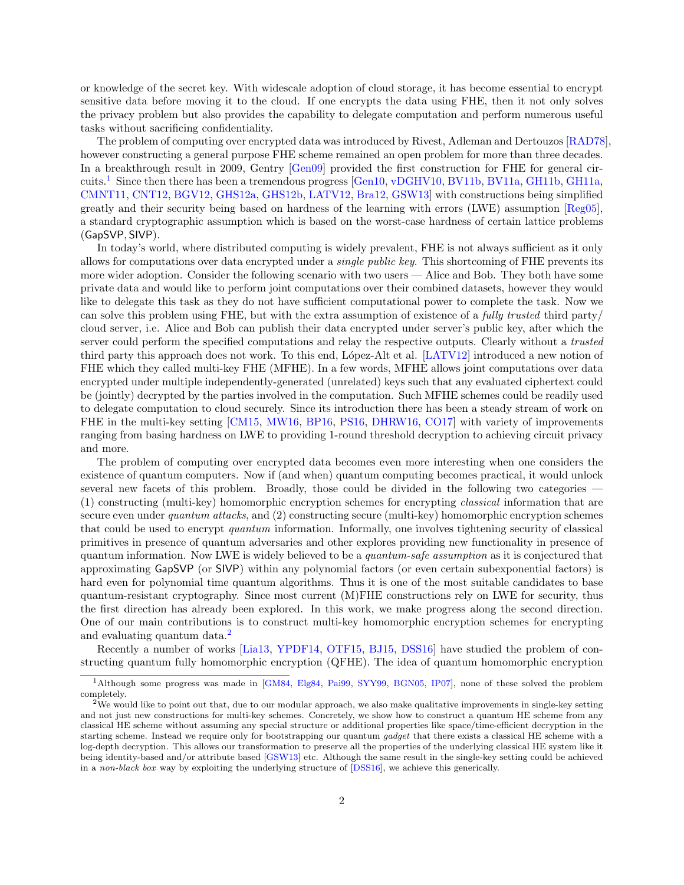or knowledge of the secret key. With widescale adoption of cloud storage, it has become essential to encrypt sensitive data before moving it to the cloud. If one encrypts the data using FHE, then it not only solves the privacy problem but also provides the capability to delegate computation and perform numerous useful tasks without sacrificing confidentiality.

The problem of computing over encrypted data was introduced by Rivest, Adleman and Dertouzos [\[RAD78\]](#page-47-0), however constructing a general purpose FHE scheme remained an open problem for more than three decades. In a breakthrough result in 2009, Gentry [\[Gen09\]](#page-46-0) provided the first construction for FHE for general circuits.[1](#page-1-0) Since then there has been a tremendous progress [\[Gen10,](#page-46-1) [vDGHV10,](#page-47-1) [BV11b,](#page-45-0) [BV11a,](#page-45-1) [GH11b,](#page-46-2) [GH11a,](#page-46-3) [CMNT11,](#page-45-2) [CNT12,](#page-45-3) [BGV12,](#page-44-0) [GHS12a,](#page-46-4) [GHS12b,](#page-46-5) [LATV12,](#page-47-2) [Bra12,](#page-45-4) [GSW13\]](#page-46-6) with constructions being simplified greatly and their security being based on hardness of the learning with errors (LWE) assumption [\[Reg05\]](#page-47-3), a standard cryptographic assumption which is based on the worst-case hardness of certain lattice problems (GapSVP, SIVP).

In today's world, where distributed computing is widely prevalent, FHE is not always sufficient as it only allows for computations over data encrypted under a single public key. This shortcoming of FHE prevents its more wider adoption. Consider the following scenario with two users — Alice and Bob. They both have some private data and would like to perform joint computations over their combined datasets, however they would like to delegate this task as they do not have sufficient computational power to complete the task. Now we can solve this problem using FHE, but with the extra assumption of existence of a fully trusted third party/ cloud server, i.e. Alice and Bob can publish their data encrypted under server's public key, after which the server could perform the specified computations and relay the respective outputs. Clearly without a *trusted* third party this approach does not work. To this end, López-Alt et al. [\[LATV12\]](#page-47-2) introduced a new notion of FHE which they called multi-key FHE (MFHE). In a few words, MFHE allows joint computations over data encrypted under multiple independently-generated (unrelated) keys such that any evaluated ciphertext could be (jointly) decrypted by the parties involved in the computation. Such MFHE schemes could be readily used to delegate computation to cloud securely. Since its introduction there has been a steady stream of work on FHE in the multi-key setting [\[CM15,](#page-45-5) [MW16,](#page-47-4) [BP16,](#page-45-6) [PS16,](#page-47-5) [DHRW16,](#page-46-7) [CO17\]](#page-45-7) with variety of improvements ranging from basing hardness on LWE to providing 1-round threshold decryption to achieving circuit privacy and more.

The problem of computing over encrypted data becomes even more interesting when one considers the existence of quantum computers. Now if (and when) quantum computing becomes practical, it would unlock several new facets of this problem. Broadly, those could be divided in the following two categories – (1) constructing (multi-key) homomorphic encryption schemes for encrypting classical information that are secure even under *quantum attacks*, and (2) constructing secure (multi-key) homomorphic encryption schemes that could be used to encrypt quantum information. Informally, one involves tightening security of classical primitives in presence of quantum adversaries and other explores providing new functionality in presence of quantum information. Now LWE is widely believed to be a quantum-safe assumption as it is conjectured that approximating GapSVP (or SIVP) within any polynomial factors (or even certain subexponential factors) is hard even for polynomial time quantum algorithms. Thus it is one of the most suitable candidates to base quantum-resistant cryptography. Since most current (M)FHE constructions rely on LWE for security, thus the first direction has already been explored. In this work, we make progress along the second direction. One of our main contributions is to construct multi-key homomorphic encryption schemes for encrypting and evaluating quantum data.<sup>[2](#page-1-1)</sup>

Recently a number of works [\[Lia13,](#page-47-6) [YPDF14,](#page-47-7) [OTF15,](#page-47-8) [BJ15,](#page-45-8) [DSS16\]](#page-46-8) have studied the problem of constructing quantum fully homomorphic encryption (QFHE). The idea of quantum homomorphic encryption

<span id="page-1-0"></span><sup>1</sup>Although some progress was made in [\[GM84,](#page-46-9) [Elg84,](#page-46-10) [Pai99,](#page-47-9) [SYY99,](#page-47-10) [BGN05,](#page-44-1) [IP07\]](#page-46-11), none of these solved the problem completely.

<span id="page-1-1"></span> $2$ We would like to point out that, due to our modular approach, we also make qualitative improvements in single-key setting and not just new constructions for multi-key schemes. Concretely, we show how to construct a quantum HE scheme from any classical HE scheme without assuming any special structure or additional properties like space/time-efficient decryption in the starting scheme. Instead we require only for bootstrapping our quantum gadget that there exists a classical HE scheme with a log-depth decryption. This allows our transformation to preserve all the properties of the underlying classical HE system like it being identity-based and/or attribute based [\[GSW13\]](#page-46-6) etc. Although the same result in the single-key setting could be achieved in a non-black box way by exploiting the underlying structure of [\[DSS16\]](#page-46-8), we achieve this generically.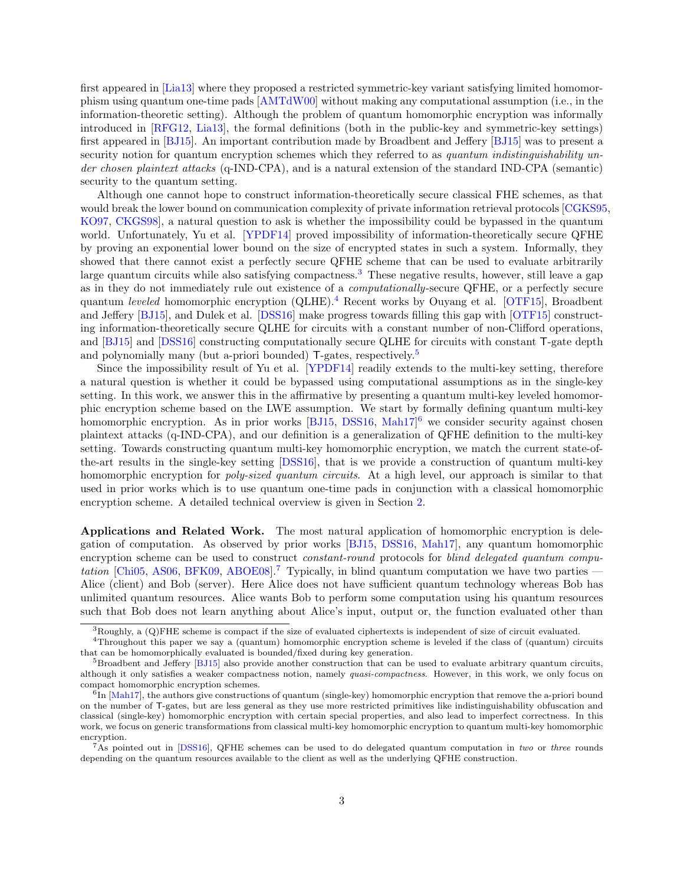first appeared in [\[Lia13\]](#page-47-6) where they proposed a restricted symmetric-key variant satisfying limited homomorphism using quantum one-time pads [\[AMTdW00\]](#page-44-2) without making any computational assumption (i.e., in the information-theoretic setting). Although the problem of quantum homomorphic encryption was informally introduced in [\[RFG12,](#page-47-11) [Lia13\]](#page-47-6), the formal definitions (both in the public-key and symmetric-key settings) first appeared in [\[BJ15\]](#page-45-8). An important contribution made by Broadbent and Jeffery [\[BJ15\]](#page-45-8) was to present a security notion for quantum encryption schemes which they referred to as quantum indistinguishability under chosen plaintext attacks (q-IND-CPA), and is a natural extension of the standard IND-CPA (semantic) security to the quantum setting.

Although one cannot hope to construct information-theoretically secure classical FHE schemes, as that would break the lower bound on communication complexity of private information retrieval protocols [\[CGKS95,](#page-45-9) [KO97,](#page-46-12) [CKGS98\]](#page-45-10), a natural question to ask is whether the impossibility could be bypassed in the quantum world. Unfortunately, Yu et al. [\[YPDF14\]](#page-47-7) proved impossibility of information-theoretically secure QFHE by proving an exponential lower bound on the size of encrypted states in such a system. Informally, they showed that there cannot exist a perfectly secure QFHE scheme that can be used to evaluate arbitrarily large quantum circuits while also satisfying compactness.<sup>[3](#page-2-0)</sup> These negative results, however, still leave a gap as in they do not immediately rule out existence of a computationally-secure QFHE, or a perfectly secure quantum leveled homomorphic encryption (QLHE).[4](#page-2-1) Recent works by Ouyang et al. [\[OTF15\]](#page-47-8), Broadbent and Jeffery [\[BJ15\]](#page-45-8), and Dulek et al. [\[DSS16\]](#page-46-8) make progress towards filling this gap with [\[OTF15\]](#page-47-8) constructing information-theoretically secure QLHE for circuits with a constant number of non-Clifford operations, and [\[BJ15\]](#page-45-8) and [\[DSS16\]](#page-46-8) constructing computationally secure QLHE for circuits with constant T-gate depth and polynomially many (but a-priori bounded) T-gates, respectively.<sup>[5](#page-2-2)</sup>

Since the impossibility result of Yu et al. [\[YPDF14\]](#page-47-7) readily extends to the multi-key setting, therefore a natural question is whether it could be bypassed using computational assumptions as in the single-key setting. In this work, we answer this in the affirmative by presenting a quantum multi-key leveled homomorphic encryption scheme based on the LWE assumption. We start by formally defining quantum multi-key homomorphic encryption. As in prior works [\[BJ15,](#page-45-8) [DSS16,](#page-46-8) [Mah17\]](#page-47-12)<sup>[6](#page-2-3)</sup> we consider security against chosen plaintext attacks (q-IND-CPA), and our definition is a generalization of QFHE definition to the multi-key setting. Towards constructing quantum multi-key homomorphic encryption, we match the current state-ofthe-art results in the single-key setting [\[DSS16\]](#page-46-8), that is we provide a construction of quantum multi-key homomorphic encryption for *poly-sized quantum circuits*. At a high level, our approach is similar to that used in prior works which is to use quantum one-time pads in conjunction with a classical homomorphic encryption scheme. A detailed technical overview is given in Section [2.](#page-4-0)

Applications and Related Work. The most natural application of homomorphic encryption is delegation of computation. As observed by prior works [\[BJ15,](#page-45-8) [DSS16,](#page-46-8) [Mah17\]](#page-47-12), any quantum homomorphic encryption scheme can be used to construct *constant-round* protocols for *blind delegated quantum compu*-tation [\[Chi05,](#page-45-11) [AS06,](#page-44-3) [BFK09,](#page-44-4) [ABOE08\]](#page-44-5).<sup>[7](#page-2-4)</sup> Typically, in blind quantum computation we have two parties  $-$ Alice (client) and Bob (server). Here Alice does not have sufficient quantum technology whereas Bob has unlimited quantum resources. Alice wants Bob to perform some computation using his quantum resources such that Bob does not learn anything about Alice's input, output or, the function evaluated other than

<span id="page-2-1"></span><span id="page-2-0"></span> ${}^{3}$ Roughly, a (Q)FHE scheme is compact if the size of evaluated ciphertexts is independent of size of circuit evaluated.

<sup>4</sup>Throughout this paper we say a (quantum) homomorphic encryption scheme is leveled if the class of (quantum) circuits that can be homomorphically evaluated is bounded/fixed during key generation.

<span id="page-2-2"></span> $5B$ roadbent and Jeffery  $[BJ15]$  also provide another construction that can be used to evaluate arbitrary quantum circuits, although it only satisfies a weaker compactness notion, namely quasi-compactness. However, in this work, we only focus on compact homomorphic encryption schemes.

<span id="page-2-3"></span> ${}^{6}$ In [\[Mah17\]](#page-47-12), the authors give constructions of quantum (single-key) homomorphic encryption that remove the a-priori bound on the number of T-gates, but are less general as they use more restricted primitives like indistinguishability obfuscation and classical (single-key) homomorphic encryption with certain special properties, and also lead to imperfect correctness. In this work, we focus on generic transformations from classical multi-key homomorphic encryption to quantum multi-key homomorphic encryption.

<span id="page-2-4"></span><sup>&</sup>lt;sup>7</sup>As pointed out in [\[DSS16\]](#page-46-8), QFHE schemes can be used to do delegated quantum computation in two or three rounds depending on the quantum resources available to the client as well as the underlying QFHE construction.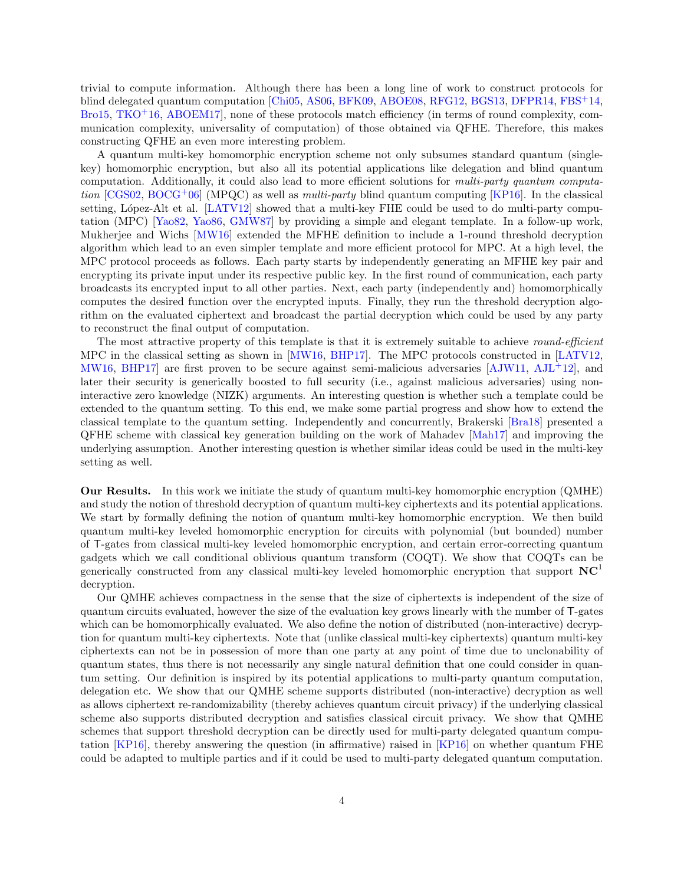trivial to compute information. Although there has been a long line of work to construct protocols for blind delegated quantum computation [\[Chi05,](#page-45-11) [AS06,](#page-44-3) [BFK09,](#page-44-4) [ABOE08,](#page-44-5) [RFG12,](#page-47-11) [BGS13,](#page-44-6) [DFPR14,](#page-45-12) [FBS](#page-46-13)<sup>+</sup>14, [Bro15,](#page-45-13) [TKO](#page-47-13)<sup>+</sup>16, ABOEM17, none of these protocols match efficiency (in terms of round complexity, communication complexity, universality of computation) of those obtained via QFHE. Therefore, this makes constructing QFHE an even more interesting problem.

A quantum multi-key homomorphic encryption scheme not only subsumes standard quantum (singlekey) homomorphic encryption, but also all its potential applications like delegation and blind quantum computation. Additionally, it could also lead to more efficient solutions for multi-party quantum computa-tion [\[CGS02,](#page-45-14) [BOCG](#page-45-15)<sup>+</sup>06] (MPQC) as well as *multi-party* blind quantum computing [\[KP16\]](#page-46-14). In the classical setting, López-Alt et al. [\[LATV12\]](#page-47-2) showed that a multi-key FHE could be used to do multi-party computation (MPC) [\[Yao82,](#page-47-14) [Yao86,](#page-47-15) [GMW87\]](#page-46-15) by providing a simple and elegant template. In a follow-up work, Mukherjee and Wichs [\[MW16\]](#page-47-4) extended the MFHE definition to include a 1-round threshold decryption algorithm which lead to an even simpler template and more efficient protocol for MPC. At a high level, the MPC protocol proceeds as follows. Each party starts by independently generating an MFHE key pair and encrypting its private input under its respective public key. In the first round of communication, each party broadcasts its encrypted input to all other parties. Next, each party (independently and) homomorphically computes the desired function over the encrypted inputs. Finally, they run the threshold decryption algorithm on the evaluated ciphertext and broadcast the partial decryption which could be used by any party to reconstruct the final output of computation.

The most attractive property of this template is that it is extremely suitable to achieve *round-efficient* MPC in the classical setting as shown in [\[MW16,](#page-47-4) [BHP17\]](#page-44-8). The MPC protocols constructed in [\[LATV12,](#page-47-2) [MW16,](#page-47-4) [BHP17\]](#page-44-8) are first proven to be secure against semi-malicious adversaries  $[AJW11, AJL+12]$  $[AJW11, AJL+12]$  $[AJW11, AJL+12]$  $[AJW11, AJL+12]$ , and later their security is generically boosted to full security (i.e., against malicious adversaries) using noninteractive zero knowledge (NIZK) arguments. An interesting question is whether such a template could be extended to the quantum setting. To this end, we make some partial progress and show how to extend the classical template to the quantum setting. Independently and concurrently, Brakerski [\[Bra18\]](#page-45-16) presented a QFHE scheme with classical key generation building on the work of Mahadev [\[Mah17\]](#page-47-12) and improving the underlying assumption. Another interesting question is whether similar ideas could be used in the multi-key setting as well.

Our Results. In this work we initiate the study of quantum multi-key homomorphic encryption (QMHE) and study the notion of threshold decryption of quantum multi-key ciphertexts and its potential applications. We start by formally defining the notion of quantum multi-key homomorphic encryption. We then build quantum multi-key leveled homomorphic encryption for circuits with polynomial (but bounded) number of T-gates from classical multi-key leveled homomorphic encryption, and certain error-correcting quantum gadgets which we call conditional oblivious quantum transform (COQT). We show that COQTs can be generically constructed from any classical multi-key leveled homomorphic encryption that support  $NC<sup>1</sup>$ decryption.

Our QMHE achieves compactness in the sense that the size of ciphertexts is independent of the size of quantum circuits evaluated, however the size of the evaluation key grows linearly with the number of T-gates which can be homomorphically evaluated. We also define the notion of distributed (non-interactive) decryption for quantum multi-key ciphertexts. Note that (unlike classical multi-key ciphertexts) quantum multi-key ciphertexts can not be in possession of more than one party at any point of time due to unclonability of quantum states, thus there is not necessarily any single natural definition that one could consider in quantum setting. Our definition is inspired by its potential applications to multi-party quantum computation, delegation etc. We show that our QMHE scheme supports distributed (non-interactive) decryption as well as allows ciphertext re-randomizability (thereby achieves quantum circuit privacy) if the underlying classical scheme also supports distributed decryption and satisfies classical circuit privacy. We show that QMHE schemes that support threshold decryption can be directly used for multi-party delegated quantum computation [\[KP16\]](#page-46-14), thereby answering the question (in affirmative) raised in [\[KP16\]](#page-46-14) on whether quantum FHE could be adapted to multiple parties and if it could be used to multi-party delegated quantum computation.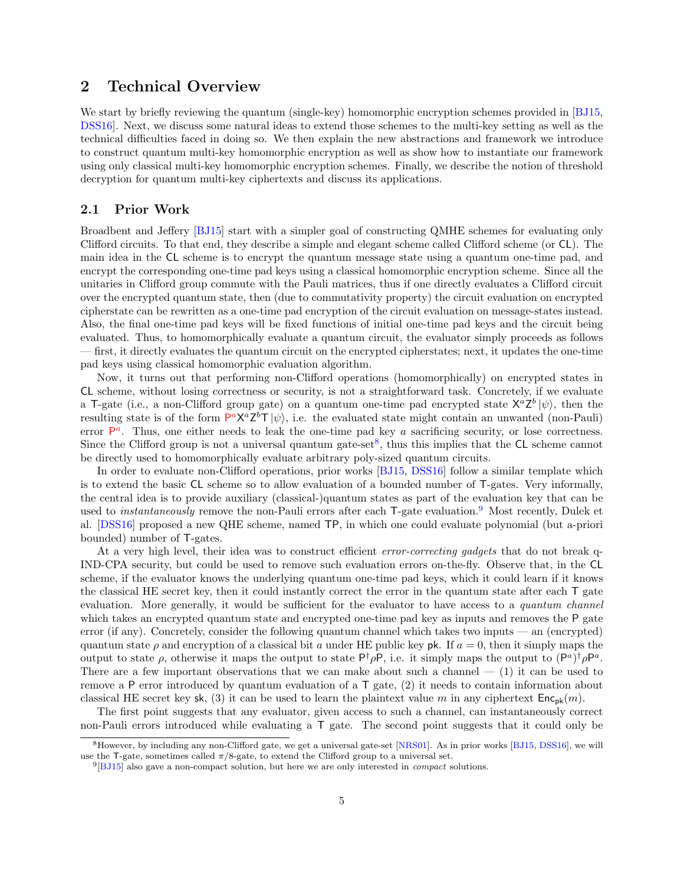## <span id="page-4-0"></span>2 Technical Overview

We start by briefly reviewing the quantum (single-key) homomorphic encryption schemes provided in [\[BJ15,](#page-45-8) [DSS16\]](#page-46-8). Next, we discuss some natural ideas to extend those schemes to the multi-key setting as well as the technical difficulties faced in doing so. We then explain the new abstractions and framework we introduce to construct quantum multi-key homomorphic encryption as well as show how to instantiate our framework using only classical multi-key homomorphic encryption schemes. Finally, we describe the notion of threshold decryption for quantum multi-key ciphertexts and discuss its applications.

### 2.1 Prior Work

Broadbent and Jeffery [\[BJ15\]](#page-45-8) start with a simpler goal of constructing QMHE schemes for evaluating only Clifford circuits. To that end, they describe a simple and elegant scheme called Clifford scheme (or CL). The main idea in the CL scheme is to encrypt the quantum message state using a quantum one-time pad, and encrypt the corresponding one-time pad keys using a classical homomorphic encryption scheme. Since all the unitaries in Clifford group commute with the Pauli matrices, thus if one directly evaluates a Clifford circuit over the encrypted quantum state, then (due to commutativity property) the circuit evaluation on encrypted cipherstate can be rewritten as a one-time pad encryption of the circuit evaluation on message-states instead. Also, the final one-time pad keys will be fixed functions of initial one-time pad keys and the circuit being evaluated. Thus, to homomorphically evaluate a quantum circuit, the evaluator simply proceeds as follows — first, it directly evaluates the quantum circuit on the encrypted cipherstates; next, it updates the one-time pad keys using classical homomorphic evaluation algorithm.

Now, it turns out that performing non-Clifford operations (homomorphically) on encrypted states in CL scheme, without losing correctness or security, is not a straightforward task. Concretely, if we evaluate a T-gate (i.e., a non-Clifford group gate) on a quantum one-time pad encrypted state  $X^a Z^b |\psi\rangle$ , then the resulting state is of the form  $P^a X^a Z^b T |\psi\rangle$ , i.e. the evaluated state might contain an unwanted (non-Pauli) error  $P^a$ . Thus, one either needs to leak the one-time pad key a sacrificing security, or lose correctness. Since the Clifford group is not a universal quantum gate-set<sup>[8](#page-4-1)</sup>, thus this implies that the  $CL$  scheme cannot be directly used to homomorphically evaluate arbitrary poly-sized quantum circuits.

In order to evaluate non-Clifford operations, prior works [\[BJ15,](#page-45-8) [DSS16\]](#page-46-8) follow a similar template which is to extend the basic CL scheme so to allow evaluation of a bounded number of T-gates. Very informally, the central idea is to provide auxiliary (classical-)quantum states as part of the evaluation key that can be used to *instantaneously* remove the non-Pauli errors after each T-gate evaluation.<sup>[9](#page-4-2)</sup> Most recently, Dulek et al. [\[DSS16\]](#page-46-8) proposed a new QHE scheme, named TP, in which one could evaluate polynomial (but a-priori bounded) number of T-gates.

At a very high level, their idea was to construct efficient *error-correcting gadgets* that do not break q-IND-CPA security, but could be used to remove such evaluation errors on-the-fly. Observe that, in the CL scheme, if the evaluator knows the underlying quantum one-time pad keys, which it could learn if it knows the classical HE secret key, then it could instantly correct the error in the quantum state after each T gate evaluation. More generally, it would be sufficient for the evaluator to have access to a *quantum channel* which takes an encrypted quantum state and encrypted one-time pad key as inputs and removes the P gate error (if any). Concretely, consider the following quantum channel which takes two inputs — an (encrypted) quantum state  $\rho$  and encryption of a classical bit a under HE public key pk. If  $a = 0$ , then it simply maps the output to state  $\rho$ , otherwise it maps the output to state  $P^{\dagger} \rho P$ , i.e. it simply maps the output to  $(P^a)^{\dagger} \rho P^a$ . There are a few important observations that we can make about such a channel  $-$  (1) it can be used to remove a P error introduced by quantum evaluation of a  $T$  gate, (2) it needs to contain information about classical HE secret key sk, (3) it can be used to learn the plaintext value m in any ciphertext  $Enc_{pk}(m)$ .

The first point suggests that any evaluator, given access to such a channel, can instantaneously correct non-Pauli errors introduced while evaluating a T gate. The second point suggests that it could only be

<span id="page-4-1"></span><sup>8</sup>However, by including any non-Clifford gate, we get a universal gate-set [\[NRS01\]](#page-47-16). As in prior works [\[BJ15,](#page-45-8) [DSS16\]](#page-46-8), we will use the T-gate, sometimes called  $\pi/8$ -gate, to extend the Clifford group to a universal set.

<span id="page-4-2"></span> $^{9}$ [\[BJ15\]](#page-45-8) also gave a non-compact solution, but here we are only interested in *compact* solutions.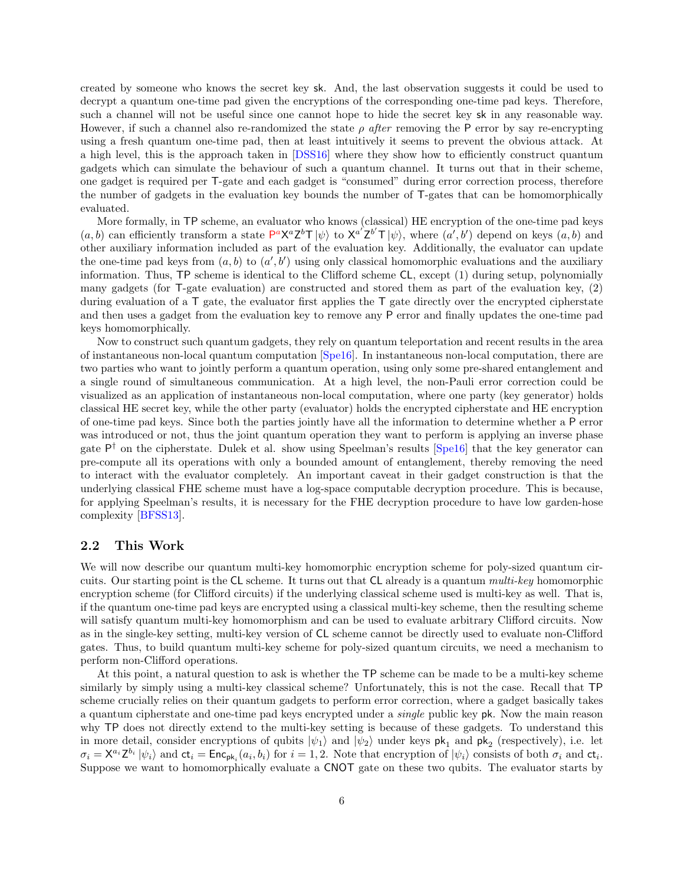created by someone who knows the secret key sk. And, the last observation suggests it could be used to decrypt a quantum one-time pad given the encryptions of the corresponding one-time pad keys. Therefore, such a channel will not be useful since one cannot hope to hide the secret key sk in any reasonable way. However, if such a channel also re-randomized the state  $\rho$  after removing the P error by say re-encrypting using a fresh quantum one-time pad, then at least intuitively it seems to prevent the obvious attack. At a high level, this is the approach taken in [\[DSS16\]](#page-46-8) where they show how to efficiently construct quantum gadgets which can simulate the behaviour of such a quantum channel. It turns out that in their scheme, one gadget is required per T-gate and each gadget is "consumed" during error correction process, therefore the number of gadgets in the evaluation key bounds the number of T-gates that can be homomorphically evaluated.

More formally, in TP scheme, an evaluator who knows (classical) HE encryption of the one-time pad keys  $(a, b)$  can efficiently transform a state  $P^a X^a Z^b T |\psi\rangle$  to  $X^{a'} Z^{b'} T |\psi\rangle$ , where  $(a', b')$  depend on keys  $(a, b)$  and other auxiliary information included as part of the evaluation key. Additionally, the evaluator can update the one-time pad keys from  $(a, b)$  to  $(a', b')$  using only classical homomorphic evaluations and the auxiliary information. Thus, TP scheme is identical to the Clifford scheme CL, except (1) during setup, polynomially many gadgets (for T-gate evaluation) are constructed and stored them as part of the evaluation key, (2) during evaluation of a  $\mathsf T$  gate, the evaluator first applies the  $\mathsf T$  gate directly over the encrypted cipherstate and then uses a gadget from the evaluation key to remove any P error and finally updates the one-time pad keys homomorphically.

Now to construct such quantum gadgets, they rely on quantum teleportation and recent results in the area of instantaneous non-local quantum computation [\[Spe16\]](#page-47-17). In instantaneous non-local computation, there are two parties who want to jointly perform a quantum operation, using only some pre-shared entanglement and a single round of simultaneous communication. At a high level, the non-Pauli error correction could be visualized as an application of instantaneous non-local computation, where one party (key generator) holds classical HE secret key, while the other party (evaluator) holds the encrypted cipherstate and HE encryption of one-time pad keys. Since both the parties jointly have all the information to determine whether a P error was introduced or not, thus the joint quantum operation they want to perform is applying an inverse phase gate  $P^{\dagger}$  on the cipherstate. Dulek et al. show using Speelman's results [\[Spe16\]](#page-47-17) that the key generator can pre-compute all its operations with only a bounded amount of entanglement, thereby removing the need to interact with the evaluator completely. An important caveat in their gadget construction is that the underlying classical FHE scheme must have a log-space computable decryption procedure. This is because, for applying Speelman's results, it is necessary for the FHE decryption procedure to have low garden-hose complexity [\[BFSS13\]](#page-44-11).

### 2.2 This Work

We will now describe our quantum multi-key homomorphic encryption scheme for poly-sized quantum circuits. Our starting point is the CL scheme. It turns out that CL already is a quantum multi-key homomorphic encryption scheme (for Clifford circuits) if the underlying classical scheme used is multi-key as well. That is, if the quantum one-time pad keys are encrypted using a classical multi-key scheme, then the resulting scheme will satisfy quantum multi-key homomorphism and can be used to evaluate arbitrary Clifford circuits. Now as in the single-key setting, multi-key version of CL scheme cannot be directly used to evaluate non-Clifford gates. Thus, to build quantum multi-key scheme for poly-sized quantum circuits, we need a mechanism to perform non-Clifford operations.

At this point, a natural question to ask is whether the TP scheme can be made to be a multi-key scheme similarly by simply using a multi-key classical scheme? Unfortunately, this is not the case. Recall that TP scheme crucially relies on their quantum gadgets to perform error correction, where a gadget basically takes a quantum cipherstate and one-time pad keys encrypted under a single public key pk. Now the main reason why TP does not directly extend to the multi-key setting is because of these gadgets. To understand this in more detail, consider encryptions of qubits  $|\psi_1\rangle$  and  $|\psi_2\rangle$  under keys  $pk_1$  and  $pk_2$  (respectively), i.e. let  $\sigma_i = \mathsf{X}^{a_i} \mathsf{Z}^{b_i} |\psi_i\rangle$  and  $\mathsf{ct}_i = \mathsf{Enc}_{\mathsf{pk}_i}(a_i, b_i)$  for  $i = 1, 2$ . Note that encryption of  $|\psi_i\rangle$  consists of both  $\sigma_i$  and  $\mathsf{ct}_i$ . Suppose we want to homomorphically evaluate a CNOT gate on these two qubits. The evaluator starts by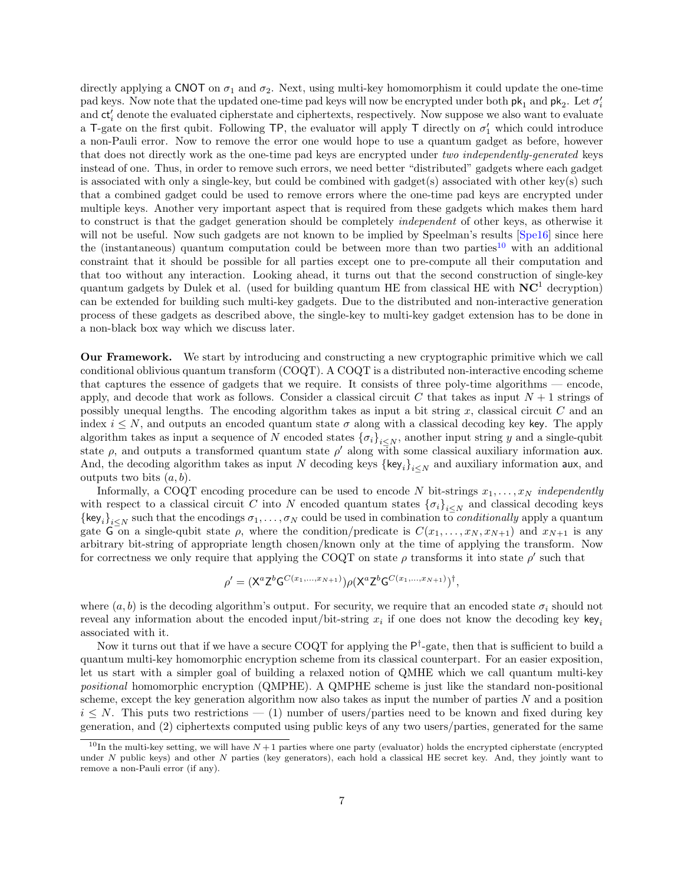directly applying a CNOT on  $\sigma_1$  and  $\sigma_2$ . Next, using multi-key homomorphism it could update the one-time pad keys. Now note that the updated one-time pad keys will now be encrypted under both  $pk_1$  and  $pk_2$ . Let  $\sigma'_i$ and  $ct'_{i}$  denote the evaluated cipherstate and ciphertexts, respectively. Now suppose we also want to evaluate a T-gate on the first qubit. Following TP, the evaluator will apply T directly on  $\sigma'_1$  which could introduce a non-Pauli error. Now to remove the error one would hope to use a quantum gadget as before, however that does not directly work as the one-time pad keys are encrypted under two independently-generated keys instead of one. Thus, in order to remove such errors, we need better "distributed" gadgets where each gadget is associated with only a single-key, but could be combined with gadget(s) associated with other key(s) such that a combined gadget could be used to remove errors where the one-time pad keys are encrypted under multiple keys. Another very important aspect that is required from these gadgets which makes them hard to construct is that the gadget generation should be completely independent of other keys, as otherwise it will not be useful. Now such gadgets are not known to be implied by Speelman's results [\[Spe16\]](#page-47-17) since here the (instantaneous) quantum computation could be between more than two parties<sup>[10](#page-6-0)</sup> with an additional constraint that it should be possible for all parties except one to pre-compute all their computation and that too without any interaction. Looking ahead, it turns out that the second construction of single-key quantum gadgets by Dulek et al. (used for building quantum HE from classical HE with  $NC<sup>1</sup>$  decryption) can be extended for building such multi-key gadgets. Due to the distributed and non-interactive generation process of these gadgets as described above, the single-key to multi-key gadget extension has to be done in a non-black box way which we discuss later.

Our Framework. We start by introducing and constructing a new cryptographic primitive which we call conditional oblivious quantum transform (COQT). A COQT is a distributed non-interactive encoding scheme that captures the essence of gadgets that we require. It consists of three poly-time algorithms — encode, apply, and decode that work as follows. Consider a classical circuit C that takes as input  $N+1$  strings of possibly unequal lengths. The encoding algorithm takes as input a bit string  $x$ , classical circuit  $C$  and an index  $i \leq N$ , and outputs an encoded quantum state  $\sigma$  along with a classical decoding key key. The apply algorithm takes as input a sequence of N encoded states  $\{\sigma_i\}_{i\leq N}$ , another input string y and a single-qubit state  $\rho$ , and outputs a transformed quantum state  $\rho'$  along with some classical auxiliary information aux. And, the decoding algorithm takes as input N decoding keys  $\{\text{key}_i\}_{i\leq N}$  and auxiliary information aux, and outputs two bits  $(a, b)$ .

Informally, a COQT encoding procedure can be used to encode N bit-strings  $x_1, \ldots, x_N$  independently with respect to a classical circuit C into N encoded quantum states  ${\{\sigma_i\}}_{i\leq N}$  and classical decoding keys  ${\{\mathsf{key}_i\}}_{i\leq N}$  such that the encodings  $\sigma_1,\ldots,\sigma_N$  could be used in combination to *conditionally* apply a quantum gate G on a single-qubit state  $\rho$ , where the condition/predicate is  $C(x_1, \ldots, x_N, x_{N+1})$  and  $x_{N+1}$  is any arbitrary bit-string of appropriate length chosen/known only at the time of applying the transform. Now for correctness we only require that applying the COQT on state  $\rho$  transforms it into state  $\rho'$  such that

$$
\rho' = (X^a Z^b G^{C(x_1,...,x_{N+1})}) \rho (X^a Z^b G^{C(x_1,...,x_{N+1})})^{\dagger},
$$

where  $(a, b)$  is the decoding algorithm's output. For security, we require that an encoded state  $\sigma_i$  should not reveal any information about the encoded input/bit-string  $x_i$  if one does not know the decoding key key<sub>i</sub> associated with it.

Now it turns out that if we have a secure COQT for applying the  $P^{\dagger}$ -gate, then that is sufficient to build a quantum multi-key homomorphic encryption scheme from its classical counterpart. For an easier exposition, let us start with a simpler goal of building a relaxed notion of QMHE which we call quantum multi-key positional homomorphic encryption (QMPHE). A QMPHE scheme is just like the standard non-positional scheme, except the key generation algorithm now also takes as input the number of parties  $N$  and a position  $i \leq N$ . This puts two restrictions — (1) number of users/parties need to be known and fixed during key generation, and (2) ciphertexts computed using public keys of any two users/parties, generated for the same

<span id="page-6-0"></span><sup>&</sup>lt;sup>10</sup>In the multi-key setting, we will have  $N+1$  parties where one party (evaluator) holds the encrypted cipherstate (encrypted) under  $N$  public keys) and other  $N$  parties (key generators), each hold a classical HE secret key. And, they jointly want to remove a non-Pauli error (if any).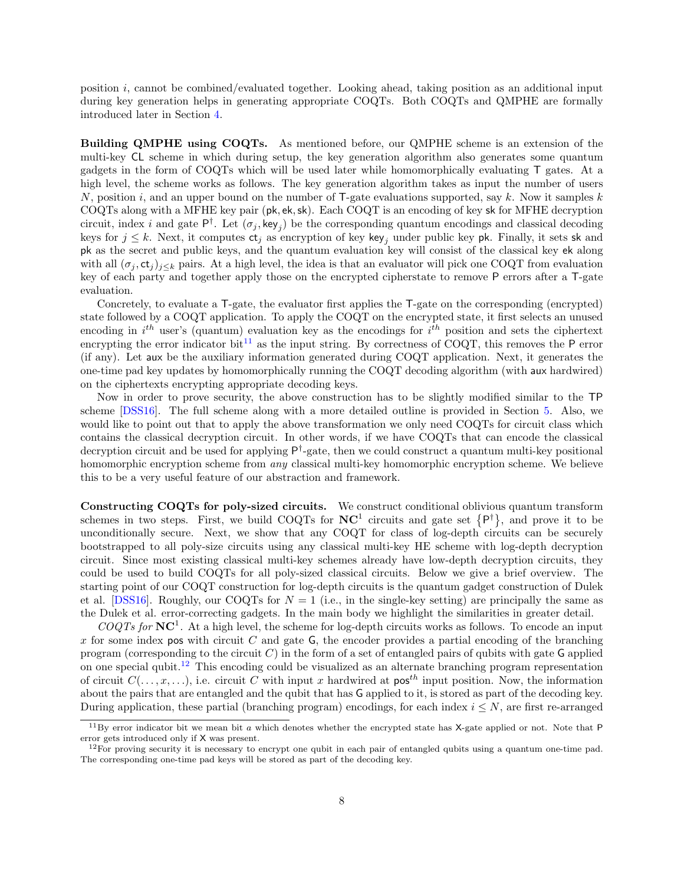position i, cannot be combined/evaluated together. Looking ahead, taking position as an additional input during key generation helps in generating appropriate COQTs. Both COQTs and QMPHE are formally introduced later in Section [4.](#page-17-0)

Building QMPHE using COQTs. As mentioned before, our QMPHE scheme is an extension of the multi-key CL scheme in which during setup, the key generation algorithm also generates some quantum gadgets in the form of COQTs which will be used later while homomorphically evaluating T gates. At a high level, the scheme works as follows. The key generation algorithm takes as input the number of users N, position i, and an upper bound on the number of T-gate evaluations supported, say k. Now it samples k COQTs along with a MFHE key pair (pk, ek,sk). Each COQT is an encoding of key sk for MFHE decryption circuit, index i and gate  $P^{\dagger}$ . Let  $(\sigma_j, \text{key}_j)$  be the corresponding quantum encodings and classical decoding keys for  $j \leq k$ . Next, it computes  $ct_j$  as encryption of key key<sub>j</sub> under public key pk. Finally, it sets sk and pk as the secret and public keys, and the quantum evaluation key will consist of the classical key ek along with all  $(\sigma_j, ct_j)_{j\leq k}$  pairs. At a high level, the idea is that an evaluator will pick one COQT from evaluation key of each party and together apply those on the encrypted cipherstate to remove P errors after a T-gate evaluation.

Concretely, to evaluate a T-gate, the evaluator first applies the T-gate on the corresponding (encrypted) state followed by a COQT application. To apply the COQT on the encrypted state, it first selects an unused encoding in  $i^{th}$  user's (quantum) evaluation key as the encodings for  $i^{th}$  position and sets the ciphertext encrypting the error indicator bit<sup>[11](#page-7-0)</sup> as the input string. By correctness of COQT, this removes the  $P$  error (if any). Let aux be the auxiliary information generated during COQT application. Next, it generates the one-time pad key updates by homomorphically running the COQT decoding algorithm (with aux hardwired) on the ciphertexts encrypting appropriate decoding keys.

Now in order to prove security, the above construction has to be slightly modified similar to the TP scheme [\[DSS16\]](#page-46-8). The full scheme along with a more detailed outline is provided in Section [5.](#page-19-0) Also, we would like to point out that to apply the above transformation we only need COQTs for circuit class which contains the classical decryption circuit. In other words, if we have COQTs that can encode the classical decryption circuit and be used for applying  $P^{\dagger}$ -gate, then we could construct a quantum multi-key positional homomorphic encryption scheme from *any* classical multi-key homomorphic encryption scheme. We believe this to be a very useful feature of our abstraction and framework.

Constructing COQTs for poly-sized circuits. We construct conditional oblivious quantum transform schemes in two steps. First, we build COQTs for  $NC^1$  circuits and gate set  $\{P^{\dagger}\}\$ , and prove it to be unconditionally secure. Next, we show that any COQT for class of log-depth circuits can be securely bootstrapped to all poly-size circuits using any classical multi-key HE scheme with log-depth decryption circuit. Since most existing classical multi-key schemes already have low-depth decryption circuits, they could be used to build COQTs for all poly-sized classical circuits. Below we give a brief overview. The starting point of our COQT construction for log-depth circuits is the quantum gadget construction of Dulek et al. [\[DSS16\]](#page-46-8). Roughly, our COQTs for  $N = 1$  (i.e., in the single-key setting) are principally the same as the Dulek et al. error-correcting gadgets. In the main body we highlight the similarities in greater detail.

 $COQTs$  for  $\mathbf{NC}^1$ . At a high level, the scheme for log-depth circuits works as follows. To encode an input x for some index pos with circuit  $C$  and gate  $\mathsf{G}$ , the encoder provides a partial encoding of the branching program (corresponding to the circuit  $C$ ) in the form of a set of entangled pairs of qubits with gate G applied on one special qubit.<sup>[12](#page-7-1)</sup> This encoding could be visualized as an alternate branching program representation of circuit  $C(\ldots, x, \ldots)$ , i.e. circuit C with input x hardwired at pos<sup>th</sup> input position. Now, the information about the pairs that are entangled and the qubit that has G applied to it, is stored as part of the decoding key. During application, these partial (branching program) encodings, for each index  $i \leq N$ , are first re-arranged

<span id="page-7-0"></span> $11\,\text{By error indicator bit we mean bit } a$  which denotes whether the encrypted state has X-gate applied or not. Note that P error gets introduced only if X was present.

<span id="page-7-1"></span> $12$ For proving security it is necessary to encrypt one qubit in each pair of entangled qubits using a quantum one-time pad. The corresponding one-time pad keys will be stored as part of the decoding key.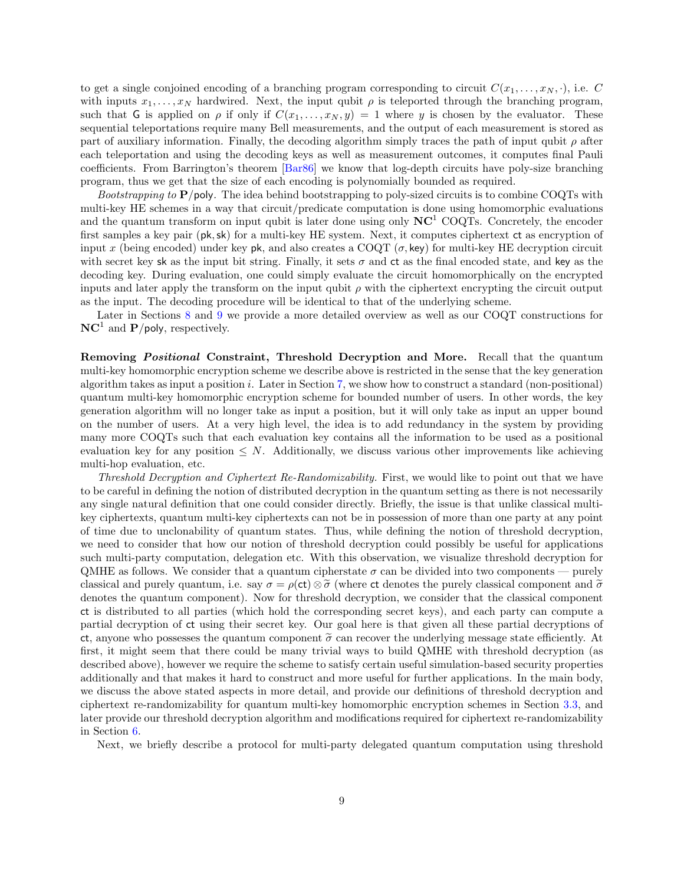to get a single conjoined encoding of a branching program corresponding to circuit  $C(x_1, \ldots, x_N, \cdot)$ , i.e. C with inputs  $x_1, \ldots, x_N$  hardwired. Next, the input qubit  $\rho$  is teleported through the branching program, such that G is applied on  $\rho$  if only if  $C(x_1, \ldots, x_N, y) = 1$  where y is chosen by the evaluator. These sequential teleportations require many Bell measurements, and the output of each measurement is stored as part of auxiliary information. Finally, the decoding algorithm simply traces the path of input qubit  $\rho$  after each teleportation and using the decoding keys as well as measurement outcomes, it computes final Pauli coefficients. From Barrington's theorem [\[Bar86\]](#page-44-12) we know that log-depth circuits have poly-size branching program, thus we get that the size of each encoding is polynomially bounded as required.

*Bootstrapping to*  $P$ /poly. The idea behind bootstrapping to poly-sized circuits is to combine COQTs with multi-key HE schemes in a way that circuit/predicate computation is done using homomorphic evaluations and the quantum transform on input qubit is later done using only  $NC<sup>1</sup> COQTs$ . Concretely, the encoder first samples a key pair (pk,sk) for a multi-key HE system. Next, it computes ciphertext ct as encryption of input x (being encoded) under key pk, and also creates a COQT  $(\sigma, \text{key})$  for multi-key HE decryption circuit with secret key sk as the input bit string. Finally, it sets  $\sigma$  and  $ct$  as the final encoded state, and key as the decoding key. During evaluation, one could simply evaluate the circuit homomorphically on the encrypted inputs and later apply the transform on the input qubit  $\rho$  with the ciphertext encrypting the circuit output as the input. The decoding procedure will be identical to that of the underlying scheme.

Later in Sections [8](#page-32-0) and [9](#page-38-0) we provide a more detailed overview as well as our COQT constructions for  $\mathbf{NC}^1$  and  $\mathbf{P}/\mathsf{poly},$  respectively.

Removing *Positional* Constraint, Threshold Decryption and More. Recall that the quantum multi-key homomorphic encryption scheme we describe above is restricted in the sense that the key generation algorithm takes as input a position i. Later in Section [7,](#page-30-0) we show how to construct a standard (non-positional) quantum multi-key homomorphic encryption scheme for bounded number of users. In other words, the key generation algorithm will no longer take as input a position, but it will only take as input an upper bound on the number of users. At a very high level, the idea is to add redundancy in the system by providing many more COQTs such that each evaluation key contains all the information to be used as a positional evaluation key for any position  $\leq N$ . Additionally, we discuss various other improvements like achieving multi-hop evaluation, etc.

Threshold Decryption and Ciphertext Re-Randomizability. First, we would like to point out that we have to be careful in defining the notion of distributed decryption in the quantum setting as there is not necessarily any single natural definition that one could consider directly. Briefly, the issue is that unlike classical multikey ciphertexts, quantum multi-key ciphertexts can not be in possession of more than one party at any point of time due to unclonability of quantum states. Thus, while defining the notion of threshold decryption, we need to consider that how our notion of threshold decryption could possibly be useful for applications such multi-party computation, delegation etc. With this observation, we visualize threshold decryption for QMHE as follows. We consider that a quantum cipherstate  $\sigma$  can be divided into two components — purely classical and purely quantum, i.e. say  $\sigma = \rho(ct) \otimes \tilde{\sigma}$  (where ct denotes the purely classical component and  $\tilde{\sigma}$ denotes the quantum component). Now for threshold decryption, we consider that the classical component ct is distributed to all parties (which hold the corresponding secret keys), and each party can compute a partial decryption of ct using their secret key. Our goal here is that given all these partial decryptions of ct, anyone who possesses the quantum component  $\tilde{\sigma}$  can recover the underlying message state efficiently. At first, it might seem that there could be many trivial ways to build QMHE with threshold decryption (as described above), however we require the scheme to satisfy certain useful simulation-based security properties additionally and that makes it hard to construct and more useful for further applications. In the main body, we discuss the above stated aspects in more detail, and provide our definitions of threshold decryption and ciphertext re-randomizability for quantum multi-key homomorphic encryption schemes in Section [3.3,](#page-12-0) and later provide our threshold decryption algorithm and modifications required for ciphertext re-randomizability in Section [6.](#page-29-0)

Next, we briefly describe a protocol for multi-party delegated quantum computation using threshold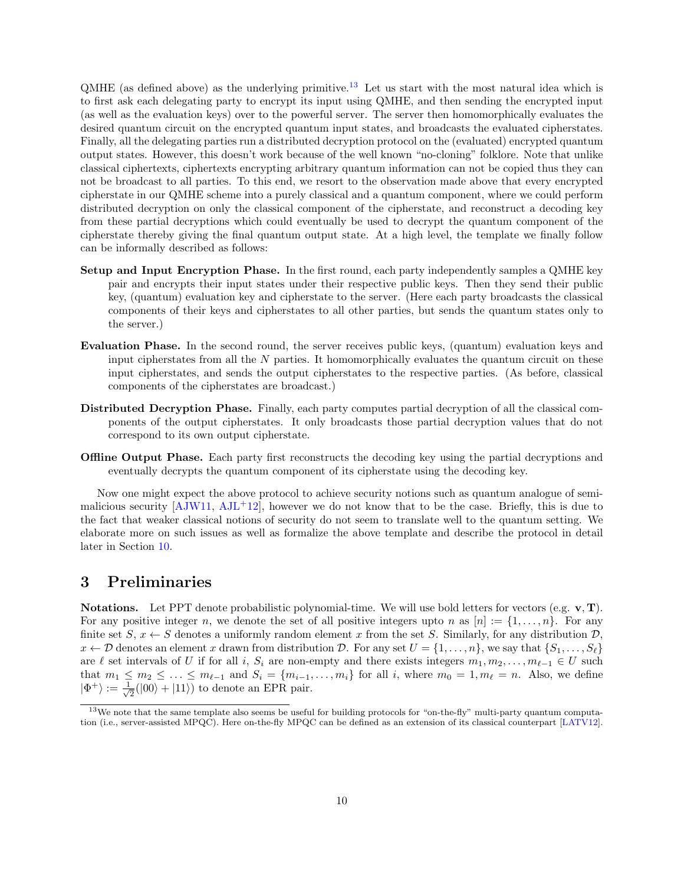$QMHE$  (as defined above) as the underlying primitive.<sup>[13](#page-9-0)</sup> Let us start with the most natural idea which is to first ask each delegating party to encrypt its input using QMHE, and then sending the encrypted input (as well as the evaluation keys) over to the powerful server. The server then homomorphically evaluates the desired quantum circuit on the encrypted quantum input states, and broadcasts the evaluated cipherstates. Finally, all the delegating parties run a distributed decryption protocol on the (evaluated) encrypted quantum output states. However, this doesn't work because of the well known "no-cloning" folklore. Note that unlike classical ciphertexts, ciphertexts encrypting arbitrary quantum information can not be copied thus they can not be broadcast to all parties. To this end, we resort to the observation made above that every encrypted cipherstate in our QMHE scheme into a purely classical and a quantum component, where we could perform distributed decryption on only the classical component of the cipherstate, and reconstruct a decoding key from these partial decryptions which could eventually be used to decrypt the quantum component of the cipherstate thereby giving the final quantum output state. At a high level, the template we finally follow can be informally described as follows:

- Setup and Input Encryption Phase. In the first round, each party independently samples a QMHE key pair and encrypts their input states under their respective public keys. Then they send their public key, (quantum) evaluation key and cipherstate to the server. (Here each party broadcasts the classical components of their keys and cipherstates to all other parties, but sends the quantum states only to the server.)
- Evaluation Phase. In the second round, the server receives public keys, (quantum) evaluation keys and input cipherstates from all the  $N$  parties. It homomorphically evaluates the quantum circuit on these input cipherstates, and sends the output cipherstates to the respective parties. (As before, classical components of the cipherstates are broadcast.)
- Distributed Decryption Phase. Finally, each party computes partial decryption of all the classical components of the output cipherstates. It only broadcasts those partial decryption values that do not correspond to its own output cipherstate.
- **Offline Output Phase.** Each party first reconstructs the decoding key using the partial decryptions and eventually decrypts the quantum component of its cipherstate using the decoding key.

Now one might expect the above protocol to achieve security notions such as quantum analogue of semimalicious security  $[AJW11, AJL+12]$  $[AJW11, AJL+12]$  $[AJW11, AJL+12]$  $[AJW11, AJL+12]$ , however we do not know that to be the case. Briefly, this is due to the fact that weaker classical notions of security do not seem to translate well to the quantum setting. We elaborate more on such issues as well as formalize the above template and describe the protocol in detail later in Section [10.](#page-41-0)

### 3 Preliminaries

Notations. Let PPT denote probabilistic polynomial-time. We will use bold letters for vectors (e.g.  $v, T$ ). For any positive integer n, we denote the set of all positive integers upto n as  $[n] := \{1, \ldots, n\}$ . For any finite set  $S, x \leftarrow S$  denotes a uniformly random element x from the set S. Similarly, for any distribution  $\mathcal{D}$ ,  $x \leftarrow \mathcal{D}$  denotes an element x drawn from distribution  $\mathcal{D}$ . For any set  $U = \{1, \ldots, n\}$ , we say that  $\{S_1, \ldots, S_\ell\}$ are  $\ell$  set intervals of U if for all i, S<sub>i</sub> are non-empty and there exists integers  $m_1, m_2, \ldots, m_{\ell-1} \in U$  such that  $m_1 \leq m_2 \leq \ldots \leq m_{\ell-1}$  and  $S_i = \{m_{i-1}, \ldots, m_i\}$  for all i, where  $m_0 = 1, m_\ell = n$ . Also, we define  $|\Phi^+\rangle := \frac{1}{\sqrt{2}}$  $\frac{1}{2}(|00\rangle + |11\rangle)$  to denote an EPR pair.

<span id="page-9-0"></span> $13$ We note that the same template also seems be useful for building protocols for "on-the-fly" multi-party quantum computation (i.e., server-assisted MPQC). Here on-the-fly MPQC can be defined as an extension of its classical counterpart [\[LATV12\]](#page-47-2).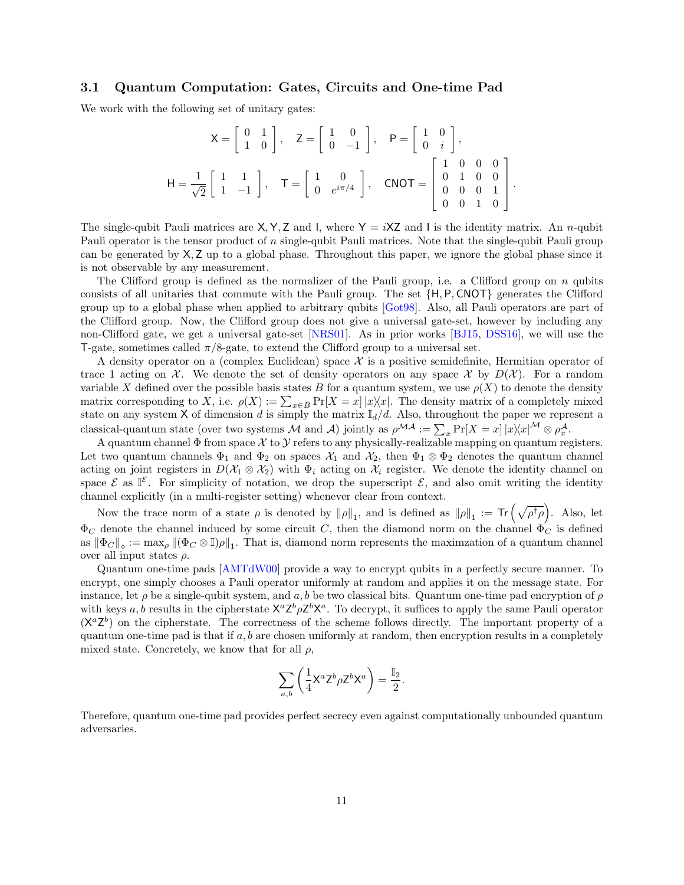### 3.1 Quantum Computation: Gates, Circuits and One-time Pad

We work with the following set of unitary gates:

$$
X = \begin{bmatrix} 0 & 1 \\ 1 & 0 \end{bmatrix}, \quad Z = \begin{bmatrix} 1 & 0 \\ 0 & -1 \end{bmatrix}, \quad P = \begin{bmatrix} 1 & 0 \\ 0 & i \end{bmatrix},
$$

$$
H = \frac{1}{\sqrt{2}} \begin{bmatrix} 1 & 1 \\ 1 & -1 \end{bmatrix}, \quad T = \begin{bmatrix} 1 & 0 \\ 0 & e^{i\pi/4} \end{bmatrix}, \quad CNOT = \begin{bmatrix} 1 & 0 & 0 & 0 \\ 0 & 1 & 0 & 0 \\ 0 & 0 & 0 & 1 \\ 0 & 0 & 1 & 0 \end{bmatrix}.
$$

The single-qubit Pauli matrices are  $X, Y, Z$  and I, where  $Y = iXZ$  and I is the identity matrix. An n-qubit Pauli operator is the tensor product of n single-qubit Pauli matrices. Note that the single-qubit Pauli group can be generated by X, Z up to a global phase. Throughout this paper, we ignore the global phase since it is not observable by any measurement.

The Clifford group is defined as the normalizer of the Pauli group, i.e. a Clifford group on  $n$  qubits consists of all unitaries that commute with the Pauli group. The set {H, P, CNOT} generates the Clifford group up to a global phase when applied to arbitrary qubits [\[Got98\]](#page-46-16). Also, all Pauli operators are part of the Clifford group. Now, the Clifford group does not give a universal gate-set, however by including any non-Clifford gate, we get a universal gate-set [\[NRS01\]](#page-47-16). As in prior works [\[BJ15,](#page-45-8) [DSS16\]](#page-46-8), we will use the T-gate, sometimes called  $\pi/8$ -gate, to extend the Clifford group to a universal set.

A density operator on a (complex Euclidean) space  $X$  is a positive semidefinite, Hermitian operator of trace 1 acting on X. We denote the set of density operators on any space X by  $D(\mathcal{X})$ . For a random variable X defined over the possible basis states B for a quantum system, we use  $\rho(X)$  to denote the density matrix corresponding to X, i.e.  $\rho(X) := \sum_{x \in B} Pr[X = x] |x\rangle\langle x|$ . The density matrix of a completely mixed state on any system X of dimension d is simply the matrix  $\mathbb{I}_d/d$ . Also, throughout the paper we represent a classical-quantum state (over two systems M and A) jointly as  $\rho^{\mathcal{MA}} := \sum_x \Pr[X = x] |x\rangle\langle x|^{M} \otimes \rho_x^{\mathcal{A}}$ .

A quantum channel  $\Phi$  from space  $\mathcal X$  to  $\mathcal Y$  refers to any physically-realizable mapping on quantum registers. Let two quantum channels  $\Phi_1$  and  $\Phi_2$  on spaces  $\mathcal{X}_1$  and  $\mathcal{X}_2$ , then  $\Phi_1 \otimes \Phi_2$  denotes the quantum channel acting on joint registers in  $D(\mathcal{X}_1 \otimes \mathcal{X}_2)$  with  $\Phi_i$  acting on  $\mathcal{X}_i$  register. We denote the identity channel on space  $\mathcal{E}$  as  $\mathbb{I}^{\mathcal{E}}$ . For simplicity of notation, we drop the superscript  $\mathcal{E}$ , and also omit writing the identity channel explicitly (in a multi-register setting) whenever clear from context.

Now the trace norm of a state  $\rho$  is denoted by  $\|\rho\|_1$ , and is defined as  $\|\rho\|_1 := \text{Tr} \left( \sqrt{\rho^{\dagger} \rho} \right)$ . Also, let  $\Phi_C$  denote the channel induced by some circuit C, then the diamond norm on the channel  $\Phi_C$  is defined as  $\|\Phi_C\|_{\diamond} := \max_{\rho} \|(\Phi_C \otimes \mathbb{I})\rho\|_1$ . That is, diamond norm represents the maximzation of a quantum channel over all input states  $\rho$ .

Quantum one-time pads [\[AMTdW00\]](#page-44-2) provide a way to encrypt qubits in a perfectly secure manner. To encrypt, one simply chooses a Pauli operator uniformly at random and applies it on the message state. For instance, let  $\rho$  be a single-qubit system, and a, b be two classical bits. Quantum one-time pad encryption of  $\rho$ with keys a, b results in the cipherstate  $X^a Z^b \rho Z^b X^a$ . To decrypt, it suffices to apply the same Pauli operator  $(X^a Z^b)$  on the cipherstate. The correctness of the scheme follows directly. The important property of a quantum one-time pad is that if  $a, b$  are chosen uniformly at random, then encryption results in a completely mixed state. Concretely, we know that for all  $\rho$ ,

$$
\sum_{a,b} \left( \frac{1}{4} \mathsf{X}^a \mathsf{Z}^b \rho \mathsf{Z}^b \mathsf{X}^a \right) = \frac{\mathbb{I}_2}{2}.
$$

Therefore, quantum one-time pad provides perfect secrecy even against computationally unbounded quantum adversaries.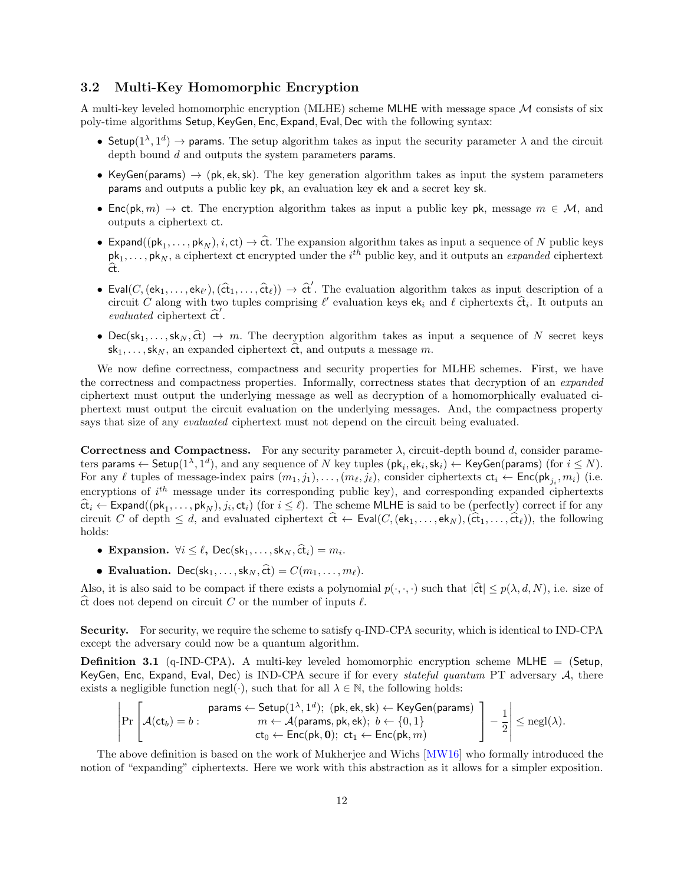### 3.2 Multi-Key Homomorphic Encryption

A multi-key leveled homomorphic encryption (MLHE) scheme MLHE with message space  $\mathcal M$  consists of six poly-time algorithms Setup, KeyGen, Enc, Expand, Eval, Dec with the following syntax:

- Setup $(1^{\lambda}, 1^d)$   $\rightarrow$  params. The setup algorithm takes as input the security parameter  $\lambda$  and the circuit depth bound d and outputs the system parameters params.
- KeyGen(params)  $\rightarrow$  (pk, ek, sk). The key generation algorithm takes as input the system parameters params and outputs a public key pk, an evaluation key ek and a secret key sk.
- Enc(pk, m)  $\rightarrow$  ct. The encryption algorithm takes as input a public key pk, message  $m \in \mathcal{M}$ , and outputs a ciphertext ct.
- Expand( $(\mathsf{pk}_1, \ldots, \mathsf{pk}_N)$ , i, ct)  $\rightarrow$  ct. The expansion algorithm takes as input a sequence of N public keys  $pk_1, \ldots, pk_N$ , a ciphertext ct encrypted under the  $i^{th}$  public key, and it outputs an *expanded* ciphertext ct.
- Eval $(C,(\mathsf{ek}_1,\ldots,\mathsf{ek}_{\ell}),(\hat{\mathsf{ct}}_1,\ldots,\hat{\mathsf{ct}}_{\ell})) \to \hat{\mathsf{ct}}'$ . The evaluation algorithm takes as input description of a circuit C along with two tuples comprising  $\ell'$  evaluation keys  $\mathsf{ek}_i$  and  $\ell$  ciphertexts  $\hat{\mathsf{ct}}_i$ . It outputs an evaluated sink other  $\hat{\mathfrak{c}}'$ evaluated ciphertext  $\hat{\mathsf{ct}}'$ .
- Dec(sk<sub>1</sub>,..., sk<sub>N</sub>,  $\hat{ct}$ )  $\rightarrow$  m. The decryption algorithm takes as input a sequence of N secret keys  $sk_1, \ldots, sk_N$ , an expanded ciphertext  $\hat{\alpha}$ , and outputs a message m.

We now define correctness, compactness and security properties for MLHE schemes. First, we have the correctness and compactness properties. Informally, correctness states that decryption of an *expanded* ciphertext must output the underlying message as well as decryption of a homomorphically evaluated ciphertext must output the circuit evaluation on the underlying messages. And, the compactness property says that size of any *evaluated* ciphertext must not depend on the circuit being evaluated.

Correctness and Compactness. For any security parameter  $\lambda$ , circuit-depth bound d, consider parameters params  $\leftarrow$  Setup $(1^{\lambda}, 1^d)$ , and any sequence of  $N$  key tuples  $(\mathsf{pk}_i, \mathsf{ek}_i, \mathsf{sk}_i) \leftarrow \mathsf{KeyGen}$ (params) (for  $i \leq N$ ). For any  $\ell$  tuples of message-index pairs  $(m_1, j_1), \ldots, (m_\ell, j_\ell)$ , consider ciphertexts  $ct_i \leftarrow \text{Enc}(\text{pk}_{j_i}, m_i)$  (i.e. encryptions of  $i^{th}$  message under its corresponding public key), and corresponding expanded ciphertexts  $\hat{\mathbf{ct}}_i \leftarrow \mathsf{Expand}((\mathsf{pk}_1, \ldots, \mathsf{pk}_N), j_i, \mathsf{ct}_i)$  (for  $i \leq \ell$ ). The scheme MLHE is said to be (perfectly) correct if for any circuit C of depth  $\leq d$ , and evaluated ciphertext  $\hat{\mathbf{c}} \leftarrow \mathsf{Eval}(C,(\mathsf{ek}_1, \ldots, \mathsf{ek}_N),(\hat{\mathsf{ct}}_1, \ldots, \hat{\mathsf{ct}}_\ell))$ , the following holds:

- Expansion.  $\forall i \leq \ell$ , Dec(sk<sub>1</sub>, ..., sk<sub>N</sub>,  $\hat{\text{ct}}_i$ ) =  $m_i$ .
- Evaluation. Dec(sk<sub>1</sub>, ..., sk<sub>N</sub>,  $\hat{\epsilon}$ t) =  $C(m_1, \ldots, m_\ell)$ .

Also, it is also said to be compact if there exists a polynomial  $p(\cdot, \cdot, \cdot)$  such that  $|\hat{\text{ct}}| \leq p(\lambda, d, N)$ , i.e. size of  $\hat{\mathbf{ct}}$  does not depend on circuit C or the number of inputs  $\ell$ .

Security. For security, we require the scheme to satisfy q-IND-CPA security, which is identical to IND-CPA except the adversary could now be a quantum algorithm.

<span id="page-11-0"></span>**Definition 3.1** (q-IND-CPA). A multi-key leveled homomorphic encryption scheme MLHE = (Setup, KeyGen, Enc, Expand, Eval, Dec) is IND-CPA secure if for every stateful quantum PT adversary  $A$ , there exists a negligible function negl(·), such that for all  $\lambda \in \mathbb{N}$ , the following holds:

$$
\left|\Pr\left[\mathcal{A}(\mathsf{ct}_b) = b: \begin{matrix}\text{params} \leftarrow \mathsf{Setup}(1^\lambda, 1^d); \ (\mathsf{pk}, \mathsf{ek}, \mathsf{sk}) \leftarrow \mathsf{KeyGen}(\mathsf{params}) \\ m \leftarrow \mathcal{A}(\mathsf{params}, \mathsf{pk}, \mathsf{ek}); \ b \leftarrow \{0, 1\} \\ \mathsf{ct}_0 \leftarrow \mathsf{Enc}(\mathsf{pk}, \mathbf{0}); \ \mathsf{ct}_1 \leftarrow \mathsf{Enc}(\mathsf{pk}, m)\end{matrix}\right]\right| - \frac{1}{2}\right| \leq \mathsf{negl}(\lambda).
$$

The above definition is based on the work of Mukherjee and Wichs [\[MW16\]](#page-47-4) who formally introduced the notion of "expanding" ciphertexts. Here we work with this abstraction as it allows for a simpler exposition.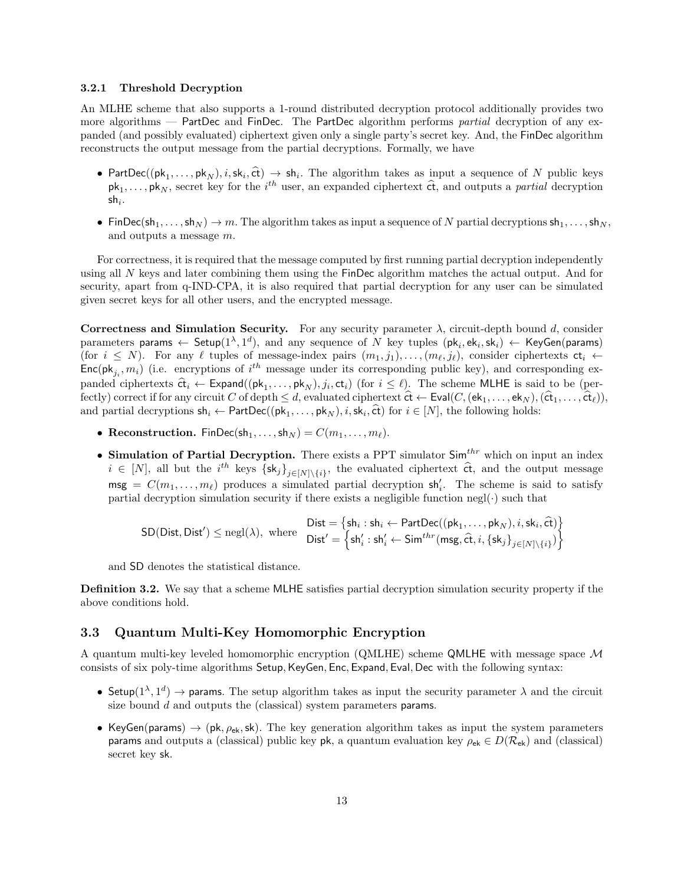#### 3.2.1 Threshold Decryption

An MLHE scheme that also supports a 1-round distributed decryption protocol additionally provides two more algorithms — PartDec and FinDec. The PartDec algorithm performs partial decryption of any expanded (and possibly evaluated) ciphertext given only a single party's secret key. And, the FinDec algorithm reconstructs the output message from the partial decryptions. Formally, we have

- PartDec(( $pk_1, \ldots, pk_N$ ),  $i, sk_i, \hat{ct}$ )  $\rightarrow sh_i$ . The algorithm takes as input a sequence of N public keys  $pk_1, \ldots, pk_N$ , secret key for the  $i^{th}$  user, an expanded ciphertext  $\hat{ct}$ , and outputs a *partial* decryption  $\mathsf{sh}_i.$
- FinDec(sh<sub>1</sub>, ..., sh<sub>N</sub>)  $\rightarrow$  m. The algorithm takes as input a sequence of N partial decryptions sh<sub>1</sub>, ..., sh<sub>N</sub>, and outputs a message m.

For correctness, it is required that the message computed by first running partial decryption independently using all N keys and later combining them using the FinDec algorithm matches the actual output. And for security, apart from q-IND-CPA, it is also required that partial decryption for any user can be simulated given secret keys for all other users, and the encrypted message.

Correctness and Simulation Security. For any security parameter  $\lambda$ , circuit-depth bound d, consider parameters params  $\leftarrow$  Setup $(1^{\lambda}, 1^d)$ , and any sequence of N key tuples  $(\mathsf{pk}_i, \mathsf{ek}_i, \mathsf{sk}_i) \leftarrow \mathsf{KeyGen}(\mathsf{params})$ (for  $i \leq N$ ). For any  $\ell$  tuples of message-index pairs  $(m_1, j_1), \ldots, (m_\ell, j_\ell)$ , consider ciphertexts  $ct_i \leftarrow$  $Enc(\mathsf{pk}_{j_i}, m_i)$  (i.e. encryptions of  $i^{th}$  message under its corresponding public key), and corresponding expanded ciphertexts  $\hat{\mathbf{ct}}_i \leftarrow \mathsf{Expand}((\mathsf{pk}_1, \ldots, \mathsf{pk}_N), j_i, \mathsf{ct}_i)$  (for  $i \leq \ell$ ). The scheme MLHE is said to be (per-<br>factor) connectif for any simulate  $C$  of damph  $\leq d$  and both and in battert  $\hat{\mathbf{dt}}$  to  $\math$ fectly) correct if for any circuit C of depth  $\leq d$ , evaluated ciphertext  $\hat{\mathsf{ct}} \leftarrow \mathsf{Eval}(C,(\mathsf{ek}_1, \ldots, \mathsf{ek}_N),(\hat{\mathsf{ct}}_1, \ldots, \hat{\mathsf{ct}}_\ell)),$ and partial decryptions  $\mathsf{sh}_i \leftarrow \mathsf{PartDec}((\mathsf{pk}_1, \ldots, \mathsf{pk}_N), i, \mathsf{sk}_i, \hat{\mathsf{ct}})$  for  $i \in [N]$ , the following holds:

- Reconstruction. FinDec(sh<sub>1</sub>, ..., sh<sub>N</sub>) =  $C(m_1, \ldots, m_\ell)$ .
- Simulation of Partial Decryption. There exists a PPT simulator  $\text{Sim}^{thr}$  which on input an index  $i \in [N]$ , all but the  $i^{th}$  keys  $\{sk_j\}_{j\in[N]\setminus\{i\}}$ , the evaluated ciphertext  $\hat{ct}$ , and the output message  $\mathsf{msg} = C(m_1, \ldots, m_\ell)$  produces a simulated partial decryption  $\mathsf{sh}'_i$ . The scheme is said to satisfy partial decryption simulation security if there exists a negligible function negl $(\cdot)$  such that

$$
\textsf{SD}(\textsf{Dist},\textsf{Dist}') \le \textsf{negl}(\lambda), \text{ where } \begin{matrix} \textsf{Dist} = \{\textsf{sh}_i: \textsf{sh}_i \leftarrow \textsf{PartDec}((\textsf{pk}_1,\ldots,\textsf{pk}_N),i,\textsf{sk}_i,\widehat{\textsf{ct}})\} \\ \textsf{Dist}' = \left\{\textsf{sh}'_i: \textsf{sh}'_i \leftarrow \textsf{Sim}^{thr}(\textsf{msg},\widehat{\textsf{ct}},i,\{\textsf{sk}_j\}_{j\in [N]\setminus\{i\}})\right\} \end{matrix}
$$

and SD denotes the statistical distance.

Definition 3.2. We say that a scheme MLHE satisfies partial decryption simulation security property if the above conditions hold.

### <span id="page-12-0"></span>3.3 Quantum Multi-Key Homomorphic Encryption

A quantum multi-key leveled homomorphic encryption (QMLHE) scheme QMLHE with message space M consists of six poly-time algorithms Setup, KeyGen, Enc, Expand, Eval, Dec with the following syntax:

- Setup $(1^{\lambda}, 1^d)$   $\rightarrow$  params. The setup algorithm takes as input the security parameter  $\lambda$  and the circuit size bound d and outputs the (classical) system parameters params.
- KeyGen(params)  $\rightarrow$  (pk,  $\rho_{ek}$ , sk). The key generation algorithm takes as input the system parameters params and outputs a (classical) public key pk, a quantum evaluation key  $\rho_{ek} \in D(\mathcal{R}_{ek})$  and (classical) secret key sk.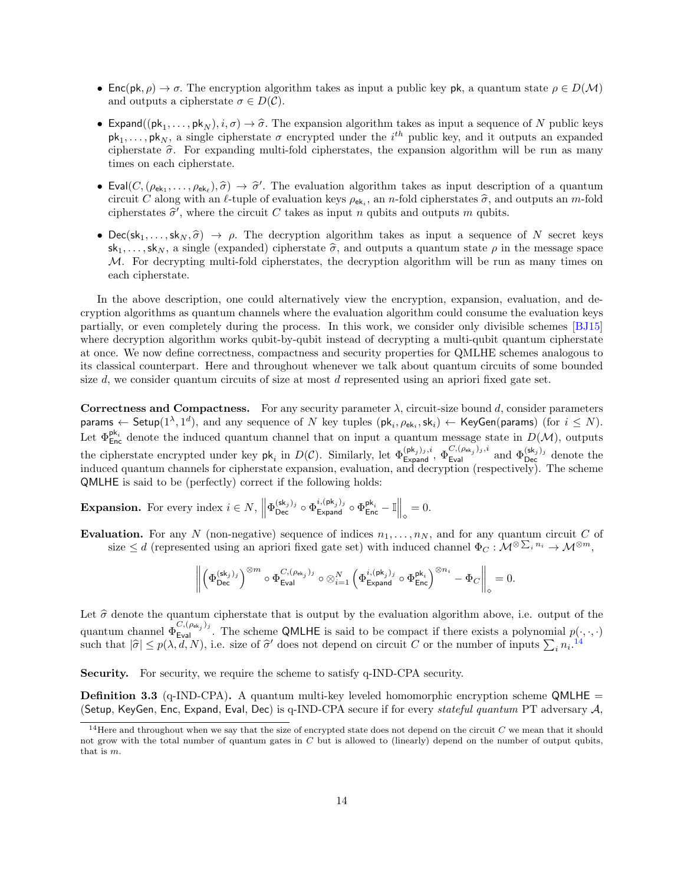- Enc(pk,  $\rho$ )  $\rightarrow \sigma$ . The encryption algorithm takes as input a public key pk, a quantum state  $\rho \in D(\mathcal{M})$ and outputs a cipherstate  $\sigma \in D(\mathcal{C})$ .
- Expand( $(\mathsf{pk}_1, \ldots, \mathsf{pk}_N), i, \sigma$ )  $\rightarrow \hat{\sigma}$ . The expansion algorithm takes as input a sequence of N public keys  $pk_1, \ldots, pk_N$ , a single cipherstate  $\sigma$  encrypted under the  $i^{th}$  public key, and it outputs an expanded cipherstate  $\hat{\sigma}$ . For expanding multi-fold cipherstates, the expansion algorithm will be run as many times on each cipherstate.
- Eval $(C,(\rho_{ek_1},\ldots,\rho_{ek_\ell}),\hat{\sigma}) \to \hat{\sigma}'$ . The evaluation algorithm takes as input description of a quantum<br>circuit C along with an  $\ell$  tuple of evaluation keys as a an *n* fold cipheretates  $\hat{\sigma}$  and outputs an *m* fold circuit C along with an  $\ell$ -tuple of evaluation keys  $\rho_{ek_i}$ , an n-fold cipherstates  $\hat{\sigma}$ , and outputs an m-fold cipherstates  $\hat{\sigma}'$ , where the circuit C takes as input n qubits and outputs m qubits cipherstates  $\hat{\sigma}'$ , where the circuit C takes as input n qubits and outputs m qubits.
- Dec(sk<sub>1</sub>,..., sk<sub>N</sub>,  $\hat{\sigma}$ )  $\rightarrow$   $\rho$ . The decryption algorithm takes as input a sequence of N secret keys  $\mathsf{sk}_1, \ldots, \mathsf{sk}_N$ , a single (expanded) cipherstate  $\hat{\sigma}$ , and outputs a quantum state  $\rho$  in the message space M. For decrypting multi-fold cipherstates, the decryption algorithm will be run as many times on each cipherstate.

In the above description, one could alternatively view the encryption, expansion, evaluation, and decryption algorithms as quantum channels where the evaluation algorithm could consume the evaluation keys partially, or even completely during the process. In this work, we consider only divisible schemes [\[BJ15\]](#page-45-8) where decryption algorithm works qubit-by-qubit instead of decrypting a multi-qubit quantum cipherstate at once. We now define correctness, compactness and security properties for QMLHE schemes analogous to its classical counterpart. Here and throughout whenever we talk about quantum circuits of some bounded size d, we consider quantum circuits of size at most d represented using an apriori fixed gate set.

Correctness and Compactness. For any security parameter  $\lambda$ , circuit-size bound d, consider parameters params  $\leftarrow$  Setup $(1^{\lambda}, 1^d)$ , and any sequence of  $N$  key tuples  $(\mathsf{pk}_i, \rho_{\mathsf{ek}_i}, \mathsf{sk}_i) \leftarrow \mathsf{KeyGen}(\mathsf{params})$  (for  $i \leq N$ ). Let  $\Phi_{\text{Enc}}^{\mathsf{pk}_i}$  denote the induced quantum channel that on input a quantum message state in  $D(\mathcal{M})$ , outputs the cipherstate encrypted under key  $pk_i$  in  $D(\mathcal{C})$ . Similarly, let  $\Phi_{\text{Expand}}^{(pk_j)_{j},i}$ ,  $\Phi_{\text{Eval}}^{C,(\rho_{ek_j})_{j},i}$  and  $\Phi_{\text{Dec}}^{(sk_j)_{j}}$  denote the induced quantum channels for cipherstate expansion, evaluation, and decryption (respectively). The scheme QMLHE is said to be (perfectly) correct if the following holds:

**Expansion.** For every index  $i \in N$ ,  $\left\| \Phi_{\text{Dec}}^{(\text{sk}_j)_j} \circ \Phi_{\text{Expand}}^{i, (\text{pk}_j)_j} \circ \Phi_{\text{Enc}}^{\text{pk}_i} - \mathbb{I} \right\|_{\diamond} = 0$ .

Evaluation. For any N (non-negative) sequence of indices  $n_1, \ldots, n_N$ , and for any quantum circuit C of size  $\leq d$  (represented using an apriori fixed gate set) with induced channel  $\Phi_C: \mathcal{M}^{\otimes \sum_i n_i} \to \mathcal{M}^{\otimes m}$ ,

$$
\left\|\left(\Phi_{\mathsf{Dec}}^{(\mathsf{sk}_j)_j}\right)^{\otimes m} \circ \Phi_{\mathsf{Eval}}^{C,(\rho_{\mathsf{ek}_j})_j} \circ \otimes_{i=1}^N \left(\Phi_{\mathsf{Expand}}^{i,(\mathsf{pk}_j)_j} \circ \Phi_{\mathsf{Enc}}^{\mathsf{pk}_i}\right)^{\otimes n_i} - \Phi_C\right\|_\diamond = 0.
$$

Let  $\hat{\sigma}$  denote the quantum cipherstate that is output by the evaluation algorithm above, i.e. output of the quantum channel  $\Phi_{\text{Eval}}^{C,(\rho_{\text{ek}_j})_j}$ . The scheme QMLHE is said to be compact if there exists a polynomial  $p(\cdot,\cdot,\cdot)$ such that  $|\hat{\sigma}| \leq p(\lambda, d, N)$ , i.e. size of  $\hat{\sigma}'$  does not depend on circuit C or the number of inputs  $\sum_i n_i$ .<sup>[14](#page-13-0)</sup>

Security. For security, we require the scheme to satisfy q-IND-CPA security.

<span id="page-13-1"></span>**Definition 3.3** (q-IND-CPA). A quantum multi-key leveled homomorphic encryption scheme QMLHE  $=$ (Setup, KeyGen, Enc, Expand, Eval, Dec) is q-IND-CPA secure if for every stateful quantum PT adversary  $A$ ,

<span id="page-13-0"></span> $^{14}\rm{Here}$  and throughout when we say that the size of encrypted state does not depend on the circuit  $C$  we mean that it should not grow with the total number of quantum gates in  $C$  but is allowed to (linearly) depend on the number of output qubits, that is m.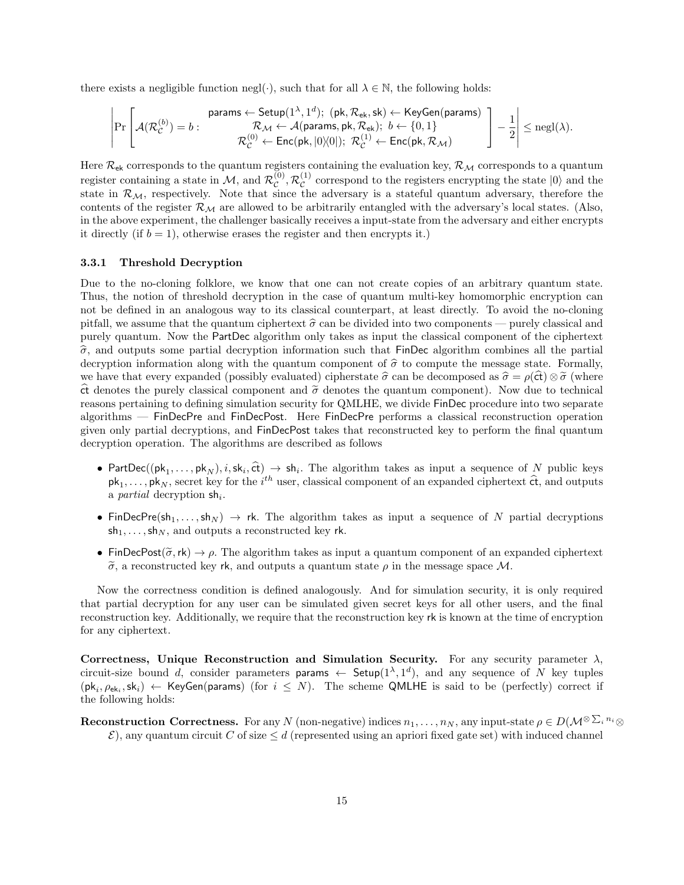there exists a negligible function negl( $\cdot$ ), such that for all  $\lambda \in \mathbb{N}$ , the following holds:

$$
\left|\Pr\left[\mathcal{A}(\mathcal{R}_{\mathcal{C}}^{(b)})=b:\begin{matrix}\text{params}\leftarrow \mathsf{Setup}(1^{\lambda},1^d);\ (\mathsf{pk},\mathcal{R}_{\mathsf{ek}},\mathsf{sk})\leftarrow \mathsf{KeyGen}(\mathsf{params})\\\mathcal{R}_{\mathcal{M}}\leftarrow \mathcal{A}(\mathsf{params},\mathsf{pk},\mathcal{R}_{\mathsf{ek}});\ b\leftarrow \{0,1\}\\ \mathcal{R}_{\mathcal{C}}^{(0)}\leftarrow \mathsf{Enc}(\mathsf{pk},|0\rangle\!\langle0|);\ \mathcal{R}_{\mathcal{C}}^{(1)}\leftarrow \mathsf{Enc}(\mathsf{pk},\mathcal{R}_{\mathcal{M}})\end{matrix}\right]\right]-\frac{1}{2}\right|\leq \mathsf{negl}(\lambda).
$$

Here  $\mathcal{R}_{ek}$  corresponds to the quantum registers containing the evaluation key,  $\mathcal{R}_{\mathcal{M}}$  corresponds to a quantum register containing a state in  $\mathcal{M}$ , and  $\mathcal{R}_{\mathcal{C}}^{(0)}$  $_{\mathcal{C}}^{(0)},\mathcal{R}_{\mathcal{C}}^{(1)}$  $\mathcal{C}^{(1)}$  correspond to the registers encrypting the state  $|0\rangle$  and the state in  $\mathcal{R}_{M}$ , respectively. Note that since the adversary is a stateful quantum adversary, therefore the contents of the register  $\mathcal{R}_{\mathcal{M}}$  are allowed to be arbitrarily entangled with the adversary's local states. (Also, in the above experiment, the challenger basically receives a input-state from the adversary and either encrypts it directly (if  $b = 1$ ), otherwise erases the register and then encrypts it.)

### 3.3.1 Threshold Decryption

Due to the no-cloning folklore, we know that one can not create copies of an arbitrary quantum state. Thus, the notion of threshold decryption in the case of quantum multi-key homomorphic encryption can not be defined in an analogous way to its classical counterpart, at least directly. To avoid the no-cloning pitfall, we assume that the quantum ciphertext  $\hat{\sigma}$  can be divided into two components — purely classical and purely quantum. Now the PartDec algorithm only takes as input the classical component of the ciphertext  $\hat{\sigma}$ , and outputs some partial decryption information such that FinDec algorithm combines all the partial decryption information along with the quantum component of  $\hat{\sigma}$  to compute the message state. Formally, we have that every expanded (possibly evaluated) cipherstate  $\hat{\sigma}$  can be decomposed as  $\hat{\sigma} = \rho(\mathsf{ct}) \otimes \tilde{\sigma}$  (where  $\hat{\tau}$  denotes the purely classical component and  $\tilde{\sigma}$  denotes the quantum component). Now due to technical reasons pertaining to defining simulation security for QMLHE, we divide FinDec procedure into two separate algorithms — FinDecPre and FinDecPost. Here FinDecPre performs a classical reconstruction operation given only partial decryptions, and FinDecPost takes that reconstructed key to perform the final quantum decryption operation. The algorithms are described as follows

- PartDec((pk<sub>1</sub>,..., pk<sub>N</sub>), *i*, sk<sub>i</sub>,  $\hat{\epsilon}$ t)  $\rightarrow$  sh<sub>i</sub>. The algorithm takes as input a sequence of N public keys  $pk_1, \ldots, pk_N$ , secret key for the  $i^{th}$  user, classical component of an expanded ciphertext  $\hat{ct}$ , and outputs a *partial* decryption  $\mathsf{sh}_i$ .
- FinDecPre(sh<sub>1</sub>, ..., sh<sub>N</sub>)  $\rightarrow$  rk. The algorithm takes as input a sequence of N partial decryptions  $\mathsf{sh}_1, \ldots, \mathsf{sh}_N$ , and outputs a reconstructed key rk.
- FinDecPost( $\tilde{\sigma}$ , rk)  $\rightarrow \rho$ . The algorithm takes as input a quantum component of an expanded ciphertext  $\tilde{\sigma}$ , a reconstructed key rk, and outputs a quantum state  $\rho$  in the message space M.

Now the correctness condition is defined analogously. And for simulation security, it is only required that partial decryption for any user can be simulated given secret keys for all other users, and the final reconstruction key. Additionally, we require that the reconstruction key rk is known at the time of encryption for any ciphertext.

Correctness, Unique Reconstruction and Simulation Security. For any security parameter  $\lambda$ , circuit-size bound d, consider parameters params  $\leftarrow$  Setup $(1^{\lambda}, 1^d)$ , and any sequence of N key tuples  $(\mathsf{pk}_i, \rho_{\mathsf{ek}_i}, \mathsf{sk}_i) \leftarrow \mathsf{KeyGen}(\mathsf{params})$  (for  $i \leq N$ ). The scheme QMLHE is said to be (perfectly) correct if the following holds:

**Reconstruction Correctness.** For any N (non-negative) indices  $n_1, \ldots, n_N$ , any input-state  $\rho \in D(\mathcal{M}^{\otimes \sum_i n_i} \otimes$  $\mathcal{E}$ ), any quantum circuit C of size  $\leq d$  (represented using an apriori fixed gate set) with induced channel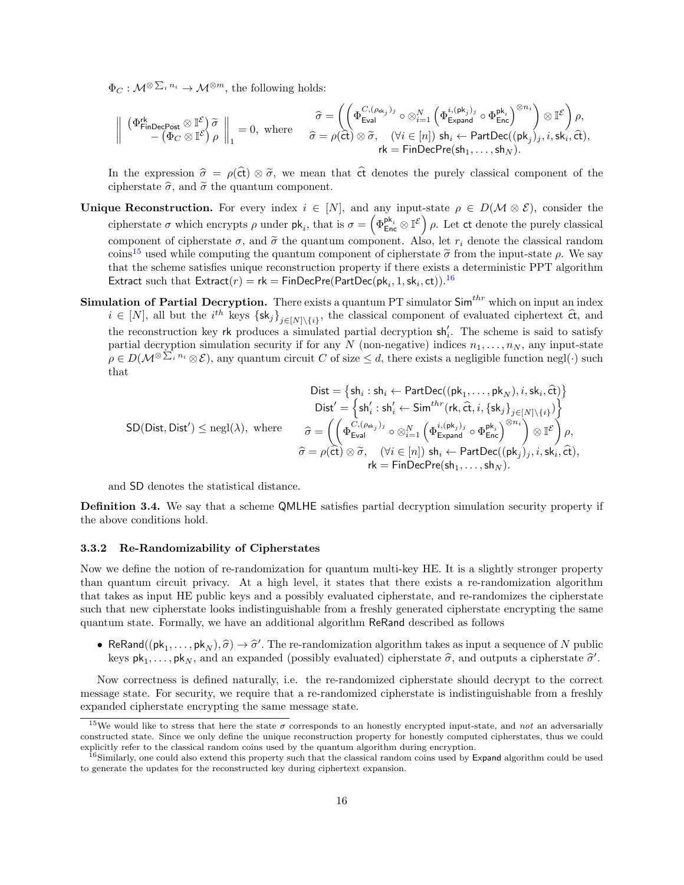$\Phi_C: \mathcal{M}^{\otimes \sum_i n_i} \to \mathcal{M}^{\otimes m}$ , the following holds:

$$
\left\|\begin{array}{cc} \left(\Phi^{\mathsf{rk}}_{\mathsf{FinDecPost}}\otimes \mathbb{I}^{\mathcal{E}}\right)\widetilde{\sigma} \\ -\left(\Phi_C\otimes \mathbb{I}^{\mathcal{E}}\right)\rho\end{array}\right\|_1=0, \text{ where } \begin{array}{cc} \widehat{\sigma}=\left(\left(\Phi^{C,(\rho_{\mathsf{ek}_j})_j}_{\mathsf{Eval}}\circ \otimes_{i=1}^N\left(\Phi^{i,(\mathsf{pk}_j)_j}_{\mathsf{Expand}}\circ \Phi^{ \mathsf{pk}_i}_{\mathsf{Enc}}\right)^{\otimes n_i}\right)\otimes \mathbb{I}^{\mathcal{E}}\right)\rho, \\ \widehat{\sigma}=\rho(\hat{\mathsf{ct}})\otimes \widetilde{\sigma}, \quad (\forall i\in [n]) \;\mathsf{sh}_i\leftarrow \mathsf{PartDec}((\mathsf{pk}_j)_j,i,\mathsf{sk}_i,\widehat{\mathsf{ct}}),\\ \mathsf{rk}=\mathsf{FinDecPre}(\mathsf{sh}_1,\ldots,\mathsf{sh}_N).\end{array}
$$

In the expression  $\hat{\sigma} = \rho(\hat{\sigma}) \otimes \tilde{\sigma}$ , we mean that  $\hat{\sigma}$  denotes the purely classical component of the cipherstate  $\hat{\sigma}$ , and  $\tilde{\sigma}$  the quantum component.

- Unique Reconstruction. For every index  $i \in [N]$ , and any input-state  $\rho \in D(\mathcal{M} \otimes \mathcal{E})$ , consider the cipherstate  $\sigma$  which encrypts  $\rho$  under  $\mathsf{pk}_i$ , that is  $\sigma = \left(\Phi_{\mathsf{Enc}}^{\mathsf{pk}_i} \otimes \mathbb{I}^{\mathcal{E}}\right) \rho$ . Let ct denote the purely classical component of cipherstate  $\sigma$ , and  $\tilde{\sigma}$  the quantum component. Also, let  $r_i$  denote the classical random coins<sup>[15](#page-15-0)</sup> used while computing the quantum component of cipherstate  $\tilde{\sigma}$  from the input-state  $\rho$ . We say that the scheme satisfies unique reconstruction property if there exists a deterministic PPT algorithm Extract such that  $\textsf{Extract}(r)=\textsf{rk}=\textsf{FinDecPre}(\textsf{PartDec}(\textsf{pk}_i,1,\textsf{sk}_i,\textsf{ct}))$ .<sup>[16](#page-15-1)</sup>
- **Simulation of Partial Decryption.** There exists a quantum PT simulator  $\text{Sim}^{thr}$  which on input an index  $i \in [N]$ , all but the  $i^{th}$  keys  $\{sk_j\}_{j\in[N]\setminus\{i\}}$ , the classical component of evaluated ciphertext  $\hat{\alpha}$ , and the reconstruction key rk produces a simulated partial decryption  $\mathsf{sh}'_i$ . The scheme is said to satisfy partial decryption simulation security if for any N (non-negative) indices  $n_1, \ldots, n_N$ , any input-state  $\rho \in D(\mathcal{M}^{\otimes \sum_i n_i} \otimes \mathcal{E}),$  any quantum circuit C of size  $\leq d$ , there exists a negligible function negl( $\cdot$ ) such that

$$
\begin{aligned} \text{Dist} &= \{\text{sh}_i: \text{sh}_i \leftarrow \text{PartDec}((\text{pk}_1, \dots, \text{pk}_N), i, \text{sk}_i, \hat{\text{ct}})\}\\ \text{Dist}' &= \left\{\text{sh}'_i: \text{sh}'_i \leftarrow \text{Sim}^{thr}(\text{rk}, \hat{\text{ct}}, i, \{\text{sk}_j\}_{j \in [N] \setminus \{i\}})\right\}\\ \text{SD}(\text{Dist}, \text{Dist}') &\leq \text{negl}(\lambda), \text{ where } \quad \begin{array}{c} \widehat{\sigma} = \left( \left( \Phi_{\text{Eval}}^{C, (\rho_{\text{ek}_j})_j} \circ \otimes_{i=1}^N \left( \Phi_{\text{expand}}^{i, (\text{pk}_j)_j} \circ \Phi_{\text{Enc}}^{\text{pk}_i} \right)^{\otimes n_i} \right) \otimes \mathbb{I}^{\mathcal{E}} \right)\rho, \\ \widehat{\sigma} = \rho(\hat{\text{ct}}) \otimes \widetilde{\sigma}, \quad (\forall i \in [n]) \text{ sh}_i \leftarrow \text{PartDec}((\text{pk}_j)_j, i, \text{sk}_i, \hat{\text{ct}}), \\ \text{rk} = \text{FinDecPre}(\text{sh}_1, \dots, \text{sh}_N). \end{array} \end{aligned}
$$

and SD denotes the statistical distance.

Definition 3.4. We say that a scheme QMLHE satisfies partial decryption simulation security property if the above conditions hold.

#### 3.3.2 Re-Randomizability of Cipherstates

Now we define the notion of re-randomization for quantum multi-key HE. It is a slightly stronger property than quantum circuit privacy. At a high level, it states that there exists a re-randomization algorithm that takes as input HE public keys and a possibly evaluated cipherstate, and re-randomizes the cipherstate such that new cipherstate looks indistinguishable from a freshly generated cipherstate encrypting the same quantum state. Formally, we have an additional algorithm ReRand described as follows

• ReRand(( $pk_1, \ldots, pk_N$ ),  $\hat{\sigma}$ )  $\rightarrow \hat{\sigma}'$ . The re-randomization algorithm takes as input a sequence of N public<br>leave  $pk$  and an expanded (pessibly evaluated) eigherstate  $\hat{\sigma}$  and eutputs a sinherstate  $\hat{\sigma}'$ keys  $pk_1, \ldots, pk_N$ , and an expanded (possibly evaluated) cipherstate  $\hat{\sigma}$ , and outputs a cipherstate  $\hat{\sigma}'$ .

Now correctness is defined naturally, i.e. the re-randomized cipherstate should decrypt to the correct message state. For security, we require that a re-randomized cipherstate is indistinguishable from a freshly expanded cipherstate encrypting the same message state.

<span id="page-15-0"></span><sup>&</sup>lt;sup>15</sup>We would like to stress that here the state  $\sigma$  corresponds to an honestly encrypted input-state, and not an adversarially constructed state. Since we only define the unique reconstruction property for honestly computed cipherstates, thus we could explicitly refer to the classical random coins used by the quantum algorithm during encryption.

<span id="page-15-1"></span> $16$ Similarly, one could also extend this property such that the classical random coins used by Expand algorithm could be used to generate the updates for the reconstructed key during ciphertext expansion.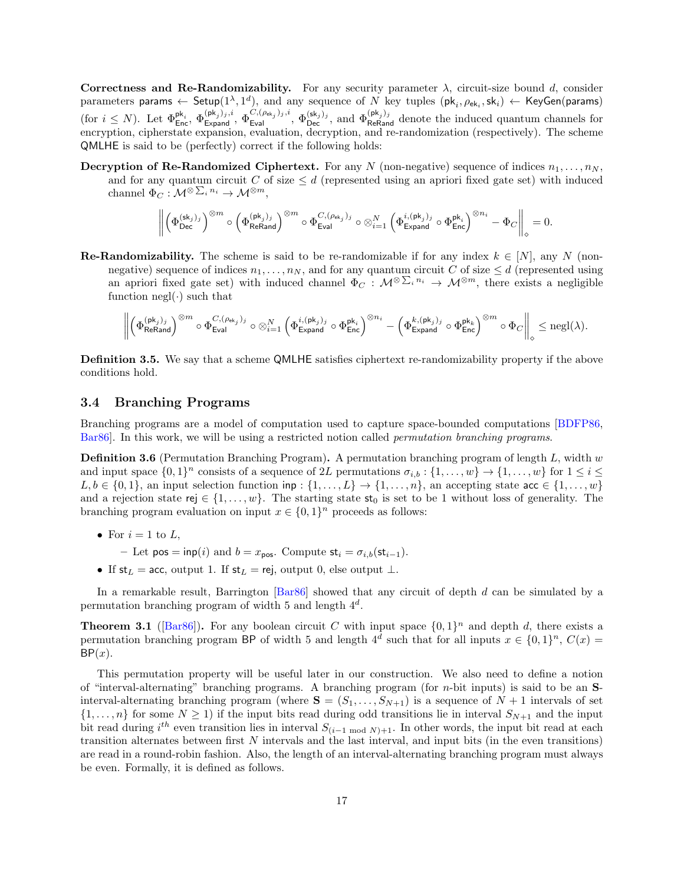Correctness and Re-Randomizability. For any security parameter  $\lambda$ , circuit-size bound d, consider parameters params  $\leftarrow$  Setup $(1^{\lambda}, 1^d)$ , and any sequence of N key tuples  $(\mathsf{pk}_i, \rho_{\mathsf{ek}_i}, \mathsf{sk}_i) \leftarrow$  KeyGen(params)  $(\text{for } i \leq N)$ . Let  $\Phi_{\text{Enc}}^{\mathsf{pk}_i}, \Phi_{\text{Expand}}^{(\mathsf{pk}_j)_j, i}, \Phi_{\text{Expand}}^{(\mathsf{sk}_j)_j, i}, \Phi_{\text{Dec}}^{(\mathsf{sk}_j)_j}, \text{ and } \Phi_{\text{ReRand}}^{(\mathsf{pk}_j)_j}$  denote the induced quantum channels for encryption, cipherstate expansion, evaluation, decryption, and re-randomization (respectively). The scheme QMLHE is said to be (perfectly) correct if the following holds:

**Decryption of Re-Randomized Ciphertext.** For any N (non-negative) sequence of indices  $n_1, \ldots, n_N$ , and for any quantum circuit C of size  $\leq d$  (represented using an apriori fixed gate set) with induced channel  $\Phi_C: \mathcal{M}^{\otimes \sum_i n_i} \to \mathcal{M}^{\otimes m},$ 

$$
\left\|\left(\Phi_{\text{Dec}}^{(\text{sk}_j)_j}\right)^{\otimes m}\circ\left(\Phi_{\text{ReRand}}^{(\text{pk}_j)_j}\right)^{\otimes m}\circ\Phi_{\text{Eval}}^{C,(\rho_{\text{ek}_j})_j}\circ\otimes_{i=1}^N\left(\Phi_{\text{Expand}}^{i,(\text{pk}_j)_j}\circ\Phi_{\text{Enc}}^{\text{pk}_i}\right)^{\otimes n_i}-\Phi_{C}\right\|_\diamond=0.
$$

**Re-Randomizability.** The scheme is said to be re-randomizable if for any index  $k \in [N]$ , any N (nonnegative) sequence of indices  $n_1, \ldots, n_N$ , and for any quantum circuit C of size  $\leq d$  (represented using an apriori fixed gate set) with induced channel  $\Phi_C: \mathcal{M}^{\otimes \sum_i n_i} \to \mathcal{M}^{\otimes m}$ , there exists a negligible function negl( $\cdot$ ) such that

$$
\left\|\left(\Phi_{\mathsf{ReRand}}^{(\mathsf{pk}_j)_j}\right)^{\otimes m}\circ\Phi_{\mathsf{Eval}}^{C,(\rho_{\mathsf{ek}_j})_j}\circ\otimes_{i=1}^N\left(\Phi_{\mathsf{Expand}}^{i,(\mathsf{pk}_j)_j}\circ\Phi_{\mathsf{Enc}}^{\mathsf{pk}_i}\right)^{\otimes n_i}-\left(\Phi_{\mathsf{Expand}}^{k,(\mathsf{pk}_j)_j}\circ\Phi_{\mathsf{Enc}}^{\mathsf{pk}_k}\right)^{\otimes m}\circ\Phi_{C}\right\|_\diamond\leq \mathrm{negl}(\lambda).
$$

Definition 3.5. We say that a scheme QMLHE satisfies ciphertext re-randomizability property if the above conditions hold.

#### 3.4 Branching Programs

Branching programs are a model of computation used to capture space-bounded computations [\[BDFP86,](#page-44-13) [Bar86\]](#page-44-12). In this work, we will be using a restricted notion called permutation branching programs.

**Definition 3.6** (Permutation Branching Program). A permutation branching program of length  $L$ , width  $w$ and input space  $\{0,1\}^n$  consists of a sequence of 2L permutations  $\sigma_{i,b} : \{1,\ldots,w\} \to \{1,\ldots,w\}$  for  $1 \leq i \leq n$  $L, b \in \{0, 1\}$ , an input selection function inp :  $\{1, \ldots, L\} \to \{1, \ldots, n\}$ , an accepting state acc  $\in \{1, \ldots, w\}$ and a rejection state rej  $\in \{1, \ldots, w\}$ . The starting state  $\mathsf{st}_0$  is set to be 1 without loss of generality. The branching program evaluation on input  $x \in \{0,1\}^n$  proceeds as follows:

- For  $i = 1$  to  $L$ ,
	- Let  $pos = inp(i)$  and  $b = x_{pos}$ . Compute  $st_i = \sigma_{i,b}(st_{i-1})$ .
- If  $st_L = acc$ , output 1. If  $st_L = rej$ , output 0, else output ⊥.

In a remarkable result, Barrington [\[Bar86\]](#page-44-12) showed that any circuit of depth d can be simulated by a permutation branching program of width 5 and length  $4^d$ .

<span id="page-16-0"></span>**Theorem 3.1** ( $\text{Bar86}$ ). For any boolean circuit C with input space  $\{0,1\}^n$  and depth d, there exists a permutation branching program BP of width 5 and length  $4^d$  such that for all inputs  $x \in \{0,1\}^n$ ,  $C(x)$  $BP(x)$ .

This permutation property will be useful later in our construction. We also need to define a notion of "interval-alternating" branching programs. A branching program (for  $n$ -bit inputs) is said to be an  $S$ interval-alternating branching program (where  $S = (S_1, \ldots, S_{N+1})$  is a sequence of  $N+1$  intervals of set  $\{1,\ldots,n\}$  for some  $N\geq 1$ ) if the input bits read during odd transitions lie in interval  $S_{N+1}$  and the input bit read during  $i^{th}$  even transition lies in interval  $S_{(i-1 \mod N)+1}$ . In other words, the input bit read at each transition alternates between first N intervals and the last interval, and input bits (in the even transitions) are read in a round-robin fashion. Also, the length of an interval-alternating branching program must always be even. Formally, it is defined as follows.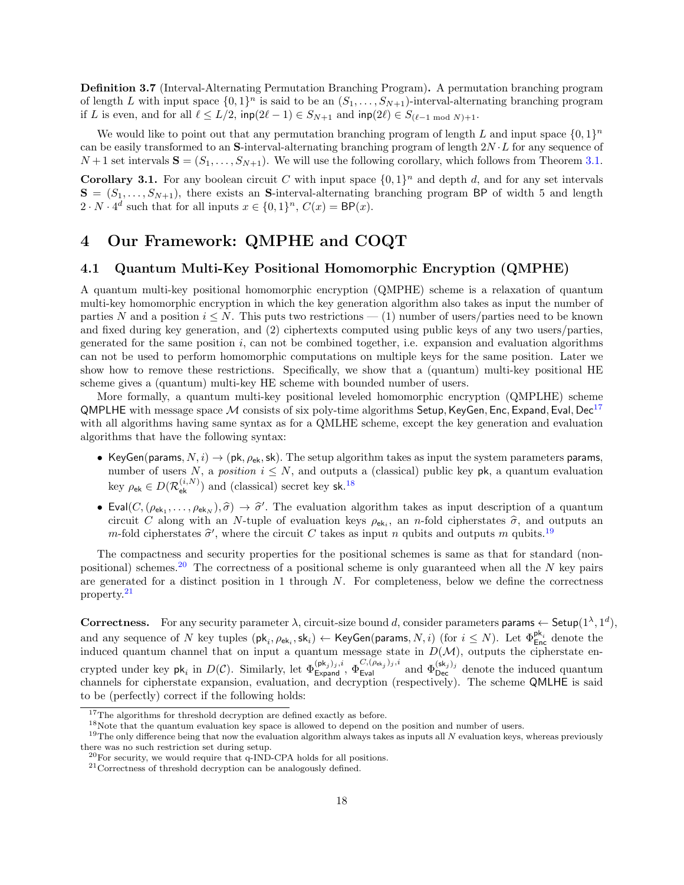Definition 3.7 (Interval-Alternating Permutation Branching Program). A permutation branching program of length L with input space  $\{0,1\}^n$  is said to be an  $(S_1,\ldots,S_{N+1})$ -interval-alternating branching program if L is even, and for all  $\ell \le L/2$ ,  $\mathsf{inp}(2\ell - 1) \in S_{N+1}$  and  $\mathsf{inp}(2\ell) \in S_{(\ell-1 \mod N)+1}$ .

We would like to point out that any permutation branching program of length L and input space  $\{0,1\}^n$ can be easily transformed to an S-interval-alternating branching program of length  $2N \cdot L$  for any sequence of  $N+1$  set intervals  $S = (S_1, \ldots, S_{N+1})$ . We will use the following corollary, which follows from Theorem [3.1.](#page-16-0)

<span id="page-17-6"></span>**Corollary 3.1.** For any boolean circuit C with input space  $\{0,1\}^n$  and depth d, and for any set intervals  $S = (S_1, \ldots, S_{N+1})$ , there exists an S-interval-alternating branching program BP of width 5 and length  $2 \cdot N \cdot 4^d$  such that for all inputs  $x \in \{0,1\}^n$ ,  $C(x) = \mathsf{BP}(x)$ .

## <span id="page-17-0"></span>4 Our Framework: QMPHE and COQT

### 4.1 Quantum Multi-Key Positional Homomorphic Encryption (QMPHE)

A quantum multi-key positional homomorphic encryption (QMPHE) scheme is a relaxation of quantum multi-key homomorphic encryption in which the key generation algorithm also takes as input the number of parties N and a position  $i \leq N$ . This puts two restrictions — (1) number of users/parties need to be known and fixed during key generation, and (2) ciphertexts computed using public keys of any two users/parties, generated for the same position  $i$ , can not be combined together, i.e. expansion and evaluation algorithms can not be used to perform homomorphic computations on multiple keys for the same position. Later we show how to remove these restrictions. Specifically, we show that a (quantum) multi-key positional HE scheme gives a (quantum) multi-key HE scheme with bounded number of users.

More formally, a quantum multi-key positional leveled homomorphic encryption (QMPLHE) scheme QMPLHE with message space  $M$  consists of six poly-time algorithms Setup, KeyGen, Enc, Expand, Eval, Dec<sup>[17](#page-17-1)</sup> with all algorithms having same syntax as for a QMLHE scheme, except the key generation and evaluation algorithms that have the following syntax:

- KeyGen(params,  $N, i) \rightarrow (pk, \rho_{ek}, sk)$ . The setup algorithm takes as input the system parameters params, number of users N, a position  $i \leq N$ , and outputs a (classical) public key pk, a quantum evaluation key  $\rho_{\mathsf{ek}} \in D(\mathcal{R}^{(i,N)}_{\mathsf{ek}})$  and (classical) secret key sk.<sup>[18](#page-17-2)</sup>
- Eval $(C,(\rho_{ek_1},\ldots,\rho_{ek_N}),\hat{\sigma}) \to \hat{\sigma}'$ . The evaluation algorithm takes as input description of a quantum<br>circuit  $C$  along with an  $N$  tuple of evaluation lows as a p n fold einherators  $\hat{\sigma}$  and outputs an circuit C along with an N-tuple of evaluation keys  $\rho_{ek_i}$ , an n-fold cipherstates  $\hat{\sigma}$ , and outputs an <br>m fold cipherstates  $\hat{\sigma}'$ , where the circuit C takes as input a cubit and outputs m oubits  $19$ *m*-fold cipherstates  $\hat{\sigma}'$ , where the circuit C takes as input *n* qubits and outputs *m* qubits.<sup>[19](#page-17-3)</sup>

The compactness and security properties for the positional schemes is same as that for standard (non-positional) schemes.<sup>[20](#page-17-4)</sup> The correctness of a positional scheme is only guaranteed when all the N key pairs are generated for a distinct position in 1 through N. For completeness, below we define the correctness property.[21](#page-17-5)

Correctness. For any security parameter  $\lambda$ , circuit-size bound d, consider parameters params  $\leftarrow$  Setup $(1^{\lambda}, 1^d)$ , and any sequence of  $N$  key tuples  $(\mathsf{pk}_i, \rho_{\mathsf{ek}_i}, \mathsf{sk}_i) \leftarrow \mathsf{KeyGen}(\mathsf{params}, N, i)$  (for  $i \leq N$ ). Let  $\Phi_{\mathsf{Enc}}^{\mathsf{pk}_i}$  denote the induced quantum channel that on input a quantum message state in  $D(\mathcal{M})$ , outputs the cipherstate encrypted under key  $\mathsf{pk}_i$  in  $D(\mathcal{C})$ . Similarly, let  $\Phi_{\mathsf{Expand}}^{(\mathsf{pk}_j),i}$ ,  $\Phi_{\mathsf{Eval}}^{C,(\rho_{\mathsf{ek}_j})_j,i}$  and  $\Phi_{\mathsf{Dec}}^{(\mathsf{sk}_j)_j}$  denote the induced quantum channels for cipherstate expansion, evaluation, and decryption (respectively). The scheme QMLHE is said to be (perfectly) correct if the following holds:

<span id="page-17-1"></span><sup>&</sup>lt;sup>17</sup>The algorithms for threshold decryption are defined exactly as before.

<span id="page-17-3"></span><span id="page-17-2"></span><sup>&</sup>lt;sup>18</sup>Note that the quantum evaluation key space is allowed to depend on the position and number of users.

 $19$ The only difference being that now the evaluation algorithm always takes as inputs all  $N$  evaluation keys, whereas previously there was no such restriction set during setup.

<span id="page-17-4"></span> $^{20}$ For security, we would require that q-IND-CPA holds for all positions.

<span id="page-17-5"></span><sup>21</sup>Correctness of threshold decryption can be analogously defined.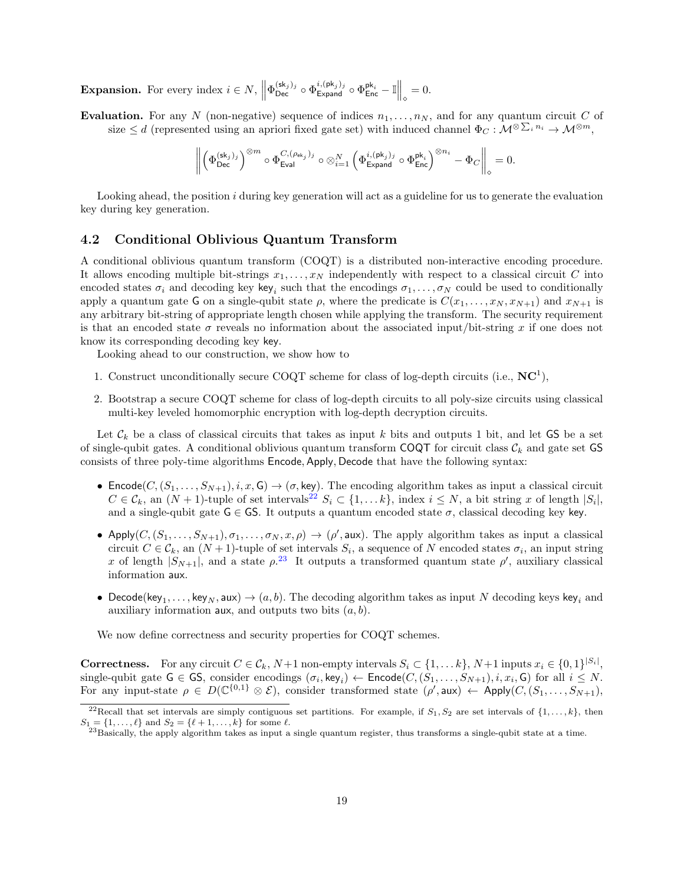**Expansion.** For every index  $i \in N$ ,  $\left\| \Phi_{\text{Dec}}^{(\text{sk}_j)_j} \circ \Phi_{\text{Expand}}^{i, (\text{pk}_j)_j} \circ \Phi_{\text{Enc}}^{p k_i} - \mathbb{I} \right\|_{\diamond} = 0$ .

Evaluation. For any N (non-negative) sequence of indices  $n_1, \ldots, n_N$ , and for any quantum circuit C of size  $\leq d$  (represented using an apriori fixed gate set) with induced channel  $\Phi_C: \mathcal{M}^{\otimes \sum_i n_i} \to \mathcal{M}^{\otimes m}$ ,

$$
\left\|\left(\Phi_{\mathsf{Dec}}^{(\mathsf{sk}_j)_j}\right)^{\otimes m} \circ \Phi_{\mathsf{Eval}}^{C,(\rho_{\mathsf{ek}_j})_j} \circ \otimes_{i=1}^N \left(\Phi_{\mathsf{Expand}}^{i,(\mathsf{pk}_j)_j} \circ \Phi_{\mathsf{Enc}}^{\mathsf{pk}_i}\right)^{\otimes n_i} - \Phi_C\right\|_\diamond = 0.
$$

Looking ahead, the position i during key generation will act as a guideline for us to generate the evaluation key during key generation.

### <span id="page-18-2"></span>4.2 Conditional Oblivious Quantum Transform

A conditional oblivious quantum transform (COQT) is a distributed non-interactive encoding procedure. It allows encoding multiple bit-strings  $x_1, \ldots, x_N$  independently with respect to a classical circuit C into encoded states  $\sigma_i$  and decoding key key<sub>i</sub> such that the encodings  $\sigma_1, \ldots, \sigma_N$  could be used to conditionally apply a quantum gate G on a single-qubit state  $\rho$ , where the predicate is  $C(x_1, \ldots, x_N, x_{N+1})$  and  $x_{N+1}$  is any arbitrary bit-string of appropriate length chosen while applying the transform. The security requirement is that an encoded state  $\sigma$  reveals no information about the associated input/bit-string x if one does not know its corresponding decoding key key.

Looking ahead to our construction, we show how to

- 1. Construct unconditionally secure COQT scheme for class of log-depth circuits (i.e.,  $NC<sup>1</sup>$ ),
- 2. Bootstrap a secure COQT scheme for class of log-depth circuits to all poly-size circuits using classical multi-key leveled homomorphic encryption with log-depth decryption circuits.

Let  $\mathcal{C}_k$  be a class of classical circuits that takes as input k bits and outputs 1 bit, and let GS be a set of single-qubit gates. A conditional oblivious quantum transform COQT for circuit class  $\mathcal{C}_k$  and gate set GS consists of three poly-time algorithms Encode, Apply, Decode that have the following syntax:

- Encode $(C, (S_1, \ldots, S_{N+1}), i, x, G) \to (\sigma, \text{key})$ . The encoding algorithm takes as input a classical circuit  $C \in \mathcal{C}_k$ , an  $(N+1)$ -tuple of set intervals<sup>[22](#page-18-0)</sup>  $S_i \subset \{1, \ldots k\}$ , index  $i \leq N$ , a bit string x of length  $|S_i|$ , and a single-qubit gate  $\mathsf{G} \in \mathsf{GS}$ . It outputs a quantum encoded state  $\sigma$ , classical decoding key key.
- Apply $(C, (S_1, \ldots, S_{N+1}), \sigma_1, \ldots, \sigma_N, x, \rho) \to (\rho', \text{aux})$ . The apply algorithm takes as input a classical circuit  $C \in \mathcal{C}_k$ , an  $(N+1)$ -tuple of set intervals  $S_i$ , a sequence of N encoded states  $\sigma_i$ , an input string x of length  $|S_{N+1}|$ , and a state  $\rho^{23}$  $\rho^{23}$  $\rho^{23}$ . It outputs a transformed quantum state  $\rho'$ , auxiliary classical information aux.
- Decode(key<sub>1</sub>,..., key<sub>N</sub>, aux)  $\rightarrow$   $(a, b)$ . The decoding algorithm takes as input N decoding keys key<sub>i</sub> and auxiliary information aux, and outputs two bits  $(a, b)$ .

We now define correctness and security properties for COQT schemes.

**Correctness.** For any circuit  $C \in \mathcal{C}_k$ ,  $N+1$  non-empty intervals  $S_i \subset \{1, \ldots k\}$ ,  $N+1$  inputs  $x_i \in \{0,1\}^{|S_i|}$ , single-qubit gate  $G \in GS$ , consider encodings  $(\sigma_i, \text{key}_i) \leftarrow \text{Encode}(C, (S_1, \ldots, S_{N+1}), i, x_i, G)$  for all  $i \leq N$ . For any input-state  $\rho \in D(\mathbb{C}^{\{0,1\}} \otimes \mathcal{E})$ , consider transformed state  $(\rho', \text{aux}) \leftarrow \text{Apply}(C, (S_1, \ldots, S_{N+1}),$ 

<span id="page-18-0"></span><sup>&</sup>lt;sup>22</sup>Recall that set intervals are simply contiguous set partitions. For example, if  $S_1, S_2$  are set intervals of  $\{1, \ldots, k\}$ , then  $S_1 = \{1, \ldots, \ell\}$  and  $S_2 = \{\ell + 1, \ldots, k\}$  for some  $\ell$ .

<span id="page-18-1"></span> $^{23}$ Basically, the apply algorithm takes as input a single quantum register, thus transforms a single-qubit state at a time.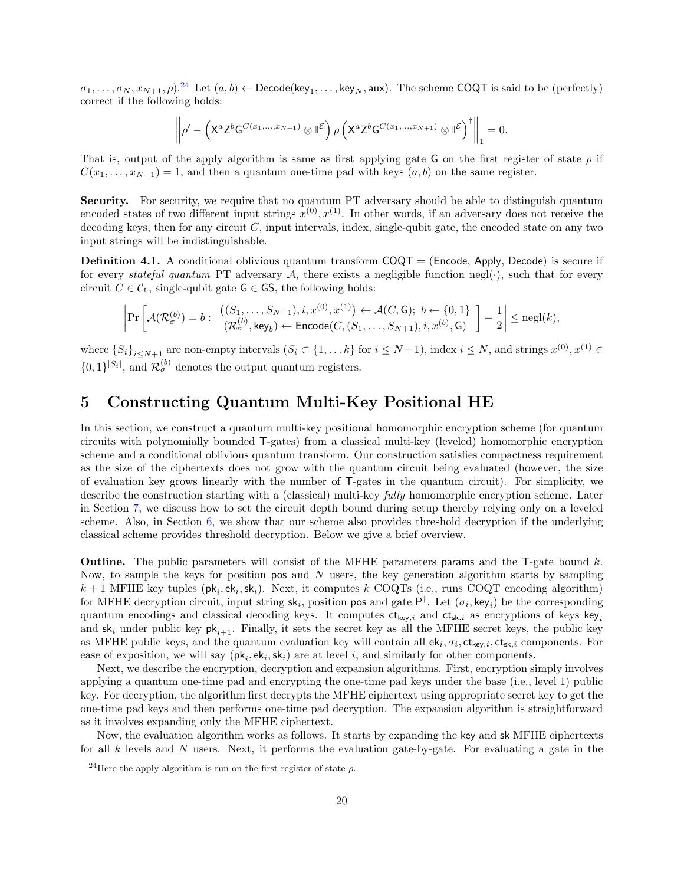$\sigma_1,\ldots,\sigma_N,x_{N+1},\rho$ ).<sup>[24](#page-19-1)</sup> Let  $(a,b)\leftarrow \mathsf{Decode}(\mathsf{key}_1,\ldots,\mathsf{key}_N,\mathsf{aux})$ . The scheme COQT is said to be (perfectly) correct if the following holds:

$$
\left\|\rho' - \left(\mathsf{X}^a\mathsf{Z}^b\mathsf{G}^{C(x_1,\ldots,x_{N+1})}\otimes \mathbb{I}^{\mathcal{E}}\right)\rho\left(\mathsf{X}^a\mathsf{Z}^b\mathsf{G}^{C(x_1,\ldots,x_{N+1})}\otimes \mathbb{I}^{\mathcal{E}}\right)^{\dagger}\right\|_1 = 0.
$$

That is, output of the apply algorithm is same as first applying gate G on the first register of state  $\rho$  if  $C(x_1, \ldots, x_{N+1}) = 1$ , and then a quantum one-time pad with keys  $(a, b)$  on the same register.

Security. For security, we require that no quantum PT adversary should be able to distinguish quantum encoded states of two different input strings  $x^{(0)}, x^{(1)}$ . In other words, if an adversary does not receive the decoding keys, then for any circuit  $C$ , input intervals, index, single-qubit gate, the encoded state on any two input strings will be indistinguishable.

<span id="page-19-2"></span>**Definition 4.1.** A conditional oblivious quantum transform  $COQT = (Encode, Apply, Decode)$  is secure if for every stateful quantum PT adversary A, there exists a negligible function negl(.), such that for every circuit  $C \in \mathcal{C}_k$ , single-qubit gate  $\mathsf{G} \in \mathsf{GS}$ , the following holds:

$$
\left|\Pr\left[\mathcal{A}(\mathcal{R}_{\sigma}^{(b)})=b:\begin{array}{c} \big((S_1,\ldots,S_{N+1}),i,x^{(0)},x^{(1)}\big) \leftarrow \mathcal{A}(C,\mathsf{G});\ b \leftarrow \{0,1\}\\ (\mathcal{R}_{\sigma}^{(b)},\mathsf{key}_b) \leftarrow \mathsf{Encode}(C,(S_1,\ldots,S_{N+1}),i,x^{(b)},\mathsf{G})\end{array}\right]-\frac{1}{2}\right|\leq \mathrm{negl}(k),
$$

where  $\{S_i\}_{i\leq N+1}$  are non-empty intervals  $(S_i \subset \{1, \ldots k\}$  for  $i \leq N+1)$ , index  $i \leq N$ , and strings  $x^{(0)}, x^{(1)} \in$  $\{0,1\}^{|S_i|}$ , and  $\mathcal{R}^{(b)}_{\sigma}$  denotes the output quantum registers.

## <span id="page-19-0"></span>5 Constructing Quantum Multi-Key Positional HE

In this section, we construct a quantum multi-key positional homomorphic encryption scheme (for quantum circuits with polynomially bounded T-gates) from a classical multi-key (leveled) homomorphic encryption scheme and a conditional oblivious quantum transform. Our construction satisfies compactness requirement as the size of the ciphertexts does not grow with the quantum circuit being evaluated (however, the size of evaluation key grows linearly with the number of T-gates in the quantum circuit). For simplicity, we describe the construction starting with a (classical) multi-key *fully* homomorphic encryption scheme. Later in Section [7,](#page-30-0) we discuss how to set the circuit depth bound during setup thereby relying only on a leveled scheme. Also, in Section [6,](#page-29-0) we show that our scheme also provides threshold decryption if the underlying classical scheme provides threshold decryption. Below we give a brief overview.

**Outline.** The public parameters will consist of the MFHE parameters **params** and the T-gate bound  $k$ . Now, to sample the keys for position pos and  $N$  users, the key generation algorithm starts by sampling  $k+1$  MFHE key tuples ( $\mathsf{pk}_i, \mathsf{ek}_i, \mathsf{sk}_i$ ). Next, it computes k COQTs (i.e., runs COQT encoding algorithm) for MFHE decryption circuit, input string  $sk_i$ , position pos and gate  $P^{\dagger}$ . Let  $(\sigma_i, \text{key}_i)$  be the corresponding quantum encodings and classical decoding keys. It computes  $ct_{key,i}$  and  $ct_{sk,i}$  as encryptions of keys key and  $sk_i$  under public key  $pk_{i+1}$ . Finally, it sets the secret key as all the MFHE secret keys, the public key as MFHE public keys, and the quantum evaluation key will contain all  $ek_i, \sigma_i, ct_{key,i}, ct_{sk,i}$  components. For ease of exposition, we will say  $(\mathsf{pk}_i, \mathsf{ek}_i, \mathsf{sk}_i)$  are at level i, and similarly for other components.

Next, we describe the encryption, decryption and expansion algorithms. First, encryption simply involves applying a quantum one-time pad and encrypting the one-time pad keys under the base (i.e., level 1) public key. For decryption, the algorithm first decrypts the MFHE ciphertext using appropriate secret key to get the one-time pad keys and then performs one-time pad decryption. The expansion algorithm is straightforward as it involves expanding only the MFHE ciphertext.

Now, the evaluation algorithm works as follows. It starts by expanding the key and sk MFHE ciphertexts for all k levels and N users. Next, it performs the evaluation gate-by-gate. For evaluating a gate in the

<span id="page-19-1"></span><sup>&</sup>lt;sup>24</sup>Here the apply algorithm is run on the first register of state  $\rho$ .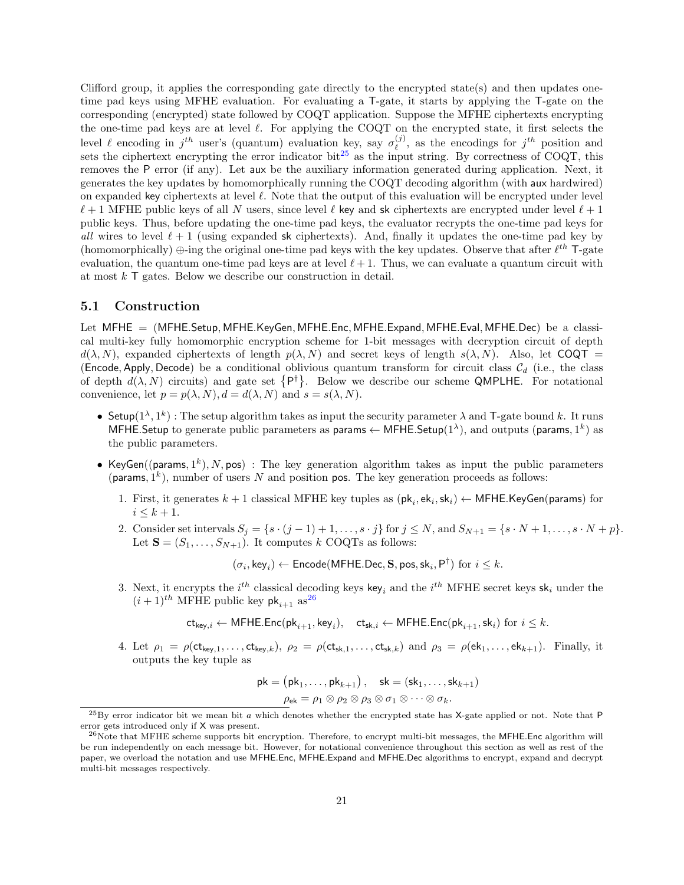Clifford group, it applies the corresponding gate directly to the encrypted state(s) and then updates onetime pad keys using MFHE evaluation. For evaluating a T-gate, it starts by applying the T-gate on the corresponding (encrypted) state followed by COQT application. Suppose the MFHE ciphertexts encrypting the one-time pad keys are at level  $\ell$ . For applying the COQT on the encrypted state, it first selects the level  $\ell$  encoding in  $j^{th}$  user's (quantum) evaluation key, say  $\sigma_{\ell}^{(j)}$  $\ell^{(j)}$ , as the encodings for  $j^{th}$  position and sets the ciphertext encrypting the error indicator bit<sup>[25](#page-20-0)</sup> as the input string. By correctness of COQT, this removes the P error (if any). Let aux be the auxiliary information generated during application. Next, it generates the key updates by homomorphically running the COQT decoding algorithm (with aux hardwired) on expanded key ciphertexts at level  $\ell$ . Note that the output of this evaluation will be encrypted under level  $\ell + 1$  MFHE public keys of all N users, since level  $\ell$  key and sk ciphertexts are encrypted under level  $\ell + 1$ public keys. Thus, before updating the one-time pad keys, the evaluator recrypts the one-time pad keys for all wires to level  $\ell + 1$  (using expanded sk ciphertexts). And, finally it updates the one-time pad key by (homomorphically)  $\oplus$ -ing the original one-time pad keys with the key updates. Observe that after  $\ell^{th}$  T-gate evaluation, the quantum one-time pad keys are at level  $\ell + 1$ . Thus, we can evaluate a quantum circuit with at most  $k$  T gates. Below we describe our construction in detail.

### <span id="page-20-2"></span>5.1 Construction

Let MFHE = (MFHE.Setup, MFHE.KeyGen, MFHE.Enc, MFHE.Expand, MFHE.Eval, MFHE.Dec) be a classical multi-key fully homomorphic encryption scheme for 1-bit messages with decryption circuit of depth  $d(\lambda, N)$ , expanded ciphertexts of length  $p(\lambda, N)$  and secret keys of length  $s(\lambda, N)$ . Also, let COQT = (Encode, Apply, Decode) be a conditional oblivious quantum transform for circuit class  $\mathcal{C}_d$  (i.e., the class of depth  $d(\lambda, N)$  circuits) and gate set  $\{P^{\dagger}\}\$ . Below we describe our scheme QMPLHE. For notational convenience, let  $p = p(\lambda, N), d = d(\lambda, N)$  and  $s = s(\lambda, N)$ .

- Setup $(1^{\lambda}, 1^k)$ : The setup algorithm takes as input the security parameter  $\lambda$  and T-gate bound k. It runs MFHE.Setup to generate public parameters as params  $\leftarrow$  MFHE.Setup(1<sup> $\lambda$ </sup>), and outputs (params, 1<sup>k</sup>) as the public parameters.
- KeyGen((params,  $1^k$ ), N, pos): The key generation algorithm takes as input the public parameters (params,  $1^k$ ), number of users N and position pos. The key generation proceeds as follows:
	- 1. First, it generates  $k+1$  classical MFHE key tuples as  $(\mathsf{pk}_i, \mathsf{ek}_i, \mathsf{sk}_i) \leftarrow \mathsf{MFHE}$ .KeyGen(params) for  $i \leq k+1$ .
	- 2. Consider set intervals  $S_j = \{s \cdot (j-1) + 1, \ldots, s \cdot j\}$  for  $j \leq N$ , and  $S_{N+1} = \{s \cdot N + 1, \ldots, s \cdot N + p\}.$ Let  $S = (S_1, \ldots, S_{N+1})$ . It computes k COQTs as follows:

 $(\sigma_i,\mathsf{key}_i) \leftarrow \mathsf{Encode}(\mathsf{MFHE}.\mathsf{Dec}, \mathbf{S}, \mathsf{pos}, \mathsf{sk}_i, \mathsf{P}^\dagger) \text{ for } i \leq k.$ 

3. Next, it encrypts the  $i^{th}$  classical decoding keys key<sub>i</sub> and the  $i^{th}$  MFHE secret keys sk<sub>i</sub> under the  $(i+1)$ <sup>th</sup> MFHE public key pk<sub>i+1</sub> as<sup>[26](#page-20-1)</sup>

 $\mathsf{ct}_{\mathsf{key},i} \leftarrow \mathsf{MFHE}.\mathsf{Enc}(\mathsf{pk}_{i+1},\mathsf{key}_i), \quad \mathsf{ct}_{\mathsf{sk},i} \leftarrow \mathsf{MFHE}.\mathsf{Enc}(\mathsf{pk}_{i+1},\mathsf{sk}_i) \text{ for } i \leq k.$ 

4. Let  $\rho_1 = \rho(\mathsf{ct}_{\mathsf{key},1},\ldots,\mathsf{ct}_{\mathsf{key},k}),\ \rho_2 = \rho(\mathsf{ct}_{\mathsf{sk},1},\ldots,\mathsf{ct}_{\mathsf{sk},k})$  and  $\rho_3 = \rho(\mathsf{ek}_1,\ldots,\mathsf{ek}_{k+1}).$  Finally, it outputs the key tuple as

$$
\mathsf{pk} = \left(\mathsf{pk}_1, \dots, \mathsf{pk}_{k+1}\right), \quad \mathsf{sk} = \left(\mathsf{sk}_1, \dots, \mathsf{sk}_{k+1}\right)
$$
\n
$$
\rho_{\mathsf{ek}} = \rho_1 \otimes \rho_2 \otimes \rho_3 \otimes \sigma_1 \otimes \dots \otimes \sigma_k.
$$

<span id="page-20-0"></span> $^{25}$ By error indicator bit we mean bit a which denotes whether the encrypted state has X-gate applied or not. Note that P error gets introduced only if X was present.

<span id="page-20-1"></span> $^{26}$ Note that MFHE scheme supports bit encryption. Therefore, to encrypt multi-bit messages, the MFHE.Enc algorithm will be run independently on each message bit. However, for notational convenience throughout this section as well as rest of the paper, we overload the notation and use MFHE.Enc, MFHE.Expand and MFHE.Dec algorithms to encrypt, expand and decrypt multi-bit messages respectively.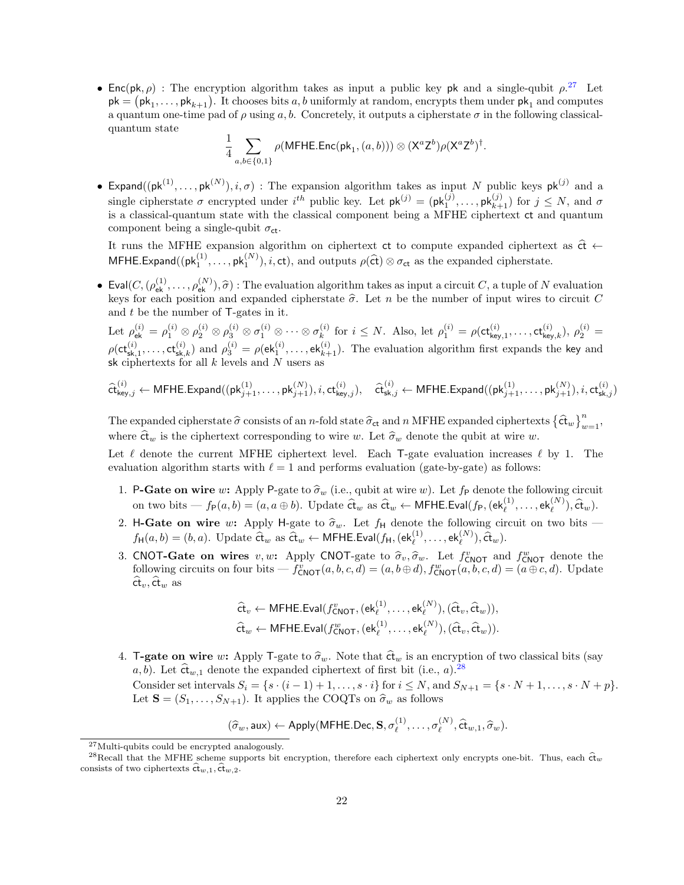• Enc(pk,  $\rho$ ) : The encryption algorithm takes as input a public key pk and a single-qubit  $\rho$ <sup>[27](#page-21-0)</sup>. Let  $pk = (pk_1, \ldots, pk_{k+1})$ . It chooses bits a, b uniformly at random, encrypts them under  $pk_1$  and computes a quantum one-time pad of  $\rho$  using a, b. Concretely, it outputs a cipherstate  $\sigma$  in the following classicalquantum state

$$
\frac{1}{4}\sum_{a,b\in\{0,1\}}\rho(\mathsf{MFHE}.\mathsf{Enc}(\mathsf{pk}_1,(a,b)))\otimes(\mathsf{X}^a\mathsf{Z}^b)\rho(\mathsf{X}^a\mathsf{Z}^b)^\dagger.
$$

**•** Expand( $(\mathsf{pk}^{(1)},\ldots,\mathsf{pk}^{(N)}), i, \sigma$ ) : The expansion algorithm takes as input N public keys  $\mathsf{pk}^{(j)}$  and a single cipherstate  $\sigma$  encrypted under  $i^{th}$  public key. Let  $pk^{(j)} = (pk_1^{(j)}, \ldots, pk_{k+1}^{(j)})$  for  $j \leq N$ , and  $\sigma$ is a classical-quantum state with the classical component being a MFHE ciphertext ct and quantum component being a single-qubit  $\sigma_{ct}$ .

It runs the MFHE expansion algorithm on ciphertext ct to compute expanded ciphertext as  $\hat{ct}$  ← MFHE.Expand( $(\mathsf{pk}_1^{(1)}, \ldots, \mathsf{pk}_1^{(N)}), i, \mathsf{ct}$ ), and outputs  $\rho(\hat{\mathsf{ct}}) \otimes \sigma_{\mathsf{ct}}$  as the expanded cipherstate.

Eval $(C,(\rho_{\text{ek}}^{(1)},\ldots,\rho_{\text{ek}}^{(N)}),\hat{\sigma})$ : The evaluation algorithm takes as input a circuit C, a tuple of N evaluation<br>level for each position and evangeled eigherate  $\hat{\sigma}$ . Let n be the number of input wires to circui keys for each position and expanded cipherstate  $\hat{\sigma}$ . Let n be the number of input wires to circuit C<br>and t be the number of  $\Gamma$  gates in it. and  $t$  be the number of  $\mathsf{T}\text{-gates in it.}$ 

Let  $\rho^{(i)}_{\mathsf{ek}} = \rho^{(i)}_1 \otimes \rho^{(i)}_2 \otimes \rho^{(i)}_3 \otimes \sigma^{(i)}_1 \otimes \cdots \otimes \sigma^{(i)}_k$  $\mathbf{f}_{k}^{(i)}$  for  $i \leq N$ . Also, let  $\rho_1^{(i)} = \rho(\mathsf{ct}_{\mathsf{key},1}^{(i)}, \ldots, \mathsf{ct}_{\mathsf{key},k}^{(i)}), \rho_2^{(i)} =$  $\rho(\mathsf{ct}_{\mathsf{sk},1}^{(i)},\ldots,\mathsf{ct}_{\mathsf{sk},k}^{(i)})$  and  $\rho_3^{(i)} = \rho(\mathsf{ek}_1^{(i)},\ldots,\mathsf{ek}_{k+1}^{(i)}).$  The evaluation algorithm first expands the key and sk ciphertexts for all  $k$  levels and  $N$  users as

$$
\widehat{\mathsf{ct}}_{\mathsf{key},j}^{(i)} \leftarrow \mathsf{MFHE}.\mathsf{Expand}((\mathsf{pk}_{j+1}^{(1)},\ldots,\mathsf{pk}_{j+1}^{(N)}), i, \mathsf{ct}_{\mathsf{key},j}^{(i)}), \quad \widehat{\mathsf{ct}}_{\mathsf{sk},j}^{(i)} \leftarrow \mathsf{MFHE}.\mathsf{Expand}((\mathsf{pk}_{j+1}^{(1)},\ldots,\mathsf{pk}_{j+1}^{(N)}), i, \mathsf{ct}_{\mathsf{sk},j}^{(i)})
$$

The expanded cipherstate  $\hat{\sigma}$  consists of an n-fold state  $\hat{\sigma}_{ct}$  and n MFHE expanded ciphertexts  $\{\hat{\mathfrak{ct}}_w\}_{w=1}^n$ , where  $\hat{\mathfrak{c}}^w$  is the ciphertext corresponding to wire w. Let  $\hat{\sigma}_w$  denote the qubit at wire w.

Let  $\ell$  denote the current MFHE ciphertext level. Each T-gate evaluation increases  $\ell$  by 1. The evaluation algorithm starts with  $\ell = 1$  and performs evaluation (gate-by-gate) as follows:

- 1. P-Gate on wire w: Apply P-gate to  $\hat{\sigma}_w$  (i.e., qubit at wire w). Let  $f_P$  denote the following circuit on two bits  $\begin{equation} f_P(a,b)=(a,a\oplus b). \end{equation}$  Update  $\hat{\mathfrak{ct}}_w$  as  $\hat{\mathfrak{ct}}_w \leftarrow$  MFHE.Eval( $f_P$ ,  $(\mathsf{ek}_\ell^{(1)},\ldots,\mathsf{ek}_\ell^{(N)}),\hat{\mathfrak{ct}}_w$ ).
- 2. H-Gate on wire w: Apply H-gate to  $\hat{\sigma}_w$ . Let  $f_H$  denote the following circuit on two bits  $f_H(a, b) = (b, a)$ . Update  $\hat{\mathbf{ct}}_w$  as  $\hat{\mathbf{ct}}_w \leftarrow \mathsf{MFHE}.\mathsf{Eval}(f_H,(\mathsf{ek}^{(1)}_\ell,\ldots,\mathsf{ek}^{(N)}_\ell),\hat{\mathbf{ct}}_w)$ .
- 3. CNOT-Gate on wires v, w: Apply CNOT-gate to  $\hat{\sigma}_v$ ,  $\hat{\sigma}_w$ . Let  $f_{\text{CNOT}}^v$  and  $f_{\text{CNOT}}^w$  denote the following given the set of  $f_v$  (a b a d) = (a b a d) = (a b a d) = (a b a d) = (a b a d) = (a b a d) = (a b following circuits on four bits  $-f_{\text{CNOT}}^v(a, b, c, d) = (a, b \oplus d), f_{\text{CNOT}}^w(a, b, c, d) = (a \oplus c, d)$ . Update  $\widehat{\text{ct}}_v, \widehat{\text{ct}}_w$  as

$$
\hat{\mathbf{ct}}_v \leftarrow \mathsf{MFHE}.\mathsf{Eval}(f_{\mathsf{CNOT}}^v, (\mathsf{ek}_{\ell}^{(1)}, \dots, \mathsf{ek}_{\ell}^{(N)}), (\hat{\mathsf{ct}}_v, \hat{\mathsf{ct}}_w)),
$$
\n
$$
\hat{\mathsf{ct}}_w \leftarrow \mathsf{MFHE}.\mathsf{Eval}(f_{\mathsf{CNOT}}^w, (\mathsf{ek}_{\ell}^{(1)}, \dots, \mathsf{ek}_{\ell}^{(N)}), (\hat{\mathsf{ct}}_v, \hat{\mathsf{ct}}_w)).
$$

4. **T-gate on wire** w: Apply T-gate to  $\hat{\sigma}_w$ . Note that  $\hat{\sigma}_w$  is an encryption of two classical bits (say a, b). Let  $\hat{\mathbf{ct}}_{w,1}$  denote the expanded ciphertext of first bit (i.e., a).<sup>[28](#page-21-1)</sup> Consider set intervals  $S_i = \{s \cdot (i-1) + 1, \ldots, s \cdot i\}$  for  $i \leq N$ , and  $S_{N+1} = \{s \cdot N + 1, \ldots, s \cdot N + p\}.$ Let  $S = (S_1, \ldots, S_{N+1})$ . It applies the COQTs on  $\hat{\sigma}_w$  as follows

$$
(\widehat{\sigma}_w, \text{aux}) \leftarrow \text{Apply}(\text{MFHE.Dec}, \mathbf{S}, \sigma_\ell^{(1)}, \dots, \sigma_\ell^{(N)}, \widehat{\text{ct}}_{w,1}, \widehat{\sigma}_w).
$$

<span id="page-21-1"></span><span id="page-21-0"></span><sup>27</sup>Multi-qubits could be encrypted analogously.

<sup>&</sup>lt;sup>28</sup>Recall that the MFHE scheme supports bit encryption, therefore each ciphertext only encrypts one-bit. Thus, each  $\hat{\sigma}_w$ consists of two ciphertexts  $\hat{\mathfrak{ct}}_{w,1}, \hat{\mathfrak{ct}}_{w,2}.$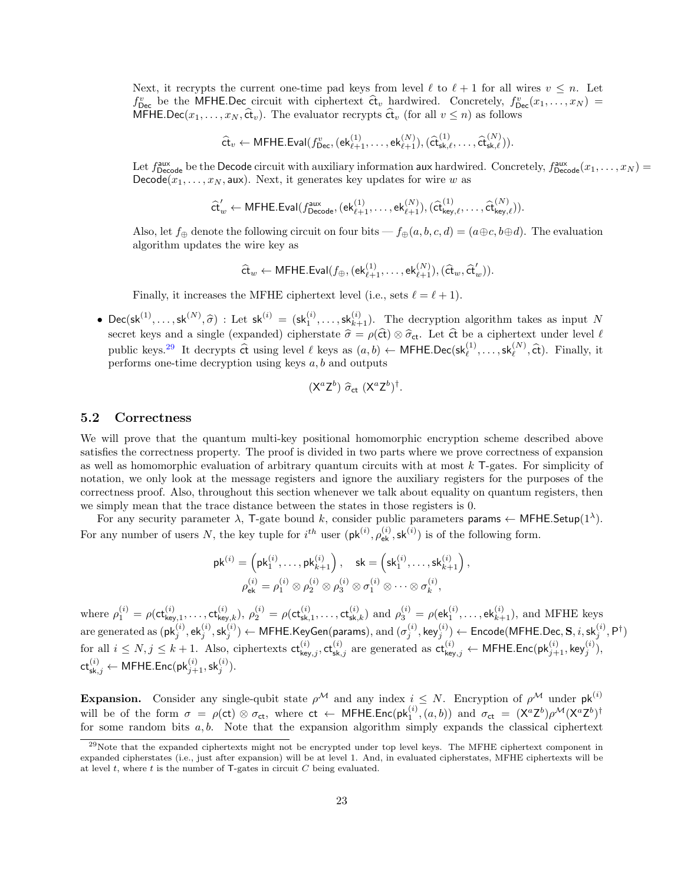Next, it recrypts the current one-time pad keys from level  $\ell$  to  $\ell + 1$  for all wires  $v \leq n$ . Let  $f_{\text{Dec}}^v$  be the MFHE.Dec circuit with ciphertext  $\hat{\mathbf{c}}_v$  hardwired. Concretely,  $f_{\text{Dec}}^v(x_1, \ldots, x_N) =$ MFHE.Dec( $x_1, \ldots, x_N$ ,  $\hat{\mathbf{ct}}_v$ ). The evaluator recrypts  $\hat{\mathbf{ct}}_v$  (for all  $v \leq n$ ) as follows

$$
\widehat{\mathsf{ct}}_v \leftarrow \mathsf{MFHE}.\mathsf{Eval}(f^v_{\mathsf{Dec}}, (\mathsf{ek}^{(1)}_{\ell+1}, \dots, \mathsf{ek}^{(N)}_{\ell+1}), (\widehat{\mathsf{ct}}^{(1)}_{\mathsf{sk}, \ell}, \dots, \widehat{\mathsf{ct}}^{(N)}_{\mathsf{sk}, \ell})).
$$

Let  $f_{\text{Decode}}^{\text{aux}}$  be the Decode circuit with auxiliary information aux hardwired. Concretely,  $f_{\text{Decode}}^{\text{aux}}(x_1,\ldots,x_N)$  = Decode( $x_1, \ldots, x_N$ , aux). Next, it generates key updates for wire w as

$$
\widehat{\mathsf{ct}}'_w \leftarrow \mathsf{MFHE}.\mathsf{Eval}(f_{\mathsf{Decode}}^{\mathsf{aux}},(\mathsf{ek}_{\ell+1}^{(1)},\ldots,\mathsf{ek}_{\ell+1}^{(N)}),(\widehat{\mathsf{ct}}_{\mathsf{key},\ell}^{(1)},\ldots,\widehat{\mathsf{ct}}_{\mathsf{key},\ell}^{(N)})).
$$

Also, let  $f_{\oplus}$  denote the following circuit on four bits —  $f_{\oplus}(a, b, c, d) = (a \oplus c, b \oplus d)$ . The evaluation algorithm updates the wire key as

$$
\widehat{\mathsf{ct}}_w \leftarrow \mathsf{MFHE}.\mathsf{Eval}(f_{\oplus},(\mathsf{ek}_{\ell+1}^{(1)},\ldots,\mathsf{ek}_{\ell+1}^{(N)}),(\widehat{\mathsf{ct}}_w,\widehat{\mathsf{ct}}_w')).
$$

Finally, it increases the MFHE ciphertext level (i.e., sets  $\ell = \ell + 1$ ).

•  $\text{Dec}(\text{sk}^{(1)}, \ldots, \text{sk}^{(N)}, \hat{\sigma})$ : Let  $\text{sk}^{(i)} = (\text{sk}^{(i)}, \ldots, \text{sk}^{(i)}_{k+1})$ . The decryption algorithm takes as input N secret keys and a single (expanded) cipherstate  $\hat{\sigma} = \rho(\hat{\sigma}) \otimes \hat{\sigma}_{ct}$ . Let  $\hat{\sigma}$  be a ciphertext under level  $\ell$ public keys.<sup>[29](#page-22-0)</sup> It decrypts  $\hat{\mathbf{c}}$ t using level  $\ell$  keys as  $(a, b) \leftarrow \mathsf{MFHE}.\mathsf{Dec}(\mathsf{sk}_{\ell}^{(1)}, \ldots, \mathsf{sk}_{\ell}^{(N)}, \hat{\mathsf{ct}}).$  Finally, it performs one-time decryption using keys  $a, b$  and outputs

$$
(\mathsf{X}^a \mathsf{Z}^b) \widehat{\sigma}_{\mathsf{ct}} (\mathsf{X}^a \mathsf{Z}^b)^{\dagger}.
$$

### <span id="page-22-1"></span>5.2 Correctness

We will prove that the quantum multi-key positional homomorphic encryption scheme described above satisfies the correctness property. The proof is divided in two parts where we prove correctness of expansion as well as homomorphic evaluation of arbitrary quantum circuits with at most k T-gates. For simplicity of notation, we only look at the message registers and ignore the auxiliary registers for the purposes of the correctness proof. Also, throughout this section whenever we talk about equality on quantum registers, then we simply mean that the trace distance between the states in those registers is 0.

For any security parameter  $\lambda$ , T-gate bound k, consider public parameters params  $\leftarrow$  MFHE. Setup(1<sup> $\lambda$ </sup>). For any number of users N, the key tuple for  $i^{th}$  user  $(\mathsf{pk}^{(i)}, \rho_{\mathsf{ek}}^{(i)}, \mathsf{sk}^{(i)})$  is of the following form.

$$
\mathsf{pk}^{(i)} = \left(\mathsf{pk}_1^{(i)}, \ldots, \mathsf{pk}_{k+1}^{(i)}\right), \quad \mathsf{sk} = \left(\mathsf{sk}_1^{(i)}, \ldots, \mathsf{sk}_{k+1}^{(i)}\right),
$$

$$
\rho_{\mathsf{ek}}^{(i)} = \rho_1^{(i)} \otimes \rho_2^{(i)} \otimes \rho_3^{(i)} \otimes \sigma_1^{(i)} \otimes \cdots \otimes \sigma_k^{(i)},
$$

where  $\rho_1^{(i)} = \rho(\mathsf{ct}_{\mathsf{key},1}^{(i)}, \ldots, \mathsf{ct}_{\mathsf{key},k}^{(i)}), \rho_2^{(i)} = \rho(\mathsf{ct}_{\mathsf{sk},1}^{(i)}, \ldots, \mathsf{ct}_{\mathsf{sk},k}^{(i)})$  and  $\rho_3^{(i)} = \rho(\mathsf{ek}_1^{(i)}, \ldots, \mathsf{ek}_{k+1}^{(i)}),$  and MFHE keys are generated as  $(\mathsf{pk}_j^{(i)},\mathsf{ek}_j^{(i)},\mathsf{sk}_j^{(i)}) \gets \mathsf{MFHE}.\mathsf{KeyGen}(\mathsf{params}), \text{and } (\sigma_j^{(i)},\mathsf{key}_j^{(i)}) \gets \mathsf{Encode}(\mathsf{MFHE}.\mathsf{Dec}, \mathbf{S}, i, \mathsf{sk}_j^{(i)}, \mathsf{P}^\dagger)$ for all  $i \leq N, j \leq k+1$ . Also, ciphertexts  $\mathsf{ct}_{\mathsf{key},j}^{(i)},\mathsf{ct}_{\mathsf{sk},j}^{(i)}$  are generated as  $\mathsf{ct}_{\mathsf{key},j}^{(i)} \leftarrow \mathsf{MFHE}.\mathsf{Enc}(\mathsf{pk}_{j+1}^{(i)},\mathsf{key}_{j}^{(i)}),$  $\mathsf{ct}_{\mathsf{sk},j}^{(i)} \leftarrow \mathsf{MFHE}.\mathsf{Enc}(\mathsf{pk}_{j+1}^{(i)},\mathsf{sk}_{j}^{(i)}).$ 

**Expansion.** Consider any single-qubit state  $\rho^{\mathcal{M}}$  and any index  $i \leq N$ . Encryption of  $\rho^{\mathcal{M}}$  under  $\mathsf{pk}^{(i)}$ will be of the form  $\sigma = \rho(\text{ct}) \otimes \sigma_{\text{ct}}$ , where  $\text{ct } \leftarrow \text{MFHE}.\text{Enc}(\text{pk}_1^{(i)},(a,b))$  and  $\sigma_{\text{ct}} = (X^a Z^b) \rho^{\mathcal{M}} (X^a Z^b)^{\dagger}$ for some random bits  $a, b$ . Note that the expansion algorithm simply expands the classical ciphertext

<span id="page-22-0"></span><sup>&</sup>lt;sup>29</sup>Note that the expanded ciphertexts might not be encrypted under top level keys. The MFHE ciphertext component in expanded cipherstates (i.e., just after expansion) will be at level 1. And, in evaluated cipherstates, MFHE ciphertexts will be at level  $t$ , where  $t$  is the number of  $T$ -gates in circuit  $C$  being evaluated.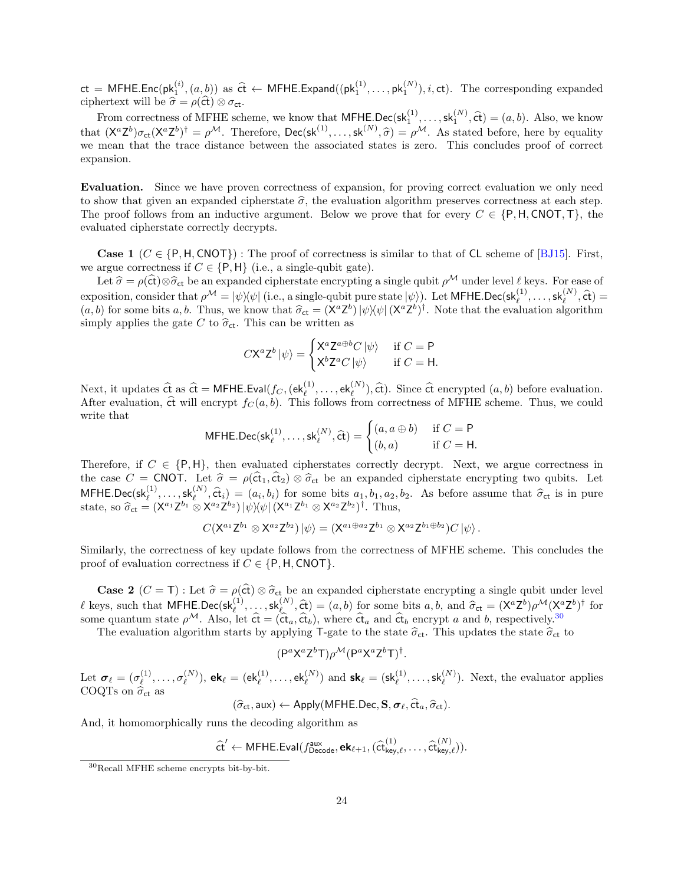$\mathsf{ct} = \mathsf{MFHE}.\mathsf{Enc}(\mathsf{pk}_1^{(i)},(a,b))$  as  $\hat{\mathsf{ct}} \leftarrow \mathsf{MFHE}.\mathsf{Expand}((\mathsf{pk}_1^{(1)},\ldots,\mathsf{pk}_1^{(N)}), i, \mathsf{ct}).$  The corresponding expanded

ciphertext will be  $\hat{\sigma} = \rho(\hat{\sigma}) \otimes \sigma_{\sigma t}$ .<br>From correctness of MFHE scheme, we know that MFHE.Dec(sk $^{(1)}_1, \ldots, s k_1^{(N)}$ ,  $\hat{\sigma}$ ) = (a, b). Also, we know that  $(X^a Z^b) \sigma_{ct}(X^a Z^b)^{\dagger} = \rho^{\mathcal{M}}$ . Therefore, Dec(sk<sup>(1)</sup>,..., sk<sup>(N)</sup>,  $\hat{\sigma}$ ) =  $\rho^{\mathcal{M}}$ . As stated before, here by equality we mean that the trace distance between the associated states is zero. This concludes proof of correct expansion.

Evaluation. Since we have proven correctness of expansion, for proving correct evaluation we only need to show that given an expanded cipherstate  $\hat{\sigma}$ , the evaluation algorithm preserves correctness at each step. The proof follows from an inductive argument. Below we prove that for every  $C \in \{P, H, \text{CNOT}, \text{T}\}\)$ , the evaluated cipherstate correctly decrypts.

**Case 1** ( $C \in \{P, H, \text{CNOT}\}\$ : The proof of correctness is similar to that of CL scheme of [\[BJ15\]](#page-45-8). First, we argue correctness if  $C \in \{P, H\}$  (i.e., a single-qubit gate).

Let  $\hat{\sigma} = \rho(\hat{\textbf{ct}}) \otimes \hat{\sigma}_{\textbf{ct}}$  be an expanded cipherstate encrypting a single qubit  $\rho^{\mathcal{M}}$  under level  $\ell$  keys. For ease of exposition, consider that  $\rho^{\mathcal{M}} = |\psi\rangle\langle\psi|$  (i.e., a single-qubit pure state  $|\psi\rangle$ ). Let MFHE.Dec(sk<sup>(1</sup>),..., sk<sup>(N</sup>), ct) =  $(a, b)$  for some bits a, b. Thus, we know that  $\hat{\sigma}_{ct} = (X^a Z^b) |\psi\rangle\langle\psi| (X^a Z^b)^{\dagger}$ . Note that the evaluation algorithm simply applies the gate C to  $\hat{\sigma}_{ct}$ . This can be written as

$$
C\mathsf{X}^{a}\mathsf{Z}^{b}|\psi\rangle = \begin{cases} \mathsf{X}^{a}\mathsf{Z}^{a\oplus b}C|\psi\rangle & \text{ if } C = \mathsf{P} \\ \mathsf{X}^{b}\mathsf{Z}^{a}C|\psi\rangle & \text{ if } C = \mathsf{H}. \end{cases}
$$

Next, it updates  $\hat{\mathbf{ct}}$  as  $\hat{\mathbf{ct}} = \mathsf{MFHE}.\mathsf{Eval}(f_C,(\mathsf{ek}_l^{(1)},\ldots,\mathsf{ek}_l^{(N)}),\hat{\mathsf{ct}}).$  Since  $\hat{\mathsf{ct}}$  encrypted  $(a,b)$  before evaluation. After evaluation,  $\hat{\text{ct}}$  will encrypt  $f_C (a, b)$ . This follows from correctness of MFHE scheme. Thus, we could write that

$$
\mathsf{MFHE}.\mathsf{Dec}(\mathsf{sk}_{\ell}^{(1)},\ldots,\mathsf{sk}_{\ell}^{(N)},\widehat{\mathsf{ct}}) = \begin{cases} (a,a \oplus b) & \text{if } C = \mathsf{P} \\ (b,a) & \text{if } C = \mathsf{H}. \end{cases}
$$

Therefore, if  $C \in \{P, H\}$ , then evaluated cipherstates correctly decrypt. Next, we argue correctness in the case  $C = \text{CNOT}$ . Let  $\hat{\sigma} = \rho(\hat{\sigma}_1, \hat{\sigma}_2) \otimes \hat{\sigma}_{\text{ct}}$  be an expanded cipherstate encrypting two qubits. Let MFHE.Dec(sk $_{\ell}^{(1)}, \ldots, s_{k}^{(N)}$ ,  $\hat{\epsilon}_{i}$ ) =  $(a_i, b_i)$  for some bits  $a_1, b_1, a_2, b_2$ . As before assume that  $\hat{\sigma}_{ct}$  is in pure state, so  $\hat{\sigma}_{ct} = (X^{a_1} Z^{b_1} \otimes X^{a_2} Z^{b_2}) |\psi\rangle\langle\psi| (X^{a_1} Z^{b_1} \otimes X^{a_2} Z^{b_2})^{\dagger}$ . Thus,

$$
C({X^{a_1}Z^{b_1}\otimes X^{a_2}Z^{b_2}})\ket{\psi}=(X^{a_1\oplus a_2}Z^{b_1}\otimes X^{a_2}Z^{b_1\oplus b_2})C\ket{\psi}.
$$

Similarly, the correctness of key update follows from the correctness of MFHE scheme. This concludes the proof of evaluation correctness if  $C \in \{P, H, \text{CNOT}\}.$ 

**Case 2** (C = T) : Let  $\hat{\sigma} = \rho(\hat{\sigma}) \otimes \hat{\sigma}_{\hat{\sigma}}$  be an expanded cipherstate encrypting a single qubit under level  $\ell$  keys, such that MFHE.Dec(sk<sup>(1)</sup>,...,sk<sup>(N)</sup>,  $\hat{\epsilon}$ ) = (a, b) for some bits a, b, and  $\hat{\sigma}_{ct} = (X^a Z^b) \rho^{\mathcal{M}} (X^a Z^b)^{\dagger}$  for some quantum state  $\rho^{\mathcal{M}}$ . Also, let  $\hat{\mathbf{c}} = (\hat{\mathbf{c}}_{a}, \hat{\mathbf{c}}_{b})$ , where  $\hat{\mathbf{c}}_{a}$  and  $\hat{\mathbf{c}}_{b}$  encrypt a and b, respectively.<sup>[30](#page-23-0)</sup>

The evaluation algorithm starts by applying T-gate to the state  $\hat{\sigma}_{ct}$ . This updates the state  $\hat{\sigma}_{ct}$  to

$$
(\mathsf{P}^a \mathsf{X}^a \mathsf{Z}^b \mathsf{T}) \rho^{\mathcal{M}} (\mathsf{P}^a \mathsf{X}^a \mathsf{Z}^b \mathsf{T})^{\dagger}.
$$

Let  $\boldsymbol{\sigma}_{\ell} = (\sigma_{\ell}^{(1)}$  $\sigma_\ell^{(1)}, \ldots, \sigma_\ell^{(N)}$  $\mathbf{R}^{(N)}_{\ell}$ ),  $\mathbf{ek}_{\ell} = (\mathsf{ek}_{\ell}^{(1)}, \dots, \mathsf{ek}_{\ell}^{(N)})$  and  $\mathsf{sk}_{\ell} = (\mathsf{sk}_{\ell}^{(1)}, \dots, \mathsf{sk}_{\ell}^{(N)})$ . Next, the evaluator applies COQTs on  $\hat{\sigma}_{ct}$  as

$$
(\hat{\sigma}_{ct}, \text{aux}) \leftarrow \text{Apply}(\text{MFHE.Dec}, \mathbf{S}, \sigma_{\ell}, \hat{\text{ct}}_a, \hat{\sigma}_{\text{ct}}).
$$

And, it homomorphically runs the decoding algorithm as

$$
\widehat{\mathsf{ct}}' \leftarrow \mathsf{MFHE}.\mathsf{Eval}(f_{\mathsf{Decode}}^{\mathsf{aux}},\mathsf{ek}_{\ell+1},(\widehat{\mathsf{ct}}_{\mathsf{key},\ell}^{(1)},\ldots,\widehat{\mathsf{ct}}_{\mathsf{key},\ell}^{(N)})).
$$

<span id="page-23-0"></span><sup>30</sup>Recall MFHE scheme encrypts bit-by-bit.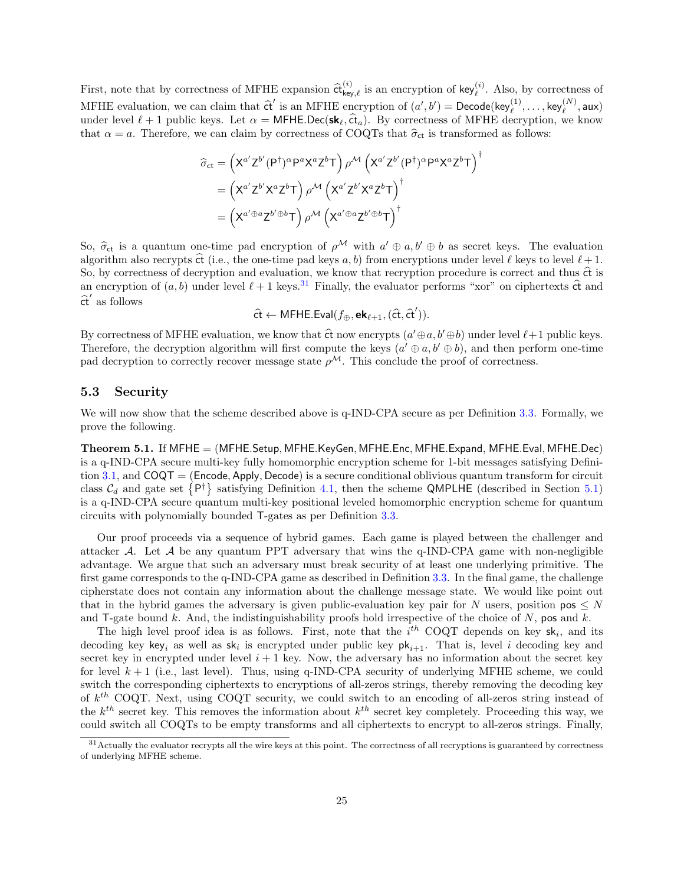First, note that by correctness of MFHE expansion  $\hat{\sigma}^{(i)}_{\text{key},\ell}$  is an encryption of key<sub> $(\ell)$ </sub>. Also, by correctness of MFHE evaluation, we can claim that  $\hat{\mathbf{c}}'$  is an MFHE encryption of  $(a', b') = \text{Decode}(\text{key}_\ell^{(1)}, \dots, \text{key}_\ell^{(N)}, \text{aux})$ under level  $\ell + 1$  public keys. Let  $\alpha = \mathsf{MFHE}$ .Dec( $\mathsf{sk}_\ell, \hat{\mathsf{ct}}_a$ ). By correctness of MFHE decryption, we know that  $\alpha = a$ . Therefore, we can claim by correctness of COQTs that  $\hat{\sigma}_{ct}$  is transformed as follows:

$$
\begin{split} \widehat{\sigma}_{ct} &= \left( X^{a'} Z^{b'} (P^{\dagger})^{\alpha} P^{a} X^{a} Z^{b} T \right) \rho^{\mathcal{M}} \left( X^{a'} Z^{b'} (P^{\dagger})^{\alpha} P^{a} X^{a} Z^{b} T \right)^{\dagger} \\ &= \left( X^{a'} Z^{b'} X^{a} Z^{b} T \right) \rho^{\mathcal{M}} \left( X^{a'} Z^{b'} X^{a} Z^{b} T \right)^{\dagger} \\ &= \left( X^{a' \oplus a} Z^{b' \oplus b} T \right) \rho^{\mathcal{M}} \left( X^{a' \oplus a} Z^{b' \oplus b} T \right)^{\dagger} \end{split}
$$

So,  $\hat{\sigma}_{ct}$  is a quantum one-time pad encryption of  $\rho^{\mathcal{M}}$  with  $a' \oplus a, b' \oplus b$  as secret keys. The evaluation also recents  $\hat{\sigma}$  (i.e., the one time pad keys a b) from encryptions under level  $\ell$  heys to level algorithm also recrypts  $\hat{\alpha}$  (i.e., the one-time pad keys a, b) from encryptions under level  $\ell$  keys to level  $\ell + 1$ . So, by correctness of decryption and evaluation, we know that recryption procedure is correct and thus  $\hat{\alpha}$  is an encryption of  $(a, b)$  under level  $\ell + 1$  keys.<sup>[31](#page-24-0)</sup> Finally, the evaluator performs "xor" on ciphertexts  $\hat{\mathbf{c}}$  and  $\widehat{\text{ct}}'$  as follows

$$
\widehat{\mathsf{ct}} \leftarrow \mathsf{MFHE}.\mathsf{Eval}(f_{\oplus},\mathsf{ek}_{\ell+1},(\widehat{\mathsf{ct}},\widehat{\mathsf{ct}}')).
$$

By correctness of MFHE evaluation, we know that  $\hat{\mathfrak{ct}}$  now encrypts  $(a' \oplus a, b' \oplus b)$  under level  $\ell+1$  public keys. Therefore, the decryption algorithm will first compute the keys  $(a' \oplus a, b' \oplus b)$ , and then perform one-time pad decryption to correctly recover message state  $\rho^{\mathcal{M}}$ . This conclude the proof of correctness.

### 5.3 Security

We will now show that the scheme described above is q-IND-CPA secure as per Definition [3.3.](#page-13-1) Formally, we prove the following.

<span id="page-24-1"></span>Theorem 5.1. If MFHE = (MFHE.Setup, MFHE.KeyGen, MFHE.Enc, MFHE.Expand, MFHE.Eval, MFHE.Dec) is a q-IND-CPA secure multi-key fully homomorphic encryption scheme for 1-bit messages satisfying Defini-tion [3.1,](#page-11-0) and  $COQT = (Encode, Apply, Decode)$  is a secure conditional oblivious quantum transform for circuit class  $C_d$  and gate set  $\{P^{\dagger}\}\$  satisfying Definition [4.1,](#page-19-2) then the scheme QMPLHE (described in Section [5.1\)](#page-20-2) is a q-IND-CPA secure quantum multi-key positional leveled homomorphic encryption scheme for quantum circuits with polynomially bounded T-gates as per Definition [3.3.](#page-13-1)

Our proof proceeds via a sequence of hybrid games. Each game is played between the challenger and attacker A. Let A be any quantum PPT adversary that wins the q-IND-CPA game with non-negligible advantage. We argue that such an adversary must break security of at least one underlying primitive. The first game corresponds to the q-IND-CPA game as described in Definition [3.3.](#page-13-1) In the final game, the challenge cipherstate does not contain any information about the challenge message state. We would like point out that in the hybrid games the adversary is given public-evaluation key pair for N users, position  $pos \leq N$ and T-gate bound  $k$ . And, the indistinguishability proofs hold irrespective of the choice of  $N$ , pos and  $k$ .

The high level proof idea is as follows. First, note that the  $i^{th}$  COQT depends on key sk<sub>i</sub>, and its decoding key key<sub>i</sub> as well as  $sk_i$  is encrypted under public key  $pk_{i+1}$ . That is, level i decoding key and secret key in encrypted under level  $i + 1$  key. Now, the adversary has no information about the secret key for level  $k + 1$  (i.e., last level). Thus, using q-IND-CPA security of underlying MFHE scheme, we could switch the corresponding ciphertexts to encryptions of all-zeros strings, thereby removing the decoding key of  $k^{th}$  COQT. Next, using COQT security, we could switch to an encoding of all-zeros string instead of the  $k^{th}$  secret key. This removes the information about  $k^{th}$  secret key completely. Proceeding this way, we could switch all COQTs to be empty transforms and all ciphertexts to encrypt to all-zeros strings. Finally,

<span id="page-24-0"></span><sup>&</sup>lt;sup>31</sup> Actually the evaluator recrypts all the wire keys at this point. The correctness of all recryptions is guaranteed by correctness of underlying MFHE scheme.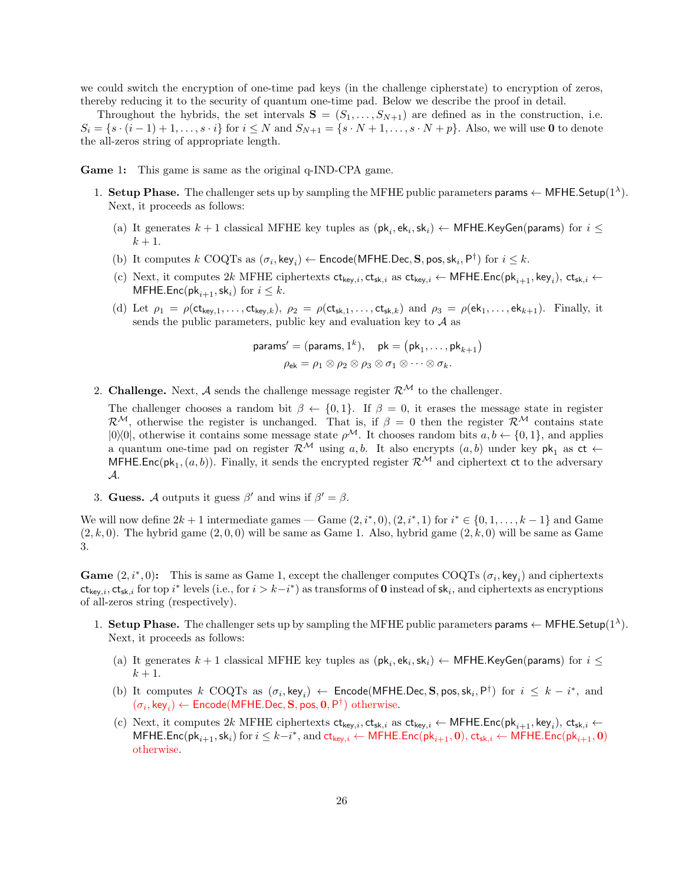we could switch the encryption of one-time pad keys (in the challenge cipherstate) to encryption of zeros, thereby reducing it to the security of quantum one-time pad. Below we describe the proof in detail.

Throughout the hybrids, the set intervals  $S = (S_1, \ldots, S_{N+1})$  are defined as in the construction, i.e.  $S_i = \{s \cdot (i-1)+1,\ldots,s \cdot i\}$  for  $i \leq N$  and  $S_{N+1} = \{s \cdot N+1,\ldots,s \cdot N+p\}$ . Also, we will use 0 to denote the all-zeros string of appropriate length.

Game 1: This game is same as the original q-IND-CPA game.

- 1. Setup Phase. The challenger sets up by sampling the MFHE public parameters params  $\leftarrow$  MFHE. Setup(1<sup> $\lambda$ </sup>). Next, it proceeds as follows:
	- (a) It generates  $k+1$  classical MFHE key tuples as  $(\mathsf{pk}_i, \mathsf{ek}_i, \mathsf{sk}_i) \leftarrow \mathsf{MFHE}$ .KeyGen(params) for  $i \leq$  $k+1$ .
	- (b) It computes  $k$  COQTs as  $(\sigma_i, \text{key}_i) \leftarrow \text{Encode}(\text{MFHE.Dec}, \mathbf{S}, \text{pos}, \text{sk}_i, \mathsf{P}^{\dagger})$  for  $i \leq k$ .
	- (c) Next, it computes 2k MFHE ciphertexts  $ct_{key,i}$ ,  $ct_{sk,i}$  as  $ct_{key,i}$   $\leftarrow$  MFHE.Enc( $pk_{i+1}$ , key<sub>i</sub>),  $ct_{sk,i}$   $\leftarrow$ MFHE.Enc(pk<sub>i+1</sub>, sk<sub>i</sub>) for  $i \leq k$ .
	- (d) Let  $\rho_1 = \rho(\mathsf{ct}_{\mathsf{kev},1},\ldots,\mathsf{ct}_{\mathsf{kev},k}), \rho_2 = \rho(\mathsf{ct}_{\mathsf{sk},1},\ldots,\mathsf{ct}_{\mathsf{sk},k})$  and  $\rho_3 = \rho(\mathsf{ek}_1,\ldots,\mathsf{ek}_{k+1}).$  Finally, it sends the public parameters, public key and evaluation key to  $A$  as

$$
\mathsf{params}' = (\mathsf{params}, 1^k), \quad \mathsf{pk} = (\mathsf{pk}_1, \dots, \mathsf{pk}_{k+1})
$$
\n
$$
\rho_{\mathsf{ek}} = \rho_1 \otimes \rho_2 \otimes \rho_3 \otimes \sigma_1 \otimes \dots \otimes \sigma_k.
$$

2. Challenge. Next, A sends the challenge message register  $\mathcal{R}^{\mathcal{M}}$  to the challenger.

The challenger chooses a random bit  $\beta \leftarrow \{0,1\}$ . If  $\beta = 0$ , it erases the message state in register  $\mathcal{R}^{\mathcal{M}}$ , otherwise the register is unchanged. That is, if  $\beta = 0$  then the register  $\mathcal{R}^{\mathcal{M}}$  contains state  $|0\rangle\langle 0|$ , otherwise it contains some message state  $\rho^{\mathcal{M}}$ . It chooses random bits  $a, b \leftarrow \{0, 1\}$ , and applies a quantum one-time pad on register  $\mathcal{R}^{\mathcal{M}}$  using a, b. It also encrypts  $(a, b)$  under key pk<sub>1</sub> as ct  $\leftarrow$ MFHE.Enc( $pk_1$ ,  $(a, b)$ ). Finally, it sends the encrypted register  $\mathcal{R}^{\mathcal{M}}$  and ciphertext ct to the adversary A.

3. Guess. A outputs it guess  $\beta'$  and wins if  $\beta' = \beta$ .

We will now define  $2k + 1$  intermediate games — Game  $(2, i^*, 0), (2, i^*, 1)$  for  $i^* \in \{0, 1, \ldots, k-1\}$  and Game  $(2, k, 0)$ . The hybrid game  $(2, 0, 0)$  will be same as Game 1. Also, hybrid game  $(2, k, 0)$  will be same as Game 3.

Game  $(2, i^*, 0)$ : This is same as Game 1, except the challenger computes COQTs  $(\sigma_i, \text{key}_i)$  and ciphertexts  $ct_{key,i}$ ,  $ct_{sk,i}$  for top  $i^*$  levels (i.e., for  $i > k-i^*$ ) as transforms of **0** instead of  $sk_i$ , and ciphertexts as encryptions of all-zeros string (respectively).

- 1. Setup Phase. The challenger sets up by sampling the MFHE public parameters params  $\leftarrow$  MFHE. Setup(1<sup> $\lambda$ </sup>). Next, it proceeds as follows:
	- (a) It generates  $k+1$  classical MFHE key tuples as  $(\mathsf{pk}_i, \mathsf{ek}_i, \mathsf{sk}_i) \leftarrow \mathsf{MFHE}$ .KeyGen(params) for  $i \leq$  $k+1$ .
	- (b) It computes  $k$  COQTs as  $(\sigma_i, \text{key}_i) \leftarrow \text{Encode}(\text{MFHE.Dec}, \textbf{S}, \text{pos}, \text{sk}_i, \text{P}^{\dagger})$  for  $i \leq k i^*$ , and  $(\sigma_i,\mathsf{key}_i) \leftarrow \mathsf{Encode}(\mathsf{MFHE}.\mathsf{Dec}, \mathbf{S}, \mathsf{pos}, \mathbf{0}, \mathsf{P}^\dagger) \text{ otherwise.}$
	- (c) Next, it computes  $2k$  MFHE ciphertexts  $ct_{key,i}$ ,  $ct_{sk,i}$  as  $ct_{key,i}$   $\leftarrow$  MFHE.Enc( $pk_{i+1}$ ,  $key_i$ ),  $ct_{sk,i}$   $\leftarrow$  $\mathsf{MFHE}.\mathsf{Enc}(\mathsf{pk}_{i+1},\mathsf{sk}_i)$  for  $i\leq k-i^*,$  and  $\mathsf{ct}_{\mathsf{key},i} \leftarrow \mathsf{MFHE}.\mathsf{Enc}(\mathsf{pk}_{i+1},\mathbf{0}),$   $\mathsf{ct}_{\mathsf{sk},i} \leftarrow \mathsf{MFHE}.\mathsf{Enc}(\mathsf{pk}_{i+1},\mathbf{0})$ otherwise.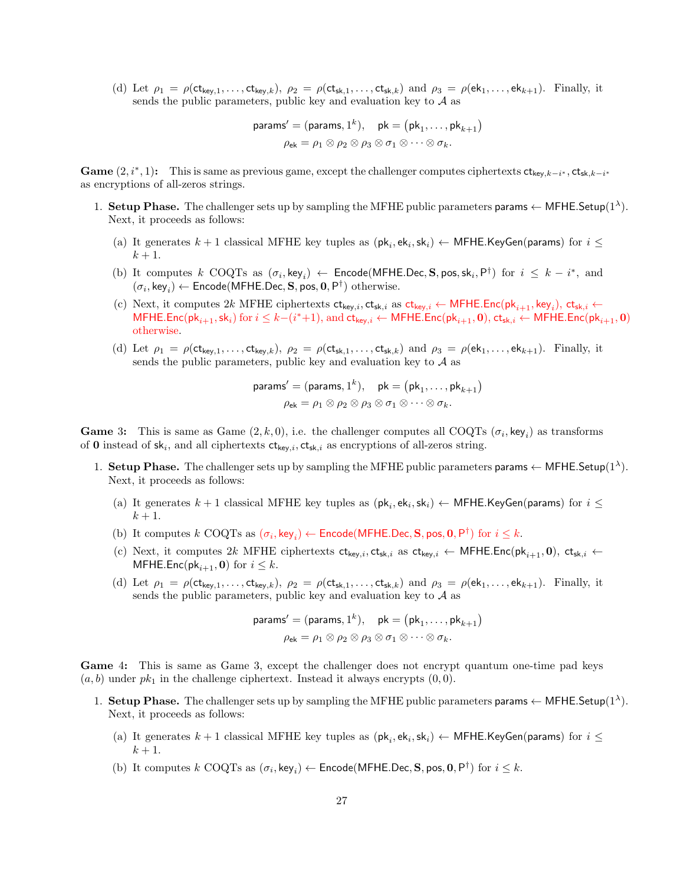(d) Let  $\rho_1 = \rho(\mathsf{ct}_{\mathsf{kev},1},\ldots,\mathsf{ct}_{\mathsf{kev},k}), \rho_2 = \rho(\mathsf{ct}_{\mathsf{sk},1},\ldots,\mathsf{ct}_{\mathsf{sk},k})$  and  $\rho_3 = \rho(\mathsf{ek}_1,\ldots,\mathsf{ek}_{k+1}).$  Finally, it sends the public parameters, public key and evaluation key to  $A$  as

$$
\mathsf{params}' = (\mathsf{params}, 1^k), \quad \mathsf{pk} = (\mathsf{pk}_1, \dots, \mathsf{pk}_{k+1})
$$
\n
$$
\rho_{\mathsf{ek}} = \rho_1 \otimes \rho_2 \otimes \rho_3 \otimes \sigma_1 \otimes \dots \otimes \sigma_k.
$$

Game  $(2, i^*, 1)$ : This is same as previous game, except the challenger computes ciphertexts  $ct_{key, k-i^*}$ ,  $ct_{sk, k-i^*}$ as encryptions of all-zeros strings.

- 1. Setup Phase. The challenger sets up by sampling the MFHE public parameters params  $\leftarrow$  MFHE. Setup(1<sup> $\lambda$ </sup>). Next, it proceeds as follows:
	- (a) It generates  $k+1$  classical MFHE key tuples as  $(\mathsf{pk}_i, \mathsf{ek}_i, \mathsf{sk}_i) \leftarrow \mathsf{MFHE}$ .KeyGen(params) for  $i \leq$  $k+1$ .
	- (b) It computes  $k$  COQTs as  $(\sigma_i, \text{key}_i) \leftarrow \text{Encode}(\text{MFHE.Dec}, \textbf{S}, \text{pos}, \text{sk}_i, \text{P}^{\dagger})$  for  $i \leq k i^*$ , and  $(\sigma_i,\mathsf{key}_i) \leftarrow \mathsf{Encode}(\mathsf{MFHE}.\mathsf{Dec}, \mathbf{S}, \mathsf{pos}, \mathbf{0}, \mathsf{P}^\dagger) \text{ otherwise.}$
	- (c) Next, it computes 2k MFHE ciphertexts  $ct_{key,i}$ ,  $ct_{sk,i}$  as  $ct_{key,i}$   $\leftarrow$  MFHE.Enc( $pk_{i+1}$ , key<sub>i</sub>),  $ct_{sk,i}$   $\leftarrow$  ${\sf MFHE}.\mathsf{Enc}({\sf pk}_{i+1}, {\sf sk}_i)$  for  $i \leq k-(i^*+1),$  and  $\mathsf{ct}_{\mathsf{key},i} \gets {\sf MFHE}.\mathsf{Enc}({\sf pk}_{i+1},\mathbf{0}),$   $\mathsf{ct}_{\mathsf{sk},i} \gets {\sf MFHE}.\mathsf{Enc}({\sf pk}_{i+1},\mathbf{0})$ otherwise.
	- (d) Let  $\rho_1 = \rho(\mathsf{ct}_{\mathsf{key},1},\ldots,\mathsf{ct}_{\mathsf{key},k}),\ \rho_2 = \rho(\mathsf{ct}_{\mathsf{sk},1},\ldots,\mathsf{ct}_{\mathsf{sk},k})$  and  $\rho_3 = \rho(\mathsf{ek}_1,\ldots,\mathsf{ek}_{k+1}).$  Finally, it sends the public parameters, public key and evaluation key to  $A$  as

$$
\mathsf{params}' = (\mathsf{params}, 1^k), \quad \mathsf{pk} = (\mathsf{pk}_1, \dots, \mathsf{pk}_{k+1})
$$
\n
$$
\rho_{\mathsf{ek}} = \rho_1 \otimes \rho_2 \otimes \rho_3 \otimes \sigma_1 \otimes \dots \otimes \sigma_k.
$$

**Game** 3: This is same as Game  $(2, k, 0)$ , i.e. the challenger computes all COQTs  $(\sigma_i, \text{key}_i)$  as transforms of 0 instead of  $sk_i$ , and all ciphertexts  $ct_{key,i}$ ,  $ct_{sk,i}$  as encryptions of all-zeros string.

- 1. Setup Phase. The challenger sets up by sampling the MFHE public parameters params  $\leftarrow$  MFHE. Setup(1<sup> $\lambda$ </sup>). Next, it proceeds as follows:
	- (a) It generates  $k+1$  classical MFHE key tuples as  $(\mathsf{pk}_i, \mathsf{ek}_i, \mathsf{sk}_i) \leftarrow \mathsf{MFHE}$ .KeyGen(params) for  $i \leq$  $k+1$ .
	- (b) It computes  $k$  COQTs as  $(\sigma_i, \text{key}_i) \leftarrow \text{Encode}(\text{MFHE.Dec}, \mathbf{S}, \text{pos}, \mathbf{0}, \mathsf{P}^{\dagger})$  for  $i \leq k$ .
	- (c) Next, it computes 2k MFHE ciphertexts  $ct_{key,i}$ ,  $ct_{sk,i}$  as  $ct_{key,i}$  ← MFHE.Enc( $pk_{i+1}$ , 0),  $ct_{sk,i}$  ← MFHE.Enc(pk<sub>i+1</sub>, 0) for  $i \leq k$ .
	- (d) Let  $\rho_1 = \rho(\mathsf{ct}_{\mathsf{kev},1},\ldots,\mathsf{ct}_{\mathsf{kev},k}), \rho_2 = \rho(\mathsf{ct}_{\mathsf{sk},1},\ldots,\mathsf{ct}_{\mathsf{sk},k})$  and  $\rho_3 = \rho(\mathsf{ek}_1,\ldots,\mathsf{ek}_{k+1}).$  Finally, it sends the public parameters, public key and evaluation key to  $A$  as

$$
\mathsf{params}' = (\mathsf{params}, 1^k), \quad \mathsf{pk} = (\mathsf{pk}_1, \dots, \mathsf{pk}_{k+1})
$$
\n
$$
\rho_{\mathsf{ek}} = \rho_1 \otimes \rho_2 \otimes \rho_3 \otimes \sigma_1 \otimes \dots \otimes \sigma_k.
$$

Game 4: This is same as Game 3, except the challenger does not encrypt quantum one-time pad keys  $(a, b)$  under  $pk_1$  in the challenge ciphertext. Instead it always encrypts  $(0, 0)$ .

- 1. Setup Phase. The challenger sets up by sampling the MFHE public parameters params  $\leftarrow$  MFHE. Setup(1<sup> $\lambda$ </sup>). Next, it proceeds as follows:
	- (a) It generates  $k+1$  classical MFHE key tuples as  $(\mathsf{pk}_i, \mathsf{ek}_i, \mathsf{sk}_i) \leftarrow \mathsf{MFHE}$ .KeyGen(params) for  $i \leq$  $k+1$ .
	- (b) It computes  $k$  COQTs as  $(\sigma_i, \text{key}_i) \leftarrow \text{Encode}(\text{MFHE.Dec}, \mathbf{S}, \text{pos}, \mathbf{0}, \mathsf{P}^{\dagger})$  for  $i \leq k$ .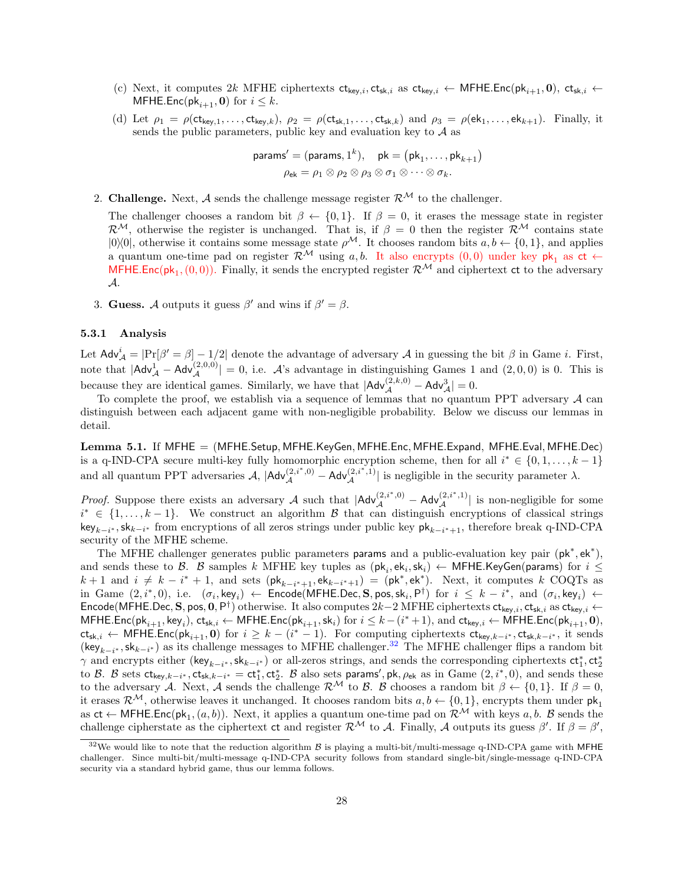- (c) Next, it computes 2k MFHE ciphertexts  $ct_{key,i}$ ,  $ct_{sk,i}$  as  $ct_{key,i}$   $\leftarrow$  MFHE.Enc( $pk_{i+1}$ , 0),  $ct_{sk,i}$   $\leftarrow$ MFHE.Enc(pk<sub>i+1</sub>, 0) for  $i \leq k$ .
- (d) Let  $\rho_1 = \rho(\mathsf{ct}_{\mathsf{key},1},\ldots,\mathsf{ct}_{\mathsf{key},k}), \ \rho_2 = \rho(\mathsf{ct}_{\mathsf{sk},1},\ldots,\mathsf{ct}_{\mathsf{sk},k})$  and  $\rho_3 = \rho(\mathsf{ek}_1,\ldots,\mathsf{ek}_{k+1}).$  Finally, it sends the public parameters, public key and evaluation key to  $A$  as

$$
\mathsf{params}' = (\mathsf{params}, 1^k), \quad \mathsf{pk} = (\mathsf{pk}_1, \dots, \mathsf{pk}_{k+1})
$$
\n
$$
\rho_{\mathsf{ek}} = \rho_1 \otimes \rho_2 \otimes \rho_3 \otimes \sigma_1 \otimes \dots \otimes \sigma_k.
$$

2. Challenge. Next, A sends the challenge message register  $\mathcal{R}^{\mathcal{M}}$  to the challenger.

The challenger chooses a random bit  $\beta \leftarrow \{0,1\}$ . If  $\beta = 0$ , it erases the message state in register  $\mathcal{R}^{\mathcal{M}}$ , otherwise the register is unchanged. That is, if  $\beta = 0$  then the register  $\mathcal{R}^{\mathcal{M}}$  contains state  $|0\rangle\langle 0|$ , otherwise it contains some message state  $\rho^{\mathcal{M}}$ . It chooses random bits  $a, b \leftarrow \{0, 1\}$ , and applies a quantum one-time pad on register  $\mathcal{R}^{\mathcal{M}}$  using a, b. It also encrypts  $(0,0)$  under key pk<sub>1</sub> as ct  $\leftarrow$ MFHE.Enc( $pk_1$ ,  $(0, 0)$ ). Finally, it sends the encrypted register  $\mathcal{R}^{\mathcal{M}}$  and ciphertext ct to the adversary A.

3. Guess. A outputs it guess  $\beta'$  and wins if  $\beta' = \beta$ .

### 5.3.1 Analysis

Let  $\mathsf{Adv}_{\mathcal{A}}^i = |\Pr[\beta' = \beta] - 1/2|$  denote the advantage of adversary  $\mathcal{A}$  in guessing the bit  $\beta$  in Game *i*. First, note that  $|Adv^1_A - Adv^{(2,0,0)}_A| = 0$ , i.e. A's advantage in distinguishing Games 1 and  $(2,0,0)$  is 0. This is because they are identical games. Similarly, we have that  $|Adv_{\mathcal{A}}^{(2,k,0)} - Adv_{\mathcal{A}}^3| = 0$ .

To complete the proof, we establish via a sequence of lemmas that no quantum PPT adversary  $\mathcal A$  can distinguish between each adjacent game with non-negligible probability. Below we discuss our lemmas in detail.

<span id="page-27-1"></span>Lemma 5.1. If MFHE = (MFHE.Setup, MFHE.KeyGen, MFHE.Enc, MFHE.Expand, MFHE.Eval, MFHE.Dec) is a q-IND-CPA secure multi-key fully homomorphic encryption scheme, then for all  $i^* \in \{0, 1, ..., k-1\}$ and all quantum PPT adversaries  $\mathcal{A}, |\mathsf{Adv}_{\mathcal{A}}^{(2,i^*,0)} - \mathsf{Adv}_{\mathcal{A}}^{(2,i^*,1)}|$  is negligible in the security parameter  $\lambda$ .

*Proof.* Suppose there exists an adversary A such that  $|Adv_{\mathcal{A}}^{(2,i^*,0)} - Adv_{\mathcal{A}}^{(2,i^*,1)}|$  is non-negligible for some  $i^* \in \{1, \ldots, k-1\}$ . We construct an algorithm B that can distinguish encryptions of classical strings key<sub>k−i\*</sub>, sk<sub>k−i\*</sub> from encryptions of all zeros strings under public key  $\mathsf{pk}_{k-i^*+1}$ , therefore break q-IND-CPA security of the MFHE scheme.

The MFHE challenger generates public parameters params and a public-evaluation key pair (pk<sup>\*</sup>,ek<sup>\*</sup>), and sends these to  $\mathcal{B}$ .  $\mathcal{B}$  samples  $k$  MFHE key tuples as  $(\mathsf{pk}_i, \mathsf{sk}_i) \leftarrow$  MFHE.KeyGen(params) for  $i \leq$  $k+1$  and  $i \neq k-i^*+1$ , and sets  $(\mathsf{pk}_{k-i^*+1}, \mathsf{ek}_{k-i^*+1}) = (\mathsf{pk}^*, \mathsf{ek}^*)$ . Next, it computes k COQTs as in Game  $(2, i^*, 0)$ , i.e.  $(\sigma_i, \text{key}_i) \leftarrow \text{Encode}(\text{MFHE.Dec}, \mathbf{S}, \text{pos}, \text{sk}_i, \mathsf{P}^{\dagger})$  for  $i \leq k - i^*$ , and  $(\sigma_i, \text{key}_i) \leftarrow$ Encode(MFHE.Dec, S, pos, 0, P<sup>†</sup>) otherwise. It also computes  $2k-2$  MFHE ciphertexts  $ct_{key,i}$ ,  $ct_{sky,i}$  as  $ct_{key,i}$   $\leftarrow$  $\mathsf{MFHE}.\mathsf{Enc}(\mathsf{pk}_{i+1},\mathsf{key}_i),\mathsf{ct}_{\mathsf{sk},i} \leftarrow \mathsf{MFHE}.\mathsf{Enc}(\mathsf{pk}_{i+1},\mathsf{sk}_i) \text{ for } i\leq k-(i^*+1), \text{ and } \mathsf{ct}_{\mathsf{key},i} \leftarrow \mathsf{MFHE}.\mathsf{Enc}(\mathsf{pk}_{i+1},\mathbf{0}),$  $ct_{sk,i} \leftarrow \mathsf{MFHE}.\mathsf{Enc}(\mathsf{pk}_{i+1},\mathbf{0})$  for  $i \geq k - (i^* - 1)$ . For computing ciphertexts  $ct_{key,k-i^*},ct_{sk,k-i^*},$  it sends  $(\text{key}_{k-i^*}, \text{sk}_{k-i^*})$  as its challenge messages to MFHE challenger.<sup>[32](#page-27-0)</sup> The MFHE challenger flips a random bit  $\gamma$  and encrypts either (key<sub>k−i<sup>\*</sup></sub>, sk<sub>k−i</sub><sup>\*</sup>) or all-zeros strings, and sends the corresponding ciphertexts  $ct_1^*$ ,  $ct_2^*$ to B. B sets  $ct_{key,k-i^*}$ ,  $ct_{sk,k-i^*} = ct_1^*$ ,  $ct_2^*$ . B also sets params', pk,  $\rho_{ek}$  as in Game  $(2, i^*, 0)$ , and sends these to the adversary A. Next, A sends the challenge  $\mathcal{R}^{\mathcal{M}}$  to B. B chooses a random bit  $\beta \leftarrow \{0, 1\}$ . If  $\beta = 0$ , it erases  $\mathcal{R}^{\mathcal{M}}$ , otherwise leaves it unchanged. It chooses random bits  $a, b \leftarrow \{0, 1\}$ , encrypts them under  $\mathsf{pk}_1$ as  $ct \leftarrow$  MFHE.Enc( $pk_1$ ,  $(a, b)$ ). Next, it applies a quantum one-time pad on  $\mathcal{R}^{\mathcal{M}}$  with keys  $a, b$ .  $\mathcal{B}$  sends the challenge cipherstate as the ciphertext ct and register  $\mathcal{R}^{\mathcal{M}}$  to A. Finally, A outputs its guess  $\beta'$ . If  $\beta = \beta'$ ,

<span id="page-27-0"></span> $32$ We would like to note that the reduction algorithm  $\beta$  is playing a multi-bit/multi-message q-IND-CPA game with MFHE challenger. Since multi-bit/multi-message q-IND-CPA security follows from standard single-bit/single-message q-IND-CPA security via a standard hybrid game, thus our lemma follows.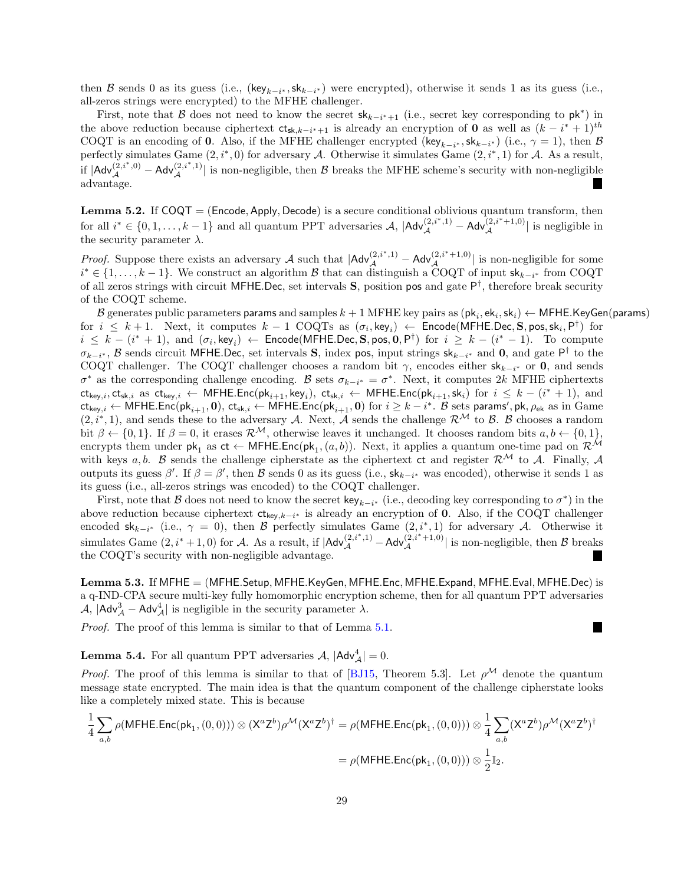then B sends 0 as its guess (i.e.,  $(\text{key}_{k-i^*}, \text{sk}_{k-i^*})$  were encrypted), otherwise it sends 1 as its guess (i.e., all-zeros strings were encrypted) to the MFHE challenger.

First, note that B does not need to know the secret  $sk_{k-i^*+1}$  (i.e., secret key corresponding to  $pk^*$ ) in the above reduction because ciphertext  $ct_{sk,k-i^*+1}$  is already an encryption of 0 as well as  $(k-i^*+1)^{th}$ COQT is an encoding of 0. Also, if the MFHE challenger encrypted (key<sub>k−i<sup>\*</sup></sub>, sk<sub>k−i</sub><sup>\*</sup>) (i.e.,  $\gamma = 1$ ), then B perfectly simulates Game  $(2, i^*, 0)$  for adversary A. Otherwise it simulates Game  $(2, i^*, 1)$  for A. As a result, if  $|Adv_{\mathcal{A}}^{(2,i^*,0)} - Adv_{\mathcal{A}}^{(2,i^*,1)}|$  is non-negligible, then  $\mathcal{B}$  breaks the MFHE scheme's security with non-negligible advantage. I.

**Lemma 5.2.** If  $COQT = (Encode, Apply, Decode)$  is a secure conditional oblivious quantum transform, then for all  $i^* \in \{0, 1, \ldots, k-1\}$  and all quantum PPT adversaries  $\mathcal{A}$ ,  $|\mathsf{Adv}_{\mathcal{A}}^{(2,i^*,1)} - \mathsf{Adv}_{\mathcal{A}}^{(2,i^*+1,0)}|$  is negligible in the security parameter  $\lambda$ .

*Proof.* Suppose there exists an adversary A such that  $|Adv_{\mathcal{A}}^{(2,i^*,1)} - Adv_{\mathcal{A}}^{(2,i^*+1,0)}|$  is non-negligible for some  $i^* \in \{1, \ldots, k-1\}$ . We construct an algorithm  $\mathcal{B}$  that can distinguish a COQT of input  $sk_{k-i^*}$  from COQT of all zeros strings with circuit MFHE.Dec, set intervals  $S$ , position pos and gate  $P^{\dagger}$ , therefore break security of the COQT scheme.

 ${\cal B}$  generates public parameters params and samples  $k+1$  MFHE key pairs as  $(\mathsf{pk}_i,\mathsf{ek}_i,\mathsf{sk}_i) \leftarrow$  MFHE.KeyGen(params) for  $i \leq k+1$ . Next, it computes  $k-1$  COQTs as  $(\sigma_i, \text{key}_i) \leftarrow \text{Encode(MFHE.Dec, S, pos, sk_i, P^{\dagger})}$  for  $i \leq k - (i^* + 1)$ , and  $(\sigma_i, \text{key}_i) \leftarrow \text{Encode}(\text{MFHE.Dec}, \textbf{S}, \text{pos}, \textbf{0}, \text{P}^{\dagger})$  for  $i \geq k - (i^* - 1)$ . To compute  $\sigma_{k-i^*}, \beta$  sends circuit MFHE.Dec, set intervals S, index pos, input strings sk<sub>k-i<sup>\*</sup></sub> and 0, and gate P<sup>†</sup> to the COQT challenger. The COQT challenger chooses a random bit  $\gamma$ , encodes either sk<sub>k-i</sub>∗ or 0, and sends  $\sigma^*$  as the corresponding challenge encoding. B sets  $\sigma_{k-i^*} = \sigma^*$ . Next, it computes 2k MFHE ciphertexts  $\mathsf{ct}_{\mathsf{key},i},\mathsf{ct}_{\mathsf{sk},i}$  as  $\mathsf{ct}_{\mathsf{key},i} \leftarrow \mathsf{MFHE}.\mathsf{Enc}(\mathsf{pk}_{i+1},\mathsf{key}_i),\ \mathsf{ct}_{\mathsf{sk},i} \leftarrow \mathsf{MFHE}.\mathsf{Enc}(\mathsf{pk}_{i+1},\mathsf{sk}_i) \text{ for } i \leq k-(i^*+1), \text{ and}$  $\mathsf{ct}_{\mathsf{key},i} \gets \mathsf{MFHE}.\mathsf{Enc}(\mathsf{pk}_{i+1},\mathbf{0}),\, \mathsf{ct}_{\mathsf{sk},i} \gets \mathsf{MFHE}.\mathsf{Enc}(\mathsf{pk}_{i+1},\mathbf{0})\,\,\text{for}\,\,i\geq k-i^*. \,\,\mathcal{B} \,\,\text{sets~params'}, \mathsf{pk}, \rho_{\mathsf{ek}}\,\,\text{as in}\,\,\mathrm{Game}$  $(2, i^*, 1)$ , and sends these to the adversary A. Next, A sends the challenge  $\mathcal{R}^{\mathcal{M}}$  to B. B chooses a random bit  $\beta \leftarrow \{0, 1\}$ . If  $\beta = 0$ , it erases  $\mathcal{R}^{\mathcal{M}}$ , otherwise leaves it unchanged. It chooses random bits  $a, b \leftarrow \{0, 1\}$ . encrypts them under  $pk_1$  as  $ct \leftarrow$  MFHE.Enc( $pk_1$ ,  $(a, b)$ ). Next, it applies a quantum one-time pad on  $\mathcal{R}^{\mathcal{M}}$ with keys a, b. B sends the challenge cipherstate as the ciphertext ct and register  $\mathcal{R}^{\mathcal{M}}$  to A. Finally, A outputs its guess  $\beta'$ . If  $\beta = \beta'$ , then  $\beta$  sends 0 as its guess (i.e.,  $sk_{k-i^*}$  was encoded), otherwise it sends 1 as its guess (i.e., all-zeros strings was encoded) to the COQT challenger.

First, note that B does not need to know the secret key<sub>k−i\*</sub> (i.e., decoding key corresponding to  $\sigma^*$ ) in the above reduction because ciphertext  $ct_{key,k-i^*}$  is already an encryption of 0. Also, if the COQT challenger encoded sk<sub>k−i<sup>\*</sup></sub> (i.e.,  $\gamma = 0$ ), then B perfectly simulates Game  $(2, i^*, 1)$  for adversary A. Otherwise it simulates Game  $(2, i^* + 1, 0)$  for A. As a result, if  $|Adv_{\mathcal{A}}^{(2,i^*,1)} - Adv_{\mathcal{A}}^{(2,i^*+1,0)}|$  is non-negligible, then B breaks the COQT's security with non-negligible advantage.

Lemma 5.3. If MFHE = (MFHE.Setup, MFHE.KeyGen, MFHE.Enc, MFHE.Expand, MFHE.Eval, MFHE.Dec) is a q-IND-CPA secure multi-key fully homomorphic encryption scheme, then for all quantum PPT adversaries  $\mathcal{A},$   $|\mathsf{Adv}_{\mathcal{A}}^3 - \mathsf{Adv}_{\mathcal{A}}^4|$  is negligible in the security parameter  $\lambda$ .

П

Proof. The proof of this lemma is similar to that of Lemma [5.1.](#page-27-1)

**Lemma 5.4.** For all quantum PPT adversaries  $\mathcal{A}$ ,  $|\mathsf{Adv}_{\mathcal{A}}^4| = 0$ .

*Proof.* The proof of this lemma is similar to that of [\[BJ15,](#page-45-8) Theorem 5.3]. Let  $\rho^{\mathcal{M}}$  denote the quantum message state encrypted. The main idea is that the quantum component of the challenge cipherstate looks like a completely mixed state. This is because

$$
\frac{1}{4}\sum_{a,b}\rho(\mathsf{MFHE}.\mathsf{Enc}(\mathsf{pk}_1, (0,0))) \otimes (\mathsf{X}^a \mathsf{Z}^b)\rho^{\mathcal{M}}(\mathsf{X}^a \mathsf{Z}^b)^\dagger = \rho(\mathsf{MFHE}.\mathsf{Enc}(\mathsf{pk}_1, (0,0))) \otimes \frac{1}{4}\sum_{a,b} (\mathsf{X}^a \mathsf{Z}^b)\rho^{\mathcal{M}}(\mathsf{X}^a \mathsf{Z}^b)^\dagger
$$
\n
$$
= \rho(\mathsf{MFHE}.\mathsf{Enc}(\mathsf{pk}_1, (0,0))) \otimes \frac{1}{2}\mathbb{I}_2.
$$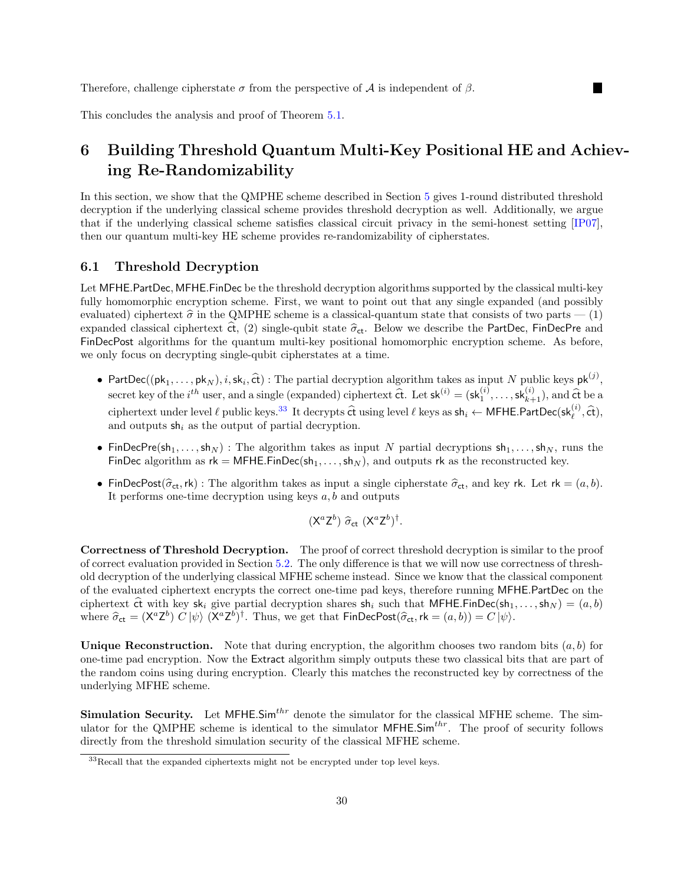Therefore, challenge cipherstate  $\sigma$  from the perspective of  $\mathcal A$  is independent of  $\beta$ .

This concludes the analysis and proof of Theorem [5.1.](#page-24-1)

# <span id="page-29-0"></span>6 Building Threshold Quantum Multi-Key Positional HE and Achieving Re-Randomizability

In this section, we show that the QMPHE scheme described in Section [5](#page-19-0) gives 1-round distributed threshold decryption if the underlying classical scheme provides threshold decryption as well. Additionally, we argue that if the underlying classical scheme satisfies classical circuit privacy in the semi-honest setting [\[IP07\]](#page-46-11), then our quantum multi-key HE scheme provides re-randomizability of cipherstates.

### 6.1 Threshold Decryption

Let MFHE.PartDec, MFHE.FinDec be the threshold decryption algorithms supported by the classical multi-key fully homomorphic encryption scheme. First, we want to point out that any single expanded (and possibly evaluated) ciphertext  $\hat{\sigma}$  in the QMPHE scheme is a classical-quantum state that consists of two parts  $- (1)$ expanded classical ciphertext  $\hat{\tau}$ , (2) single-qubit state  $\hat{\sigma}_{\text{ct}}$ . Below we describe the PartDec, FinDecPre and FinDecPost algorithms for the quantum multi-key positional homomorphic encryption scheme. As before, we only focus on decrypting single-qubit cipherstates at a time.

- PartDec(( $pk_1, \ldots, pk_N$ ), i,  $sk_i$ ,  $\hat{\epsilon}t$ ) : The partial decryption algorithm takes as input N public keys  $pk^{(j)}$ , secret key of the *i*<sup>th</sup> user, and a single (expanded) ciphertext  $\hat{\mathsf{ct}}$ . Let  $\mathsf{sk}^{(i)} = (\mathsf{sk}_{1}^{(i)}, \ldots, \mathsf{sk}_{k+1}^{(i)}),$  and  $\hat{\mathsf{ct}}$  be a ciphertext under level  $\ell$  public keys.<sup>[33](#page-29-1)</sup> It decrypts  $\hat{\mathbf{c}}$  using level  $\ell$  keys as  $\mathsf{sh}_i \leftarrow \mathsf{MFHE}.\mathsf{PartDec}(\mathsf{sk}_{\ell}^{(i)}, \hat{\mathsf{ct}})$ , and outputs  $sh_i$  as the output of partial decryption.
- FinDecPre(sh<sub>1</sub>, ..., sh<sub>N</sub>) : The algorithm takes as input N partial decryptions  $sh_1, \ldots, sh_N$ , runs the FinDec algorithm as  $rk = MFHE.FinDec(sh_1, ..., sh_N)$ , and outputs rk as the reconstructed key.
- FinDecPost( $\hat{\sigma}_{ct}$ ,rk) : The algorithm takes as input a single cipherstate  $\hat{\sigma}_{ct}$ , and key rk. Let rk =  $(a, b)$ . It performs one-time decryption using keys  $a, b$  and outputs

$$
(\mathsf{X}^a \mathsf{Z}^b) \widehat{\sigma}_{\mathsf{ct}} (\mathsf{X}^a \mathsf{Z}^b)^{\dagger}.
$$

Correctness of Threshold Decryption. The proof of correct threshold decryption is similar to the proof of correct evaluation provided in Section [5.2.](#page-22-1) The only difference is that we will now use correctness of threshold decryption of the underlying classical MFHE scheme instead. Since we know that the classical component of the evaluated ciphertext encrypts the correct one-time pad keys, therefore running MFHE.PartDec on the ciphertext  $\hat{c}t$  with key sk<sub>i</sub> give partial decryption shares sh<sub>i</sub> such that MFHE.FinDec(sh<sub>1</sub>,...,sh<sub>N</sub>) =  $(a, b)$ where  $\hat{\sigma}_{ct} = (X^a Z^b) C |\psi\rangle (X^a Z^b)^{\dagger}$ . Thus, we get that  $\mathsf{FinDecPost}(\hat{\sigma}_{ct}, \mathsf{rk} = (a, b)) = C |\psi\rangle$ .

Unique Reconstruction. Note that during encryption, the algorithm chooses two random bits  $(a, b)$  for one-time pad encryption. Now the Extract algorithm simply outputs these two classical bits that are part of the random coins using during encryption. Clearly this matches the reconstructed key by correctness of the underlying MFHE scheme.

Simulation Security. Let  $MFHE.$ Sim<sup>thr</sup> denote the simulator for the classical MFHE scheme. The simulator for the QMPHE scheme is identical to the simulator  $MFHE\cdot Sim^{thr}$ . The proof of security follows directly from the threshold simulation security of the classical MFHE scheme.

<span id="page-29-1"></span> $33$ Recall that the expanded ciphertexts might not be encrypted under top level keys.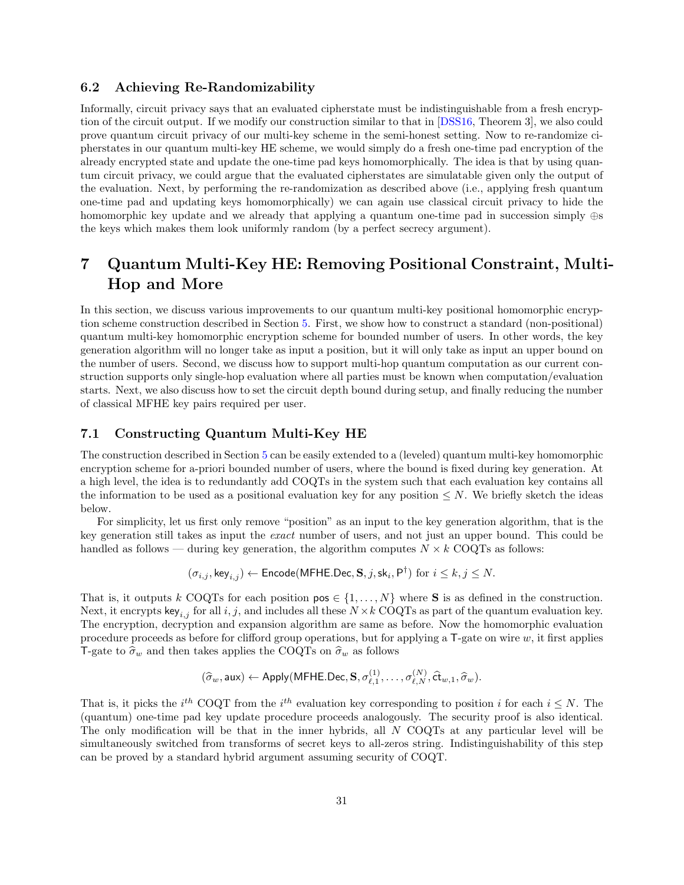### 6.2 Achieving Re-Randomizability

Informally, circuit privacy says that an evaluated cipherstate must be indistinguishable from a fresh encryption of the circuit output. If we modify our construction similar to that in [\[DSS16,](#page-46-8) Theorem 3], we also could prove quantum circuit privacy of our multi-key scheme in the semi-honest setting. Now to re-randomize cipherstates in our quantum multi-key HE scheme, we would simply do a fresh one-time pad encryption of the already encrypted state and update the one-time pad keys homomorphically. The idea is that by using quantum circuit privacy, we could argue that the evaluated cipherstates are simulatable given only the output of the evaluation. Next, by performing the re-randomization as described above (i.e., applying fresh quantum one-time pad and updating keys homomorphically) we can again use classical circuit privacy to hide the homomorphic key update and we already that applying a quantum one-time pad in succession simply ⊕s the keys which makes them look uniformly random (by a perfect secrecy argument).

# <span id="page-30-0"></span>7 Quantum Multi-Key HE: Removing Positional Constraint, Multi-Hop and More

In this section, we discuss various improvements to our quantum multi-key positional homomorphic encryption scheme construction described in Section [5.](#page-19-0) First, we show how to construct a standard (non-positional) quantum multi-key homomorphic encryption scheme for bounded number of users. In other words, the key generation algorithm will no longer take as input a position, but it will only take as input an upper bound on the number of users. Second, we discuss how to support multi-hop quantum computation as our current construction supports only single-hop evaluation where all parties must be known when computation/evaluation starts. Next, we also discuss how to set the circuit depth bound during setup, and finally reducing the number of classical MFHE key pairs required per user.

### 7.1 Constructing Quantum Multi-Key HE

The construction described in Section [5](#page-19-0) can be easily extended to a (leveled) quantum multi-key homomorphic encryption scheme for a-priori bounded number of users, where the bound is fixed during key generation. At a high level, the idea is to redundantly add COQTs in the system such that each evaluation key contains all the information to be used as a positional evaluation key for any position  $\leq N$ . We briefly sketch the ideas below.

For simplicity, let us first only remove "position" as an input to the key generation algorithm, that is the key generation still takes as input the exact number of users, and not just an upper bound. This could be handled as follows — during key generation, the algorithm computes  $N \times k$  COQTs as follows:

$$
(\sigma_{i,j}, \mathsf{key}_{i,j}) \leftarrow \mathsf{Encode}(\mathsf{MFHE}.\mathsf{Dec}, \mathbf{S}, j, \mathsf{sk}_i, \mathsf{P}^\dagger) \text{ for } i \leq k, j \leq N.
$$

That is, it outputs k COQTs for each position  $pos \in \{1, ..., N\}$  where S is as defined in the construction. Next, it encrypts  $\text{key}_{i,j}$  for all i, j, and includes all these  $N \times k$  COQTs as part of the quantum evaluation key. The encryption, decryption and expansion algorithm are same as before. Now the homomorphic evaluation procedure proceeds as before for clifford group operations, but for applying a  $T$ -gate on wire  $w$ , it first applies T-gate to  $\hat{\sigma}_w$  and then takes applies the COQTs on  $\hat{\sigma}_w$  as follows

$$
(\widehat{\sigma}_w, \mathsf{aux}) \leftarrow \mathsf{Apply}(\mathsf{MFHE}.\mathsf{Dec}, \mathbf{S}, \sigma_{\ell,1}^{(1)}, \ldots, \sigma_{\ell,N}^{(N)}, \widehat{\mathsf{ct}}_{w,1}, \widehat{\sigma}_w).
$$

That is, it picks the  $i^{th}$  COQT from the  $i^{th}$  evaluation key corresponding to position i for each  $i \leq N$ . The (quantum) one-time pad key update procedure proceeds analogously. The security proof is also identical. The only modification will be that in the inner hybrids, all N COQTs at any particular level will be simultaneously switched from transforms of secret keys to all-zeros string. Indistinguishability of this step can be proved by a standard hybrid argument assuming security of COQT.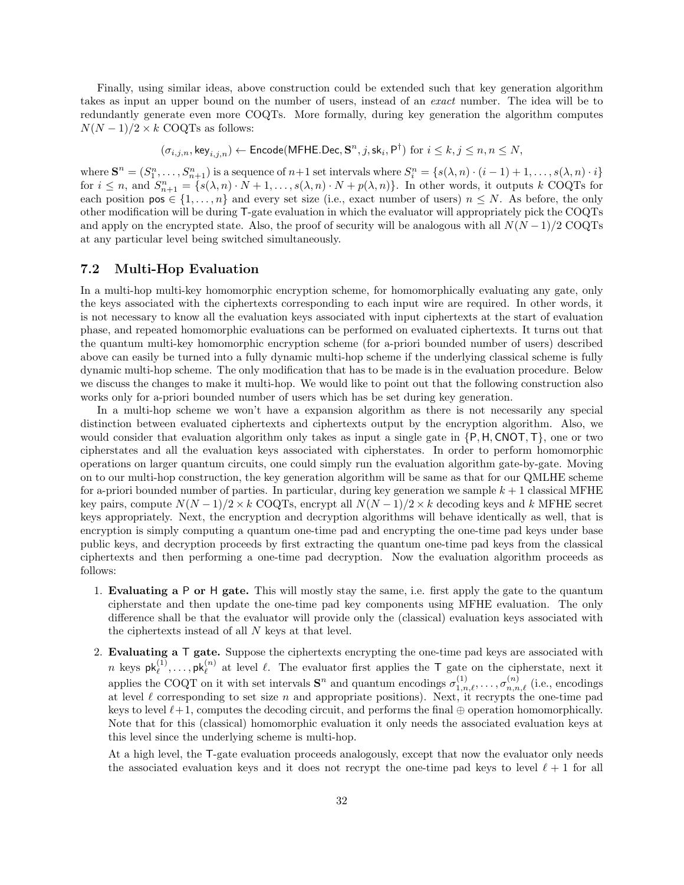Finally, using similar ideas, above construction could be extended such that key generation algorithm takes as input an upper bound on the number of users, instead of an exact number. The idea will be to redundantly generate even more COQTs. More formally, during key generation the algorithm computes  $N(N-1)/2 \times k$  COQTs as follows:

$$
(\sigma_{i,j,n}, \text{key}_{i,j,n}) \leftarrow \text{Encode}(\text{MFHE}.\text{Dec}, \mathbf{S}^n, j, \text{sk}_i, \mathsf{P}^{\dagger}) \text{ for } i \leq k, j \leq n, n \leq N,
$$

where  $\mathbf{S}^n = (S_1^n, \ldots, S_{n+1}^n)$  is a sequence of  $n+1$  set intervals where  $S_i^n = \{s(\lambda, n) \cdot (i-1) + 1, \ldots, s(\lambda, n) \cdot i\}$ for  $i \leq n$ , and  $S_{n+1}^n = \{s(\lambda, n) \cdot N + 1, \ldots, s(\lambda, n) \cdot N + p(\lambda, n)\}\$ . In other words, it outputs k COQTs for each position  $pos \in \{1, ..., n\}$  and every set size (i.e., exact number of users)  $n \leq N$ . As before, the only other modification will be during T-gate evaluation in which the evaluator will appropriately pick the COQTs and apply on the encrypted state. Also, the proof of security will be analogous with all  $N(N-1)/2$  COQTs at any particular level being switched simultaneously.

### 7.2 Multi-Hop Evaluation

In a multi-hop multi-key homomorphic encryption scheme, for homomorphically evaluating any gate, only the keys associated with the ciphertexts corresponding to each input wire are required. In other words, it is not necessary to know all the evaluation keys associated with input ciphertexts at the start of evaluation phase, and repeated homomorphic evaluations can be performed on evaluated ciphertexts. It turns out that the quantum multi-key homomorphic encryption scheme (for a-priori bounded number of users) described above can easily be turned into a fully dynamic multi-hop scheme if the underlying classical scheme is fully dynamic multi-hop scheme. The only modification that has to be made is in the evaluation procedure. Below we discuss the changes to make it multi-hop. We would like to point out that the following construction also works only for a-priori bounded number of users which has be set during key generation.

In a multi-hop scheme we won't have a expansion algorithm as there is not necessarily any special distinction between evaluated ciphertexts and ciphertexts output by the encryption algorithm. Also, we would consider that evaluation algorithm only takes as input a single gate in  $\{P, H, CNOT, T\}$ , one or two cipherstates and all the evaluation keys associated with cipherstates. In order to perform homomorphic operations on larger quantum circuits, one could simply run the evaluation algorithm gate-by-gate. Moving on to our multi-hop construction, the key generation algorithm will be same as that for our QMLHE scheme for a-priori bounded number of parties. In particular, during key generation we sample  $k + 1$  classical MFHE key pairs, compute  $N(N-1)/2 \times k$  COQTs, encrypt all  $N(N-1)/2 \times k$  decoding keys and k MFHE secret keys appropriately. Next, the encryption and decryption algorithms will behave identically as well, that is encryption is simply computing a quantum one-time pad and encrypting the one-time pad keys under base public keys, and decryption proceeds by first extracting the quantum one-time pad keys from the classical ciphertexts and then performing a one-time pad decryption. Now the evaluation algorithm proceeds as follows:

- 1. Evaluating a P or H gate. This will mostly stay the same, i.e. first apply the gate to the quantum cipherstate and then update the one-time pad key components using MFHE evaluation. The only difference shall be that the evaluator will provide only the (classical) evaluation keys associated with the ciphertexts instead of all N keys at that level.
- 2. Evaluating a  $\top$  gate. Suppose the ciphertexts encrypting the one-time pad keys are associated with n keys  $\mathsf{pk}_{\ell}^{(1)}, \ldots, \mathsf{pk}_{\ell}^{(n)}$  at level  $\ell$ . The evaluator first applies the T gate on the cipherstate, next it applies the COQT on it with set intervals  $S^n$  and quantum encodings  $\sigma_{1,n,\ell}^{(1)}, \ldots, \sigma_{n,n,\ell}^{(n)}$  (i.e., encodings at level  $\ell$  corresponding to set size n and appropriate positions). Next, it recrypts the one-time pad keys to level  $\ell+1$ , computes the decoding circuit, and performs the final  $\oplus$  operation homomorphically. Note that for this (classical) homomorphic evaluation it only needs the associated evaluation keys at this level since the underlying scheme is multi-hop.

At a high level, the T-gate evaluation proceeds analogously, except that now the evaluator only needs the associated evaluation keys and it does not recrypt the one-time pad keys to level  $\ell + 1$  for all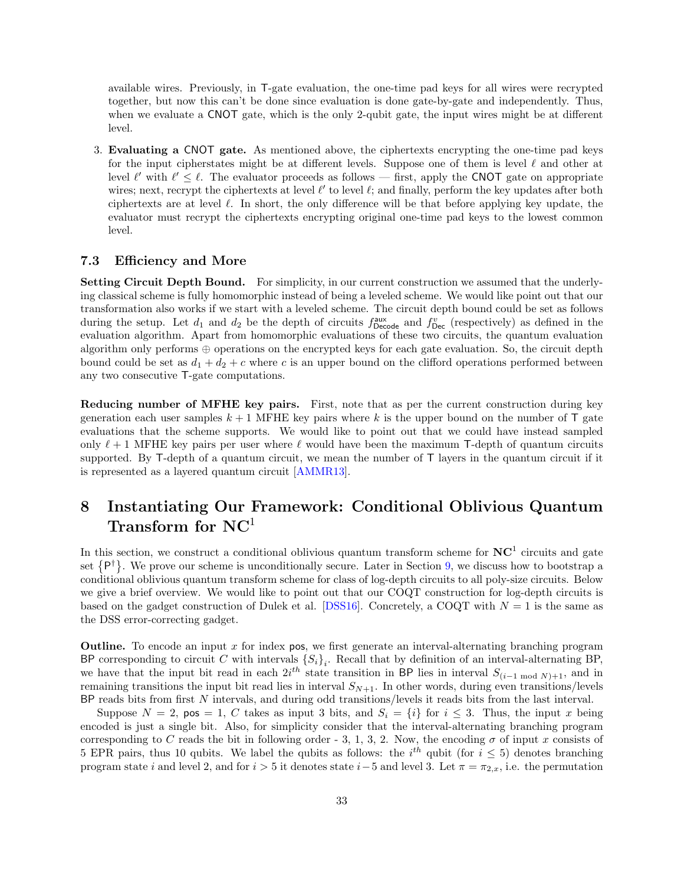available wires. Previously, in T-gate evaluation, the one-time pad keys for all wires were recrypted together, but now this can't be done since evaluation is done gate-by-gate and independently. Thus, when we evaluate a CNOT gate, which is the only 2-qubit gate, the input wires might be at different level.

3. Evaluating a CNOT gate. As mentioned above, the ciphertexts encrypting the one-time pad keys for the input cipherstates might be at different levels. Suppose one of them is level  $\ell$  and other at level  $\ell'$  with  $\ell' \leq \ell$ . The evaluator proceeds as follows — first, apply the CNOT gate on appropriate wires; next, recrypt the ciphertexts at level  $\ell'$  to level  $\ell$ ; and finally, perform the key updates after both ciphertexts are at level  $\ell$ . In short, the only difference will be that before applying key update, the evaluator must recrypt the ciphertexts encrypting original one-time pad keys to the lowest common level.

### 7.3 Efficiency and More

Setting Circuit Depth Bound. For simplicity, in our current construction we assumed that the underlying classical scheme is fully homomorphic instead of being a leveled scheme. We would like point out that our transformation also works if we start with a leveled scheme. The circuit depth bound could be set as follows during the setup. Let  $d_1$  and  $d_2$  be the depth of circuits  $f_{\text{Decode}}^{\text{aux}}$  and  $f_{\text{Dec}}^v$  (respectively) as defined in the evaluation algorithm. Apart from homomorphic evaluations of these two circuits, the quantum evaluation algorithm only performs  $\oplus$  operations on the encrypted keys for each gate evaluation. So, the circuit depth bound could be set as  $d_1 + d_2 + c$  where c is an upper bound on the clifford operations performed between any two consecutive T-gate computations.

Reducing number of MFHE key pairs. First, note that as per the current construction during key generation each user samples  $k + 1$  MFHE key pairs where k is the upper bound on the number of T gate evaluations that the scheme supports. We would like to point out that we could have instead sampled only  $\ell + 1$  MFHE key pairs per user where  $\ell$  would have been the maximum T-depth of quantum circuits supported. By T-depth of a quantum circuit, we mean the number of T layers in the quantum circuit if it is represented as a layered quantum circuit [\[AMMR13\]](#page-44-14).

## <span id="page-32-0"></span>8 Instantiating Our Framework: Conditional Oblivious Quantum Transform for  $NC<sup>1</sup>$

In this section, we construct a conditional oblivious quantum transform scheme for  $NC<sup>1</sup>$  circuits and gate set  $\{P^{\dagger}\}\.$  We prove our scheme is unconditionally secure. Later in Section [9,](#page-38-0) we discuss how to bootstrap a conditional oblivious quantum transform scheme for class of log-depth circuits to all poly-size circuits. Below we give a brief overview. We would like to point out that our COQT construction for log-depth circuits is based on the gadget construction of Dulek et al. [\[DSS16\]](#page-46-8). Concretely, a COQT with  $N = 1$  is the same as the DSS error-correcting gadget.

**Outline.** To encode an input x for index pos, we first generate an interval-alternating branching program BP corresponding to circuit C with intervals  $\{S_i\}_i$ . Recall that by definition of an interval-alternating BP, we have that the input bit read in each  $2i^{th}$  state transition in BP lies in interval  $S_{(i-1 \mod N)+1}$ , and in remaining transitions the input bit read lies in interval  $S_{N+1}$ . In other words, during even transitions/levels BP reads bits from first N intervals, and during odd transitions/levels it reads bits from the last interval.

Suppose  $N = 2$ ,  $pos = 1$ , C takes as input 3 bits, and  $S_i = \{i\}$  for  $i \leq 3$ . Thus, the input x being encoded is just a single bit. Also, for simplicity consider that the interval-alternating branching program corresponding to C reads the bit in following order - 3, 1, 3, 2. Now, the encoding  $\sigma$  of input x consists of 5 EPR pairs, thus 10 qubits. We label the qubits as follows: the  $i^{th}$  qubit (for  $i \leq 5$ ) denotes branching program state i and level 2, and for  $i > 5$  it denotes state  $i-5$  and level 3. Let  $\pi = \pi_{2,x}$ , i.e. the permutation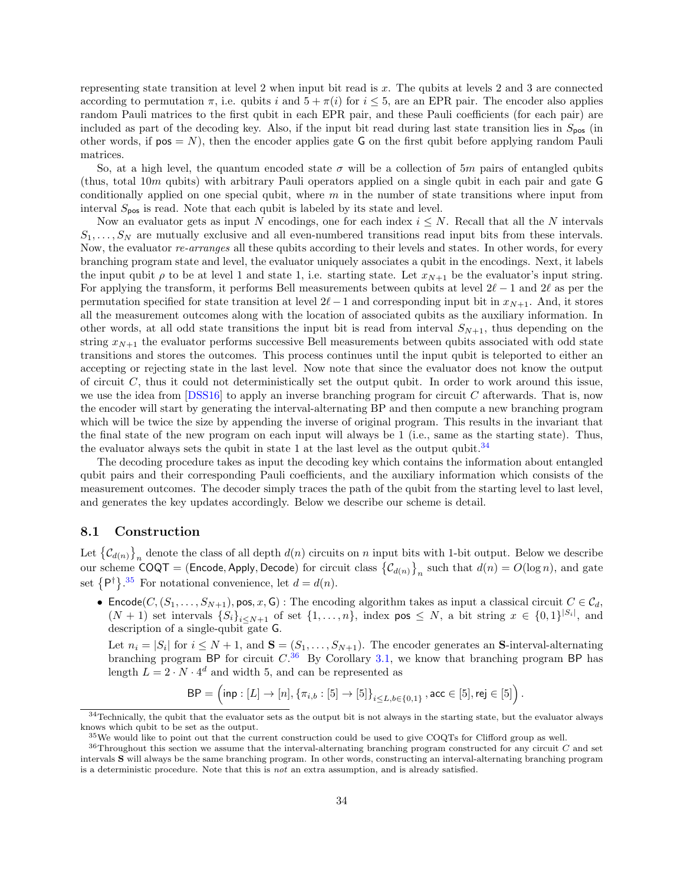representing state transition at level 2 when input bit read is x. The qubits at levels 2 and 3 are connected according to permutation  $\pi$ , i.e. qubits i and  $5 + \pi(i)$  for  $i \leq 5$ , are an EPR pair. The encoder also applies random Pauli matrices to the first qubit in each EPR pair, and these Pauli coefficients (for each pair) are included as part of the decoding key. Also, if the input bit read during last state transition lies in  $S_{pos}$  (in other words, if  $pos = N$ , then the encoder applies gate G on the first qubit before applying random Pauli matrices.

So, at a high level, the quantum encoded state  $\sigma$  will be a collection of 5m pairs of entangled qubits (thus, total 10m qubits) with arbitrary Pauli operators applied on a single qubit in each pair and gate G conditionally applied on one special qubit, where  $m$  in the number of state transitions where input from interval  $S_{\text{pos}}$  is read. Note that each qubit is labeled by its state and level.

Now an evaluator gets as input N encodings, one for each index  $i \leq N$ . Recall that all the N intervals  $S_1, \ldots, S_N$  are mutually exclusive and all even-numbered transitions read input bits from these intervals. Now, the evaluator re-arranges all these qubits according to their levels and states. In other words, for every branching program state and level, the evaluator uniquely associates a qubit in the encodings. Next, it labels the input qubit  $\rho$  to be at level 1 and state 1, i.e. starting state. Let  $x_{N+1}$  be the evaluator's input string. For applying the transform, it performs Bell measurements between qubits at level  $2\ell - 1$  and  $2\ell$  as per the permutation specified for state transition at level  $2\ell - 1$  and corresponding input bit in  $x_{N+1}$ . And, it stores all the measurement outcomes along with the location of associated qubits as the auxiliary information. In other words, at all odd state transitions the input bit is read from interval  $S_{N+1}$ , thus depending on the string  $x_{N+1}$  the evaluator performs successive Bell measurements between qubits associated with odd state transitions and stores the outcomes. This process continues until the input qubit is teleported to either an accepting or rejecting state in the last level. Now note that since the evaluator does not know the output of circuit  $C$ , thus it could not deterministically set the output qubit. In order to work around this issue, we use the idea from  $[DSS16]$  to apply an inverse branching program for circuit C afterwards. That is, now the encoder will start by generating the interval-alternating BP and then compute a new branching program which will be twice the size by appending the inverse of original program. This results in the invariant that the final state of the new program on each input will always be 1 (i.e., same as the starting state). Thus, the evaluator always sets the qubit in state 1 at the last level as the output qubit.<sup>[34](#page-33-0)</sup>

The decoding procedure takes as input the decoding key which contains the information about entangled qubit pairs and their corresponding Pauli coefficients, and the auxiliary information which consists of the measurement outcomes. The decoder simply traces the path of the qubit from the starting level to last level, and generates the key updates accordingly. Below we describe our scheme is detail.

### <span id="page-33-3"></span>8.1 Construction

Let  ${C_{d(n)}}_n$  denote the class of all depth  $d(n)$  circuits on n input bits with 1-bit output. Below we describe our scheme  $COQT = (Encode, Apply, Decode)$  for circuit class  ${C_{d(n)}}_n$  such that  $d(n) = O(log n)$ , and gate set  $\{P^{\dagger}\}\text{.}^{35}$  $\{P^{\dagger}\}\text{.}^{35}$  $\{P^{\dagger}\}\text{.}^{35}$  For notational convenience, let  $d = d(n)$ .

• Encode $(C, (S_1, \ldots, S_{N+1}),$  pos, x, G) : The encoding algorithm takes as input a classical circuit  $C \in \mathcal{C}_d$ ,  $(N + 1)$  set intervals  $\{S_i\}_{i \leq N+1}$  of set  $\{1, \ldots, n\}$ , index pos  $\leq N$ , a bit string  $x \in \{0,1\}^{|S_i|}$ , and description of a single-qubit gate G.

Let  $n_i = |S_i|$  for  $i \leq N+1$ , and  $\mathbf{S} = (S_1, \ldots, S_{N+1})$ . The encoder generates an **S**-interval-alternating branching program BP for circuit  $C^{36}$  $C^{36}$  $C^{36}$  By Corollary [3.1,](#page-17-6) we know that branching program BP has length  $L = 2 \cdot N \cdot 4^d$  and width 5, and can be represented as

$$
\mathsf{BP} = \left(\mathsf{inp} : [L] \to [n], \{\pi_{i,b} : [5] \to [5]\}_{i \le L, b \in \{0,1\}}, \mathsf{acc} \in [5], \mathsf{rej} \in [5]\right).
$$

<span id="page-33-0"></span> $34$ Technically, the qubit that the evaluator sets as the output bit is not always in the starting state, but the evaluator always knows which qubit to be set as the output.

<span id="page-33-2"></span><span id="page-33-1"></span><sup>35</sup>We would like to point out that the current construction could be used to give COQTs for Clifford group as well.

 $36$ Throughout this section we assume that the interval-alternating branching program constructed for any circuit  $C$  and set intervals S will always be the same branching program. In other words, constructing an interval-alternating branching program is a deterministic procedure. Note that this is not an extra assumption, and is already satisfied.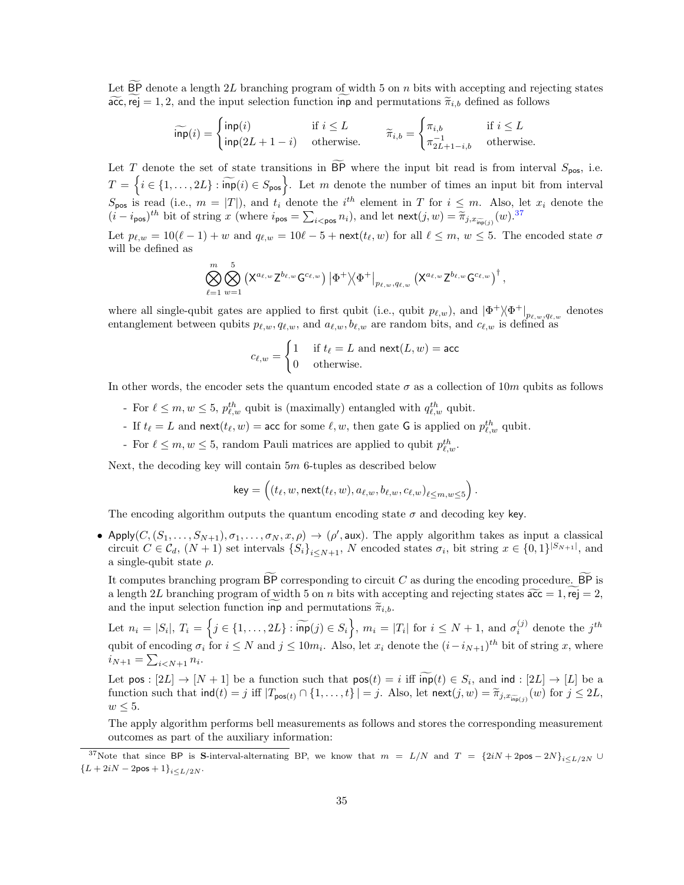Let  $\overline{BP}$  denote a length 2L branching program of width 5 on n bits with accepting and rejecting states  $\widetilde{acc}$ , rej = 1, 2, and the input selection function inp and permutations  $\widetilde{\pi}_{i,b}$  defined as follows

$$
\widetilde{\mathsf{inp}}(i) = \begin{cases} \mathsf{inp}(i) & \text{if } i \le L \\ \mathsf{inp}(2L+1-i) & \text{otherwise.} \end{cases} \qquad \widetilde{\pi}_{i,b} = \begin{cases} \pi_{i,b} & \text{if } i \le L \\ \pi_{2L+1-i,b}^{-1} & \text{otherwise.} \end{cases}
$$

Let T denote the set of state transitions in  $\overline{BP}$  where the input bit read is from interval  $S_{pos}$ , i.e.  $T = \left\{i \in \{1, \ldots, 2L\} : \widetilde{\mathsf{inp}}(i) \in S_{\mathsf{pos}}\right\}$ . Let m denote the number of times an input bit from interval  $S_{pos}$  is read (i.e.,  $m = |T|$ ), and  $t_i$  denote the  $i^{th}$  element in T for  $i \leq m$ . Also, let  $x_i$  denote the  $(i - i_{\text{pos}})^{th}$  bit of string  $x$  (where  $i_{\text{pos}} = \sum_{i < \text{pos}} n_i$ ), and let  $\text{next}(j, w) = \widetilde{\pi}_{j, x_{\text{imp}}(j)}(w)$ .<sup>[37](#page-34-0)</sup>

Let  $p_{\ell,w} = 10(\ell - 1) + w$  and  $q_{\ell,w} = 10\ell - 5 + \text{next}(t_\ell, w)$  for all  $\ell \leq m, w \leq 5$ . The encoded state  $\sigma$ will be defined as

$$
\bigotimes_{\ell=1}^m \bigotimes_{w=1}^5 \left( \mathsf{X}^{a_{\ell,w}}\mathsf{Z}^{b_{\ell,w}}\mathsf{G}^{c_{\ell,w}} \right) \left| \Phi^+ \middle\backslash \Phi^+ \right|_{p_{\ell,w},q_{\ell,w}} \left( \mathsf{X}^{a_{\ell,w}}\mathsf{Z}^{b_{\ell,w}}\mathsf{G}^{c_{\ell,w}} \right)^\dagger,
$$

where all single-qubit gates are applied to first qubit (i.e., qubit  $p_{\ell,w}$ ), and  $|\Phi^+\rangle\langle\Phi^+|_{p_{\ell,w},q_{\ell,w}}$  denotes entanglement between qubits  $p_{\ell,w}, q_{\ell,w}$ , and  $a_{\ell,w}, b_{\ell,w}$  are random bits, and  $c_{\ell,w}$  is defined as

$$
c_{\ell,w} = \begin{cases} 1 & \text{if } t_{\ell} = L \text{ and } \mathsf{next}(L,w) = \mathsf{acc} \\ 0 & \text{otherwise.} \end{cases}
$$

In other words, the encoder sets the quantum encoded state  $\sigma$  as a collection of 10m qubits as follows

- For  $\ell \leq m, w \leq 5$ ,  $p_{\ell,w}^{th}$  qubit is (maximally) entangled with  $q_{\ell,w}^{th}$  qubit.
- If  $t_\ell = L$  and  $\text{next}(t_\ell, w) = \text{acc}$  for some  $\ell, w$ , then gate G is applied on  $p_{\ell,w}^{th}$  qubit.
- For  $\ell \leq m, w \leq 5$ , random Pauli matrices are applied to qubit  $p_{\ell,w}^{th}$ .

Next, the decoding key will contain 5m 6-tuples as described below

$$
\mathsf{key} = \left( (t_\ell,w,\mathsf{next}(t_\ell,w),a_{\ell,w},b_{\ell,w},c_{\ell,w})_{\ell \leq m,w \leq 5} \right).
$$

The encoding algorithm outputs the quantum encoding state  $\sigma$  and decoding key key.

• Apply $(C, (S_1, \ldots, S_{N+1}), \sigma_1, \ldots, \sigma_N, x, \rho) \to (\rho', \text{aux})$ . The apply algorithm takes as input a classical circuit  $C \in \mathcal{C}_d$ ,  $(N+1)$  set intervals  $\{S_i\}_{i \leq N+1}$ , N encoded states  $\sigma_i$ , bit string  $x \in \{0,1\}^{|S_{N+1}|}$ , and a single-qubit state  $\rho$ .

It computes branching program  $\overline{BP}$  corresponding to circuit C as during the encoding procedure.  $\overline{BP}$  is a length 2L branching program of width 5 on n bits with accepting and rejecting states  $\widetilde{acc} = 1$ , rej = 2, and the input selection function inp and permutations  $\widetilde{\pi}_{i,b}$ .

Let  $n_i = |S_i|$ ,  $T_i = \left\{ j \in \{1, ..., 2L\} : \widetilde{\mathsf{inp}}(j) \in S_i \right\}$ ,  $m_i = |T_i|$  for  $i \leq N + 1$ , and  $\sigma_i^{(j)}$  denote the  $j^{th}$ qubit of encoding  $\sigma_i$  for  $i \leq N$  and  $j \leq 10m_i$ . Also, let  $x_i$  denote the  $(i-i_{N+1})$ <sup>th</sup> bit of string x, where  $i_{N+1} = \sum_{i < N+1} n_i.$ 

Let pos :  $[2L] \rightarrow [N+1]$  be a function such that  $pos(t) = i$  iff  $inp(t) \in S_i$ , and  $ind : [2L] \rightarrow [L]$  be a function such that  $\text{ind}(t) = j$  iff  $|T_{\text{pos}(t)} \cap \{1, ..., t\}| = j$ . Also, let  $\text{next}(j, w) = \widetilde{\pi}_{j, x_{\widetilde{\text{inp}}(j)}}(w)$  for  $j \le 2L$ ,  $w \leq 5$ .

The apply algorithm performs bell measurements as follows and stores the corresponding measurement outcomes as part of the auxiliary information:

<span id="page-34-0"></span><sup>&</sup>lt;sup>37</sup>Note that since BP is S-interval-alternating BP, we know that  $m = L/N$  and  $T = {2iN + 2pos - 2N}_{i \le L/2N}$  ${L + 2iN - 2pos + 1}_{i \le L/2N}$ .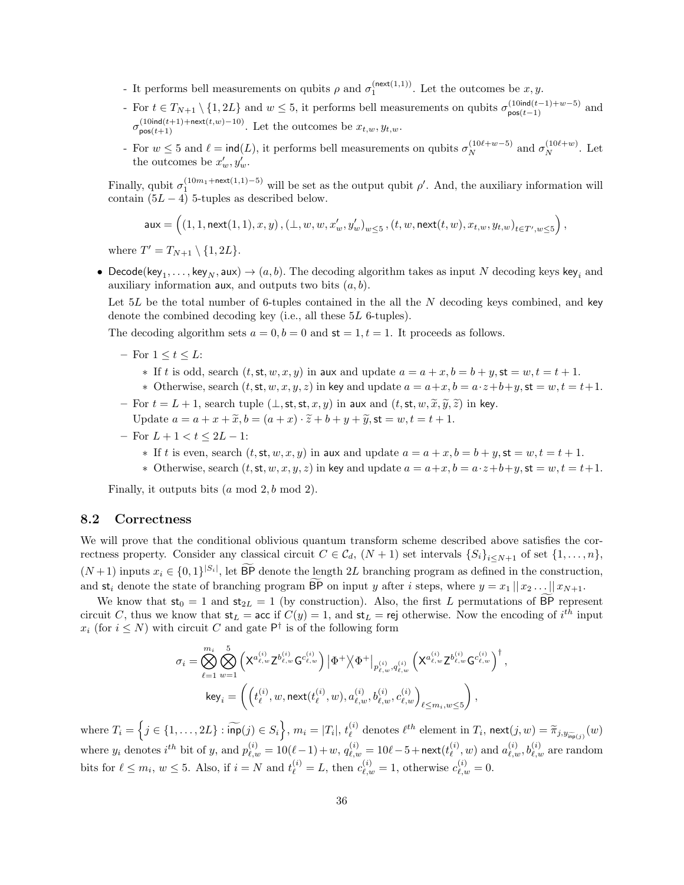- It performs bell measurements on qubits  $\rho$  and  $\sigma_1^{(\text{next}(1,1))}$ . Let the outcomes be  $x, y$ .
- For  $t \in T_{N+1} \setminus \{1, 2L\}$  and  $w \leq 5$ , it performs bell measurements on qubits  $\sigma_{\text{pos}(t-1)}^{(10ind(t-1)+w-5)}$  and  $\sigma_{\text{pos}(t+1)}^{(10\text{ind}(t+1)+\text{next}(t,w)-10)}$ . Let the outcomes be  $x_{t,w}, y_{t,w}$ .
- For  $w \le 5$  and  $\ell = \text{ind}(L)$ , it performs bell measurements on qubits  $\sigma_N^{(10\ell+w-5)}$  and  $\sigma_N^{(10\ell+w)}$ . Let the outcomes be  $x'_w, y'_w$ .

Finally, qubit  $\sigma_1^{(10m_1+next(1,1)-5)}$  will be set as the output qubit  $\rho'$ . And, the auxiliary information will contain  $(5L - 4)$  5-tuples as described below.

$$
\mathsf{aux}=\left(\left(1,1,\mathsf{next}(1,1),x,y\right),\left(\bot,w,w,x'_w,y'_w\right)_{w\leq 5},\left(t,w,\mathsf{next}(t,w),x_{t,w},y_{t,w}\right)_{t\in T',w\leq 5}\right),
$$

where  $T' = T_{N+1} \setminus \{1, 2L\}.$ 

• Decode(key<sub>1</sub>,...,key<sub>N</sub>, aux)  $\rightarrow$   $(a, b)$ . The decoding algorithm takes as input N decoding keys key<sub>i</sub> and auxiliary information aux, and outputs two bits  $(a, b)$ .

Let  $5L$  be the total number of 6-tuples contained in the all the N decoding keys combined, and key denote the combined decoding key (i.e., all these 5L 6-tuples).

The decoding algorithm sets  $a = 0, b = 0$  and  $st = 1, t = 1$ . It proceeds as follows.

- For  $1 \le t \le L$ :
	- $*$  If t is odd, search  $(t, st, w, x, y)$  in aux and update  $a = a + x, b = b + y$ ,  $st = w, t = t + 1$ .
	- Otherwise, search  $(t, st, w, x, y, z)$  in key and update  $a = a+x, b = a \cdot z+b+y$ ,  $st = w, t = t+1$ .
- For  $t = L + 1$ , search tuple  $(\perp, st, st, x, y)$  in aux and  $(t, st, w, \tilde{x}, \tilde{y}, \tilde{z})$  in key. Update  $a = a + x + \tilde{x}$ ,  $b = (a + x) \cdot \tilde{z} + b + y + \tilde{y}$ ,  $st = w, t = t + 1$ .
- For  $L + 1 < t \leq 2L 1$ :
	- $*$  If t is even, search  $(t, st, w, x, y)$  in aux and update  $a = a + x$ ,  $b = b + y$ ,  $st = w$ ,  $t = t + 1$ .
	- Otherwise, search  $(t, st, w, x, y, z)$  in key and update  $a = a+x, b = a \cdot z+b+y$ ,  $st = w, t = t+1$ .

Finally, it outputs bits  $(a \mod 2, b \mod 2)$ .

### 8.2 Correctness

We will prove that the conditional oblivious quantum transform scheme described above satisfies the correctness property. Consider any classical circuit  $C \in \mathcal{C}_d$ ,  $(N+1)$  set intervals  $\{S_i\}_{i\leq N+1}$  of set  $\{1,\ldots,n\}$ ,  $(N+1)$  inputs  $x_i \in \{0,1\}^{|S_i|}$ , let  $\overline{BP}$  denote the length 2L branching program as defined in the construction, and  $st_i$  denote the state of branching program BP on input y after i steps, where  $y = x_1 || x_2 ... || x_{N+1}$ .

We know that  $st_0 = 1$  and  $st_{2L} = 1$  (by construction). Also, the first L permutations of  $\overline{BP}$  represent circuit C, thus we know that  $st_L = acc$  if  $C(y) = 1$ , and  $st_L = rel$  otherwise. Now the encoding of  $i^{th}$  input  $x_i$  (for  $i \leq N$ ) with circuit C and gate  $P^{\dagger}$  is of the following form

$$
\sigma_{i} = \bigotimes_{\ell=1}^{m_{i}} \bigotimes_{w=1}^{5} \left( \mathsf{X}^{a_{\ell,w}^{(i)}} \mathsf{Z}^{b_{\ell,w}^{(i)}} \mathsf{G}^{c_{\ell,w}^{(i)}} \right) \left| \Phi^{+} \right\rangle \!\! \left\langle \Phi^{+} \right|_{p_{\ell,w}^{(i)},q_{\ell,w}^{(i)}} \left( \mathsf{X}^{a_{\ell,w}^{(i)}} \mathsf{Z}^{b_{\ell,w}^{(i)}} \mathsf{G}^{c_{\ell,w}^{(i)}} \right)^{\dagger}
$$
\n
$$
\text{key}_{i} = \left( \left( t_{\ell}^{(i)}, w, \text{next}(t_{\ell}^{(i)}, w), a_{\ell,w}^{(i)}, b_{\ell,w}^{(i)}, c_{\ell,w}^{(i)} \right)_{\ell \leq m_{i}, w \leq 5} \right),
$$

,

where  $T_i = \left\{ j \in \{1, \ldots, 2L\} : \widetilde{\mathsf{inp}}(j) \in S_i \right\}, m_i = |T_i|, t_{\ell}^{(i)}$ (i) denotes  $\ell^{th}$  element in  $T_i$ ,  $\text{next}(j, w) = \widetilde{\pi}_{j, y_{\widetilde{\text{inp}}(j)}}(w)$ where  $y_i$  denotes  $i^{th}$  bit of y, and  $p_{\ell,w}^{(i)} = 10(\ell-1) + w$ ,  $q_{\ell,w}^{(i)} = 10\ell - 5 + \text{next}(t_{\ell}^{(i)})$  $\mathcal{L}_{\ell}^{(i)}, w$ ) and  $a_{\ell,w}^{(i)}, b_{\ell,w}^{(i)}$  are random bits for  $\ell \leq m_i$ ,  $w \leq 5$ . Also, if  $i = N$  and  $t_{\ell}^{(i)} = L$ , then  $c_{\ell,w}^{(i)} = 1$ , otherwise  $c_{\ell,w}^{(i)} = 0$ .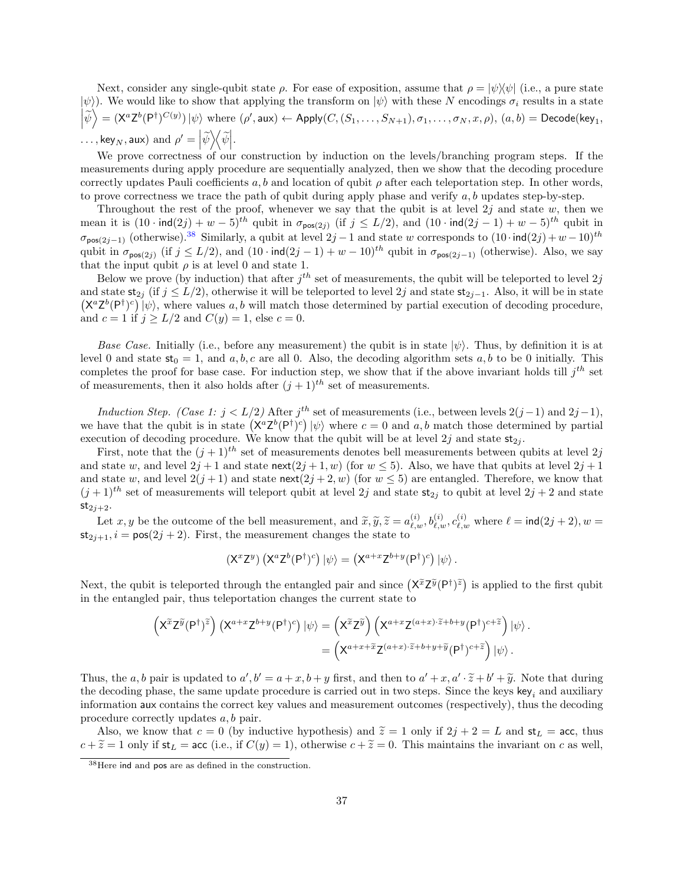Next, consider any single-qubit state  $\rho$ . For ease of exposition, assume that  $\rho = |\psi\rangle\langle\psi|$  (i.e., a pure state  $|\psi\rangle$ . We would like to show that applying the transform on  $|\psi\rangle$  with these N encodings  $\sigma_i$  results in a state  $\left|\widetilde{\psi}\right\rangle = (\mathsf{X}^a \mathsf{Z}^b(\mathsf{P}^{\dagger})^{C(y)}) \left|\psi\right\rangle$  where  $(\rho', \mathsf{aux}) \leftarrow \mathsf{Apply}(C, (S_1, \ldots, S_{N+1}), \sigma_1, \ldots, \sigma_N, x, \rho), (a, b) = \mathsf{Decode}(\mathsf{key}_1, \mathsf{new}_2)$  $\dots, \text{key}_N, \text{aux}$  and  $\rho' = \left| \widetilde{\psi} \right\rangle \!\! \left\langle \widetilde{\psi} \right|$ .

We prove correctness of our construction by induction on the levels/branching program steps. If the measurements during apply procedure are sequentially analyzed, then we show that the decoding procedure correctly updates Pauli coefficients a, b and location of qubit  $\rho$  after each teleportation step. In other words, to prove correctness we trace the path of qubit during apply phase and verify  $a, b$  updates step-by-step.

Throughout the rest of the proof, whenever we say that the qubit is at level  $2j$  and state w, then we mean it is  $(10 \cdot \text{ind}(2j) + w - 5)^{th}$  qubit in  $\sigma_{\text{pos}(2j)}$  (if  $j \le L/2$ ), and  $(10 \cdot \text{ind}(2j-1) + w - 5)^{th}$  qubit in  $\sigma_{\text{pos}(2j-1)}$  (otherwise).<sup>[38](#page-36-0)</sup> Similarly, a qubit at level  $2j-1$  and state w corresponds to  $(10 \cdot \text{ind}(2j) + w - 10)^{th}$ qubit in  $\sigma_{\text{pos}(2j)}$  (if  $j \leq L/2$ ), and  $(10 \cdot \text{ind}(2j-1) + w - 10)^{th}$  qubit in  $\sigma_{\text{pos}(2j-1)}$  (otherwise). Also, we say that the input qubit  $\rho$  is at level 0 and state 1.

Below we prove (by induction) that after  $j^{th}$  set of measurements, the qubit will be teleported to level  $2j$ and state  $\mathsf{st}_{2i}$  (if  $j \leq L/2$ ), otherwise it will be teleported to level  $2j$  and state  $\mathsf{st}_{2i-1}$ . Also, it will be in state  $(X^a Z^b(P^{\dagger})^c)$   $|\psi\rangle$ , where values a, b will match those determined by partial execution of decoding procedure, and  $c = 1$  if  $j \ge L/2$  and  $C(y) = 1$ , else  $c = 0$ .

Base Case. Initially (i.e., before any measurement) the qubit is in state  $|\psi\rangle$ . Thus, by definition it is at level 0 and state  $st_0 = 1$ , and a, b, c are all 0. Also, the decoding algorithm sets a, b to be 0 initially. This completes the proof for base case. For induction step, we show that if the above invariant holds till  $j^{th}$  set of measurements, then it also holds after  $(j+1)^{th}$  set of measurements.

Induction Step. (Case 1:  $j < L/2$ ) After  $j<sup>th</sup>$  set of measurements (i.e., between levels  $2(j-1)$  and  $2j-1$ ), we have that the qubit is in state  $(\mathsf{X}^a \mathsf{Z}^b(\mathsf{P}^{\dagger})^c) \ket{\psi}$  where  $c = 0$  and  $a, b$  match those determined by partial execution of decoding procedure. We know that the qubit will be at level  $2j$  and state  $\mathsf{st}_{2i}$ .

First, note that the  $(j+1)^{th}$  set of measurements denotes bell measurements between qubits at level 2j and state w, and level  $2j + 1$  and state next $(2j + 1, w)$  (for  $w \le 5$ ). Also, we have that qubits at level  $2j + 1$ and state w, and level  $2(j + 1)$  and state next $(2j + 2, w)$  (for  $w \le 5$ ) are entangled. Therefore, we know that  $(j+1)$ <sup>th</sup> set of measurements will teleport qubit at level 2j and state  $\mathsf{st}_{2j}$  to qubit at level  $2j+2$  and state  $\mathsf{st}_{2j+2}.$ 

Let x, y be the outcome of the bell measurement, and  $\tilde{x}, \tilde{y}, \tilde{z} = a_{\ell,\omega}^{(i)}, b_{\ell,\omega}^{(i)}, c_{\ell,\omega}^{(i)}$  where  $\ell = \text{ind}(2j + 2), w = i - \text{neg}(2i + 2)$ . First, the measurement changes the state to  $\ell$ .  $st_{2i+1}$ ,  $i = pos(2j + 2)$ . First, the measurement changes the state to

$$
\left(X^x Z^y\right)\left(X^a Z^b (P^{\dagger})^c\right) \left|\psi\right\rangle = \left(X^{a+x} Z^{b+y} (P^{\dagger})^c\right) \left|\psi\right\rangle.
$$

Next, the qubit is teleported through the entangled pair and since  $(X^{\tilde{x}}Z^{\tilde{y}}(P^{\dagger})^{\tilde{z}})$  is applied to the first qubit in the entangled pair, thus teleportation changes the current state to

$$
\begin{split} \left( \mathsf{X}^{\widetilde{x}} \mathsf{Z}^{\widetilde{y}} (\mathsf{P}^{\dagger})^{\widetilde{z}} \right) \left( \mathsf{X}^{a+x} \mathsf{Z}^{b+y} (\mathsf{P}^{\dagger})^c \right) | \psi \rangle &= \left( \mathsf{X}^{\widetilde{x}} \mathsf{Z}^{\widetilde{y}} \right) \left( \mathsf{X}^{a+x} \mathsf{Z}^{(a+x)\cdot \widetilde{z}+b+y} (\mathsf{P}^{\dagger})^{c+\widetilde{z}} \right) | \psi \rangle \\ &= \left( \mathsf{X}^{a+x+\widetilde{x}} \mathsf{Z}^{(a+x)\cdot \widetilde{z}+b+y+\widetilde{y}} (\mathsf{P}^{\dagger})^{c+\widetilde{z}} \right) | \psi \rangle \, . \end{split}
$$

Thus, the a, b pair is updated to  $a', b' = a + x, b + y$  first, and then to  $a' + x, a' \cdot \tilde{z} + b' + \tilde{y}$ . Note that during<br>the decoding phase, the same undete procedure is carried out in two steps. Since the lows low and auxiliary the decoding phase, the same update procedure is carried out in two steps. Since the keys key, and auxiliary information aux contains the correct key values and measurement outcomes (respectively), thus the decoding procedure correctly updates a, b pair.

Also, we know that  $c = 0$  (by inductive hypothesis) and  $\tilde{z} = 1$  only if  $2j + 2 = L$  and  $st_L = acc$ , thus  $c + \widetilde{z} = 1$  only if  $st_L = acc$  (i.e., if  $C(y) = 1$ ), otherwise  $c + \widetilde{z} = 0$ . This maintains the invariant on c as well,

<span id="page-36-0"></span><sup>38</sup>Here ind and pos are as defined in the construction.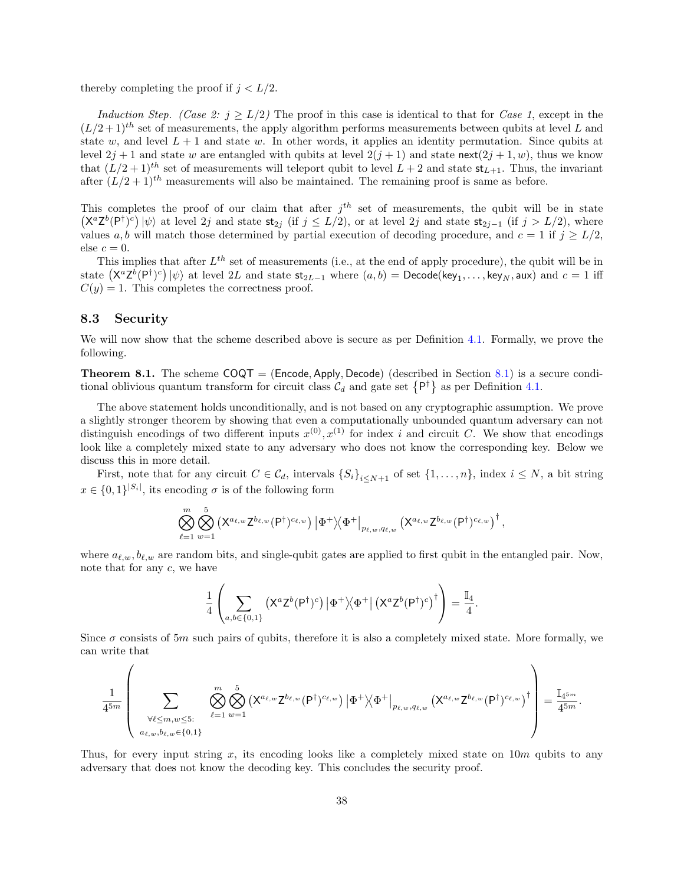thereby completing the proof if  $j < L/2$ .

Induction Step. (Case 2:  $j > L/2$ ) The proof in this case is identical to that for Case 1, except in the  $(L/2+1)^{th}$  set of measurements, the apply algorithm performs measurements between qubits at level L and state w, and level  $L + 1$  and state w. In other words, it applies an identity permutation. Since qubits at level  $2j + 1$  and state w are entangled with qubits at level  $2(j + 1)$  and state next $(2j + 1, w)$ , thus we know that  $(L/2+1)^{th}$  set of measurements will teleport qubit to level  $L+2$  and state  $st_{L+1}$ . Thus, the invariant after  $(L/2+1)^{th}$  measurements will also be maintained. The remaining proof is same as before.

This completes the proof of our claim that after  $j<sup>th</sup>$  set of measurements, the qubit will be in state  $(\mathsf{X}^a \mathsf{Z}^b(\mathsf{P}^{\dagger})^c) \ket{\psi}$  at level 2j and state  $\mathsf{st}_{2j}$  (if  $j \leq L/2$ ), or at level 2j and state  $\mathsf{st}_{2j-1}$  (if  $j > L/2$ ), where values a, b will match those determined by partial execution of decoding procedure, and  $c = 1$  if  $j \ge L/2$ , else  $c = 0$ .

This implies that after  $L^{th}$  set of measurements (i.e., at the end of apply procedure), the qubit will be in state  $\left(\mathsf{X}^{a}\mathsf{Z}^{b}(\mathsf{P}^{\dagger})^{c}\right)\ket{\psi}$  at level  $2L$  and state  $\mathsf{st}_{2L-1}$  where  $(a,b)=\mathsf{Decode}(\mathsf{key}_1,\ldots,\mathsf{key}_N,\mathsf{aux})$  and  $c=1$  iff  $C(y) = 1$ . This completes the correctness proof.

### 8.3 Security

We will now show that the scheme described above is secure as per Definition [4.1.](#page-19-2) Formally, we prove the following.

**Theorem 8.1.** The scheme  $COQT = (Encode, Apply, Decode)$  (described in Section [8.1\)](#page-33-3) is a secure conditional oblivious quantum transform for circuit class  $C_d$  and gate set  $\{P^{\dagger}\}\$ as per Definition [4.1.](#page-19-2)

The above statement holds unconditionally, and is not based on any cryptographic assumption. We prove a slightly stronger theorem by showing that even a computationally unbounded quantum adversary can not distinguish encodings of two different inputs  $x^{(0)}, x^{(1)}$  for index i and circuit C. We show that encodings look like a completely mixed state to any adversary who does not know the corresponding key. Below we discuss this in more detail.

First, note that for any circuit  $C \in \mathcal{C}_d$ , intervals  $\{S_i\}_{i\leq N+1}$  of set  $\{1,\ldots,n\}$ , index  $i \leq N$ , a bit string  $x \in \{0,1\}^{|S_i|}$ , its encoding  $\sigma$  is of the following form

$$
\bigotimes_{\ell=1}^m \bigotimes_{w=1}^5 \left( \mathsf{X}^{a_{\ell,w}}\mathsf{Z}^{b_{\ell,w}}(\mathsf{P}^{\dagger})^{c_{\ell,w}} \right) \left| \Phi^+ \right\rangle\!\! \left. \left. \Phi^+ \right|_{p_{\ell,w},q_{\ell,w}} \left( \mathsf{X}^{a_{\ell,w}}\mathsf{Z}^{b_{\ell,w}}(\mathsf{P}^{\dagger})^{c_{\ell,w}} \right)^\dagger,
$$

where  $a_{\ell,w}, b_{\ell,w}$  are random bits, and single-qubit gates are applied to first qubit in the entangled pair. Now, note that for any c, we have

$$
\frac{1}{4} \left( \sum_{a,b \in \{0,1\}} \left( X^a Z^b (P^{\dagger})^c \right) \left| \Phi^+ \right\rangle \left\langle \Phi^+ \right| \left( X^a Z^b (P^{\dagger})^c \right)^{\dagger} \right) = \frac{\mathbb{I}_4}{4}.
$$

Since  $\sigma$  consists of 5m such pairs of qubits, therefore it is also a completely mixed state. More formally, we can write that

$$
\frac{1}{4^{5m}}\left(\sum_{\substack{\forall \ell\leq m,w\leq 5:\\a_{\ell,w},b_{\ell,w}\in\{0,1\}}}\bigotimes_{\ell=1}^m\bigotimes_{w=1}^5 \left(\mathsf{X}^{a_{\ell,w}}\mathsf{Z}^{b_{\ell,w}}(\mathsf{P}^{\dagger})^{c_{\ell,w}}\right)\left|\Phi^+\right\rangle\!\langle\Phi^+\right|_{p_{\ell,w},q_{\ell,w}}\left(\mathsf{X}^{a_{\ell,w}}\mathsf{Z}^{b_{\ell,w}}(\mathsf{P}^{\dagger})^{c_{\ell,w}}\right)^{\dagger}\right)=\frac{\mathbb{I}_{4^{5m}}}{4^{5m}}.
$$

Thus, for every input string x, its encoding looks like a completely mixed state on  $10m$  qubits to any adversary that does not know the decoding key. This concludes the security proof.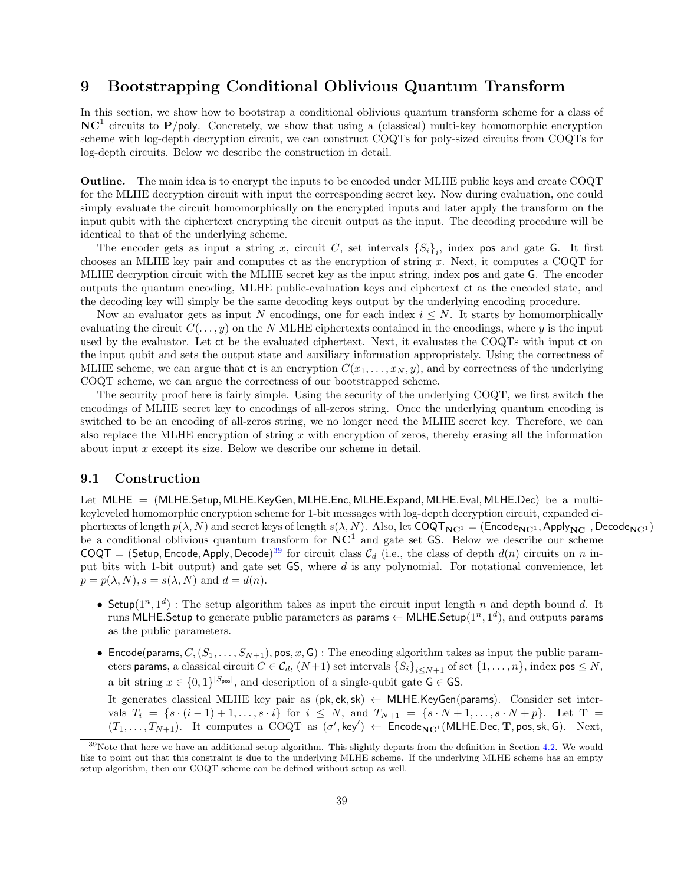## <span id="page-38-0"></span>9 Bootstrapping Conditional Oblivious Quantum Transform

In this section, we show how to bootstrap a conditional oblivious quantum transform scheme for a class of  $NC<sup>1</sup>$  circuits to P/poly. Concretely, we show that using a (classical) multi-key homomorphic encryption scheme with log-depth decryption circuit, we can construct COQTs for poly-sized circuits from COQTs for log-depth circuits. Below we describe the construction in detail.

Outline. The main idea is to encrypt the inputs to be encoded under MLHE public keys and create COQT for the MLHE decryption circuit with input the corresponding secret key. Now during evaluation, one could simply evaluate the circuit homomorphically on the encrypted inputs and later apply the transform on the input qubit with the ciphertext encrypting the circuit output as the input. The decoding procedure will be identical to that of the underlying scheme.

The encoder gets as input a string x, circuit C, set intervals  $\{S_i\}_i$ , index pos and gate G. It first chooses an MLHE key pair and computes ct as the encryption of string x. Next, it computes a COQT for MLHE decryption circuit with the MLHE secret key as the input string, index pos and gate G. The encoder outputs the quantum encoding, MLHE public-evaluation keys and ciphertext ct as the encoded state, and the decoding key will simply be the same decoding keys output by the underlying encoding procedure.

Now an evaluator gets as input N encodings, one for each index  $i \leq N$ . It starts by homomorphically evaluating the circuit  $C(\ldots, y)$  on the N MLHE ciphertexts contained in the encodings, where y is the input used by the evaluator. Let ct be the evaluated ciphertext. Next, it evaluates the COQTs with input ct on the input qubit and sets the output state and auxiliary information appropriately. Using the correctness of MLHE scheme, we can argue that ct is an encryption  $C(x_1, \ldots, x_N, y)$ , and by correctness of the underlying COQT scheme, we can argue the correctness of our bootstrapped scheme.

The security proof here is fairly simple. Using the security of the underlying COQT, we first switch the encodings of MLHE secret key to encodings of all-zeros string. Once the underlying quantum encoding is switched to be an encoding of all-zeros string, we no longer need the MLHE secret key. Therefore, we can also replace the MLHE encryption of string  $x$  with encryption of zeros, thereby erasing all the information about input  $x$  except its size. Below we describe our scheme in detail.

### <span id="page-38-2"></span>9.1 Construction

Let MLHE = (MLHE.Setup, MLHE.KeyGen, MLHE.Enc, MLHE.Expand, MLHE.Eval, MLHE.Dec) be a multikeyleveled homomorphic encryption scheme for 1-bit messages with log-depth decryption circuit, expanded ciphertexts of length  $p(\lambda, N)$  and secret keys of length  $s(\lambda, N)$ . Also, let  $\text{CQQT}_{\text{NC}1} = (\text{Encode}_{\text{NC}1}, \text{Apply}_{\text{NC}1}, \text{Decode}_{\text{NC}1})$ be a conditional oblivious quantum transform for  $NC<sup>1</sup>$  and gate set GS. Below we describe our scheme COQT = (Setup, Encode, Apply, Decode)<sup>[39](#page-38-1)</sup> for circuit class  $C_d$  (i.e., the class of depth  $d(n)$  circuits on n input bits with 1-bit output) and gate set GS, where d is any polynomial. For notational convenience, let  $p = p(\lambda, N), s = s(\lambda, N)$  and  $d = d(n)$ .

- Setup( $1^n, 1^d$ ): The setup algorithm takes as input the circuit input length n and depth bound d. It runs MLHE.Setup to generate public parameters as params  $\leftarrow$  MLHE.Setup $(1^n,1^d),$  and outputs params as the public parameters.
- Encode(params,  $C, (S_1, \ldots, S_{N+1}),$  pos,  $x, \mathsf{G})$ : The encoding algorithm takes as input the public parameters params, a classical circuit  $C \in \mathcal{C}_d$ ,  $(N+1)$  set intervals  $\{\widetilde{S_i}\}_{i\leq N+1}$  of set  $\{1,\ldots,n\}$ , index pos  $\leq N$ , a bit string  $x \in \{0,1\}^{|S_{\text{pos}}|}$ , and description of a single-qubit gate  $G \in GS$ .

It generates classical MLHE key pair as (pk, ek,sk) ← MLHE.KeyGen(params). Consider set intervals  $T_i = \{s \cdot (i-1) + 1, \ldots, s \cdot i\}$  for  $i \leq N$ , and  $T_{N+1} = \{s \cdot N + 1, \ldots, s \cdot N + p\}$ . Let  $T =$  $(T_1,\ldots,T_{N+1})$ . It computes a COQT as  $(\sigma',\text{key}') \leftarrow \text{Encode}_{NC^1}(\text{MLHE.Dec}, \textbf{T},\text{pos},\text{sk},\textbf{G})$ . Next,

<span id="page-38-1"></span><sup>39</sup>Note that here we have an additional setup algorithm. This slightly departs from the definition in Section [4.2.](#page-18-2) We would like to point out that this constraint is due to the underlying MLHE scheme. If the underlying MLHE scheme has an empty setup algorithm, then our COQT scheme can be defined without setup as well.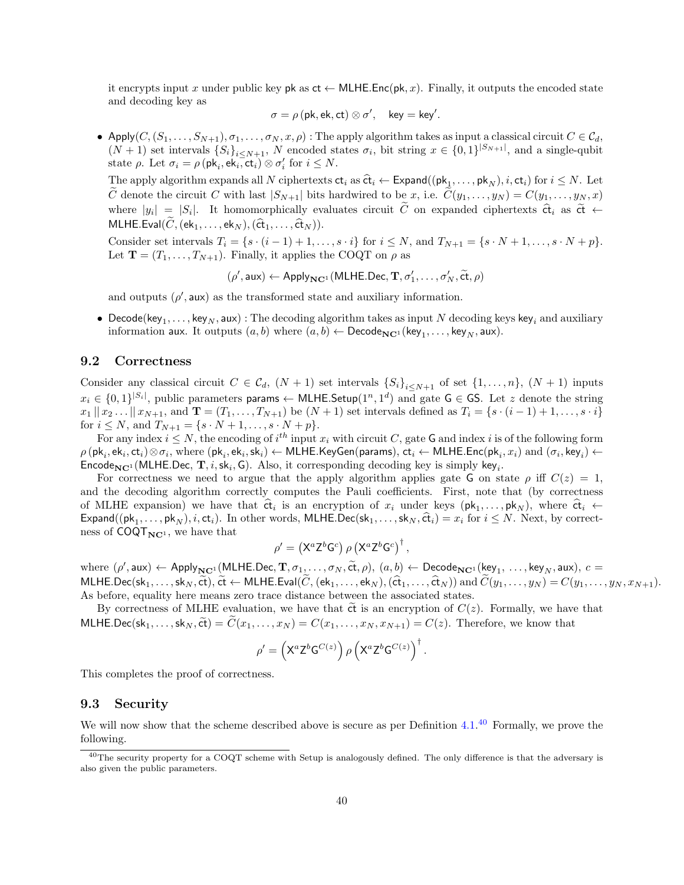it encrypts input x under public key pk as  $ct \leftarrow \text{MLHE}$ . Enc(pk, x). Finally, it outputs the encoded state and decoding key as

$$
\sigma = \rho\, (\text{pk},\text{ek},\text{ct}) \otimes \sigma', \quad \text{key} = \text{key}'.
$$

• Apply $(C, (S_1, \ldots, S_{N+1}), \sigma_1, \ldots, \sigma_N, x, \rho)$ : The apply algorithm takes as input a classical circuit  $C \in \mathcal{C}_d$ ,  $(N+1)$  set intervals  $\{S_i\}_{i\leq N+1}$ , N encoded states  $\sigma_i$ , bit string  $x \in \{0,1\}^{|S_{N+1}|}$ , and a single-qubit state  $\rho$ . Let  $\sigma_i = \rho(\mathsf{pk}_i, \mathsf{ek}_i, \mathsf{ct}_i) \otimes \sigma'_i$  for  $i \leq N$ .

The apply algorithm expands all N ciphertexts  $ct_i$  as  $\hat{ct}_i \leftarrow$  Expand $((pk_1, ..., pk_N), i, ct_i)$  for  $i \le N$ . Let  $\tilde{c}$ C denote the circuit C with last  $|S_{N+1}|$  bits hardwired to be x, i.e.  $C(y_1, \ldots, y_N) = C(y_1, \ldots, y_N, x)$ where  $|y_i| = |S_i|$ . It homomorphically evaluates circuit C on expanded ciphertexts  $\hat{\mathbf{ct}}_i$  as  $\hat{\mathbf{ct}} \leftarrow$ MLHE.Eval $(C, (\mathsf{ek}_1, \ldots, \mathsf{ek}_N),(\hat{\mathsf{ct}}_1, \ldots, \hat{\mathsf{ct}}_N)).$ 

Consider set intervals  $T_i = \{s \cdot (i-1) + 1, \ldots, s \cdot i\}$  for  $i \leq N$ , and  $T_{N+1} = \{s \cdot N + 1, \ldots, s \cdot N + p\}.$ Let  $\mathbf{T} = (T_1, \ldots, T_{N+1})$ . Finally, it applies the COQT on  $\rho$  as

$$
(\rho', \mathsf{aux}) \leftarrow \mathsf{Apply}_{\mathbf{NC}^1}(\mathsf{MLHE}.\mathsf{Dec}, \mathbf{T}, \sigma'_1, \dots, \sigma'_N, \widetilde{\mathsf{ct}}, \rho)
$$

and outputs  $(\rho', \text{aux})$  as the transformed state and auxiliary information.

 $\bullet\,$  Decode(key $_1,\ldots$ , key $_N,$  aux) : The decoding algorithm takes as input  $N$  decoding keys key $_i$  and auxiliary information aux. It outputs  $(a, b)$  where  $(a, b) \leftarrow \mathsf{Decode}_{\mathbf{NC}^1}(\mathsf{key}_1, \dots, \mathsf{key}_N, \mathsf{aux}).$ 

### 9.2 Correctness

Consider any classical circuit  $C \in \mathcal{C}_d$ ,  $(N+1)$  set intervals  $\{S_i\}_{i\leq N+1}$  of set  $\{1,\ldots,n\}$ ,  $(N+1)$  inputs  $x_i \in \{0,1\}^{|S_i|},$  public parameters params  $\leftarrow$  MLHE.Setup $(1^n,1^d)$  and gate  $\textsf{G} \in \textsf{GS}.$  Let  $z$  denote the string  $x_1 || x_2 ... || x_{N+1}$ , and  $\mathbf{T} = (T_1, ..., T_{N+1})$  be  $(N+1)$  set intervals defined as  $T_i = \{s \cdot (i-1) + 1, ..., s \cdot i\}$ for  $i \leq N$ , and  $T_{N+1} = \{s \cdot N + 1, \ldots, s \cdot N + p\}.$ 

For any index  $i \leq N$ , the encoding of  $i^{th}$  input  $x_i$  with circuit C, gate G and index i is of the following form  $\rho\left(\mathsf{pk}_i,\mathsf{ek}_i,\mathsf{ct}_i\right)\otimes\sigma_i,\,\text{where}\,\left(\mathsf{pk}_i,\mathsf{ek}_i,\mathsf{sk}_i\right)\gets\mathsf{MLHE}.\mathsf{KeyGen}(\mathsf{params}),\,\mathsf{ct}_i\gets\mathsf{MLHE}.\mathsf{Enc}(\mathsf{pk}_i,x_i)\text{ and }(\sigma_i,\mathsf{key}_i)\gets\mathsf{KLHE}.\mathsf{Enc}(\mathsf{pk}_i,x_i)\text{ and }(\sigma_i,\mathsf{key}_i)\gets\mathsf{KLHE}.\mathsf{Enc}(\mathsf{pk}_i,x_i)\text{ and }(\sigma_i,\mathsf{key}_i)\gets\mathsf{KLHE}$ Encode<sub>NC<sup>1</sup></sub> (MLHE.Dec, T, *i*, sk<sub>*i*</sub>, G). Also, it corresponding decoding key is simply key<sub>*i*</sub>.

For correctness we need to argue that the apply algorithm applies gate G on state  $\rho$  iff  $C(z) = 1$ , and the decoding algorithm correctly computes the Pauli coefficients. First, note that (by correctness of MLHE expansion) we have that  $\hat{\mathbf{c}}_t$  is an encryption of  $x_i$  under keys  $(\mathsf{pk}_1, \ldots, \mathsf{pk}_N)$ , where  $\hat{\mathbf{c}}_t$   $\leftarrow$ Expand(( $pk_1, ..., pk_N$ ), *i*, ct<sub>i</sub>). In other words, MLHE.Dec( $sk_1, ..., sk_N$ ,  $\hat{ct}_i$ ) =  $x_i$  for  $i \leq N$ . Next, by correctness of  $COQT<sub>NC<sup>1</sup></sub>$ , we have that

$$
\rho' = \left( X^a Z^b G^c \right) \rho \left( X^a Z^b G^c \right)^{\dagger},
$$

where  $(\rho', \text{aux}) \leftarrow \text{Apply}_{\mathbb{N}C^1}(\text{MLHE}.\text{Dec}, \mathbf{T}, \sigma_1, \dots, \sigma_N, \tilde{\text{ct}}, \rho), (a, b) \leftarrow \text{Decode}_{\mathbb{N}C^1}(\text{key}_1, \dots, \text{key}_N, \text{aux}), c =$ MLHE.Dec(sk<sub>1</sub>, ..., sk<sub>N</sub>,  $\widetilde{ct}$ ),  $\widetilde{ct}$  ← MLHE.Eval( $\widetilde{C}$ , (ek<sub>1</sub>, ..., ek<sub>N</sub>),  $(\widehat{ct}_1, \ldots, \widehat{ct}_N)$ ) and  $\widetilde{C}(y_1, \ldots, y_N) = C(y_1, \ldots, y_N, x_{N+1})$ . As before, equality here means zero trace distance between the associated states.

By correctness of MLHE evaluation, we have that  $\tilde{c}$  is an encryption of  $C(z)$ . Formally, we have that MLHE.Dec(sk<sub>1</sub>, ..., sk<sub>N</sub>,  $\widetilde{ct}$ ) =  $\widetilde{C}(x_1,\ldots,x_N) = C(x_1,\ldots,x_N,x_{N+1}) = C(z)$ . Therefore, we know that

$$
\rho' = \left( X^a Z^b G^{C(z)} \right) \rho \left( X^a Z^b G^{C(z)} \right)^{\dagger}.
$$

This completes the proof of correctness.

#### 9.3 Security

We will now show that the scheme described above is secure as per Definition  $4.1<sup>40</sup>$  $4.1<sup>40</sup>$  $4.1<sup>40</sup>$  Formally, we prove the following.

<span id="page-39-0"></span><sup>&</sup>lt;sup>40</sup>The security property for a COQT scheme with Setup is analogously defined. The only difference is that the adversary is also given the public parameters.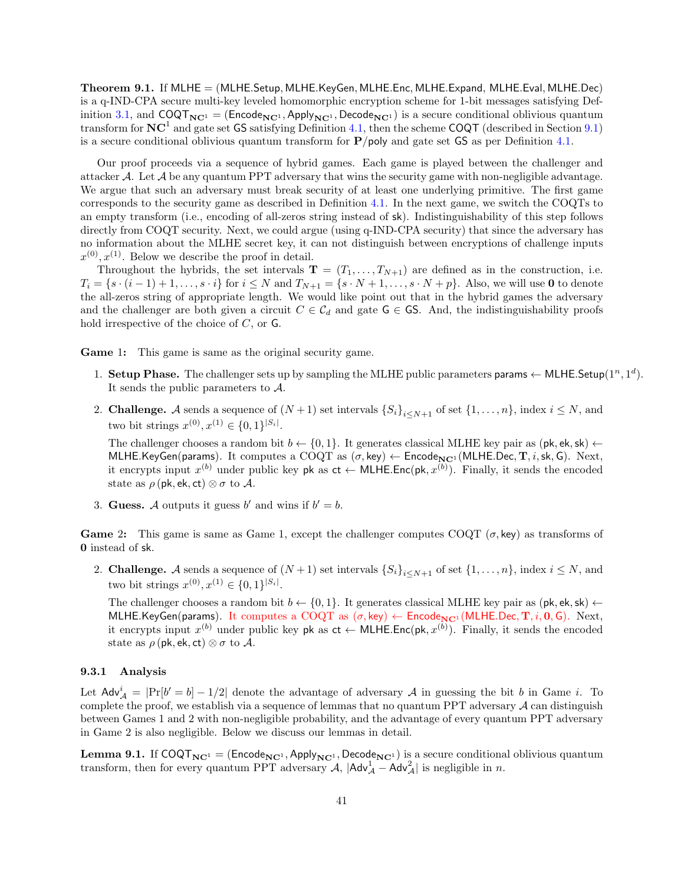Theorem 9.1. If MLHE = (MLHE.Setup, MLHE.KeyGen, MLHE.Enc, MLHE.Expand, MLHE.Eval, MLHE.Dec) is a q-IND-CPA secure multi-key leveled homomorphic encryption scheme for 1-bit messages satisfying Def-inition [3.1,](#page-11-0) and  $COQT_{NC^1} = (Encode_{NC^1}, Apply_{NC^1}, Decode_{NC^1})$  is a secure conditional oblivious quantum transform for  $NC^1$  and gate set GS satisfying Definition [4.1,](#page-19-2) then the scheme COQT (described in Section [9.1\)](#page-38-2) is a secure conditional oblivious quantum transform for  $P/poly$  and gate set GS as per Definition [4.1.](#page-19-2)

Our proof proceeds via a sequence of hybrid games. Each game is played between the challenger and attacker A. Let A be any quantum PPT adversary that wins the security game with non-negligible advantage. We argue that such an adversary must break security of at least one underlying primitive. The first game corresponds to the security game as described in Definition [4.1.](#page-19-2) In the next game, we switch the COQTs to an empty transform (i.e., encoding of all-zeros string instead of sk). Indistinguishability of this step follows directly from COQT security. Next, we could argue (using q-IND-CPA security) that since the adversary has no information about the MLHE secret key, it can not distinguish between encryptions of challenge inputs  $x^{(0)}, x^{(1)}$ . Below we describe the proof in detail.

Throughout the hybrids, the set intervals  $\mathbf{T} = (T_1, \ldots, T_{N+1})$  are defined as in the construction, i.e.  $T_i = \{s \cdot (i-1) + 1, \ldots, s \cdot i\}$  for  $i \leq N$  and  $T_{N+1} = \{s \cdot N + 1, \ldots, s \cdot N + p\}$ . Also, we will use 0 to denote the all-zeros string of appropriate length. We would like point out that in the hybrid games the adversary and the challenger are both given a circuit  $C \in \mathcal{C}_d$  and gate G  $\in$  GS. And, the indistinguishability proofs hold irrespective of the choice of  $C$ , or  $\mathsf{G}$ .

Game 1: This game is same as the original security game.

- 1. Setup Phase. The challenger sets up by sampling the MLHE public parameters params  $\leftarrow$  MLHE.Setup(1<sup>n</sup>, 1<sup>d</sup>). It sends the public parameters to A.
- 2. **Challenge.** A sends a sequence of  $(N + 1)$  set intervals  $\{S_i\}_{i \le N+1}$  of set  $\{1, \ldots, n\}$ , index  $i \le N$ , and two bit strings  $x^{(0)}, x^{(1)} \in \{0, 1\}^{|S_i|}$ .

The challenger chooses a random bit  $b \leftarrow \{0, 1\}$ . It generates classical MLHE key pair as (pk, ek, sk)  $\leftarrow$ MLHE.KeyGen(params). It computes a COQT as  $(\sigma, \text{key}) \leftarrow \text{Encode}_{NC1}(MLHE.Dec, T, i, sk, G)$ . Next, it encrypts input  $x^{(b)}$  under public key pk as  $ct \leftarrow \textsf{MLHE}.\textsf{Enc}(\textsf{pk}, x^{(b)})$ . Finally, it sends the encoded state as  $\rho$  (pk, ek, ct)  $\otimes \sigma$  to A.

3. Guess. A outputs it guess b' and wins if  $b' = b$ .

Game 2: This game is same as Game 1, except the challenger computes COQT  $(\sigma, \text{key})$  as transforms of 0 instead of sk.

2. **Challenge.** A sends a sequence of  $(N + 1)$  set intervals  $\{S_i\}_{i \le N+1}$  of set  $\{1, \ldots, n\}$ , index  $i \le N$ , and two bit strings  $x^{(0)}, x^{(1)} \in \{0, 1\}^{|S_i|}$ .

The challenger chooses a random bit  $b \leftarrow \{0, 1\}$ . It generates classical MLHE key pair as (pk, ek, sk)  $\leftarrow$ MLHE.KeyGen(params). It computes a COQT as  $(\sigma, \text{key}) \leftarrow \text{Encode}_{\text{NC}^1}(\text{MLHE}.\text{Dec}, \mathbf{T}, i, \mathbf{0}, \mathbf{G})$ . Next, it encrypts input  $x^{(b)}$  under public key pk as  $ct \leftarrow \textsf{MLHE}.\textsf{Enc}(\textsf{pk}, x^{(b)})$ . Finally, it sends the encoded state as  $\rho$  (pk, ek, ct)  $\otimes \sigma$  to A.

#### 9.3.1 Analysis

Let  $\text{Adv}^i_A = |\Pr[b' = b] - 1/2|$  denote the advantage of adversary A in guessing the bit b in Game i. To complete the proof, we establish via a sequence of lemmas that no quantum PPT adversary  $A$  can distinguish between Games 1 and 2 with non-negligible probability, and the advantage of every quantum PPT adversary in Game 2 is also negligible. Below we discuss our lemmas in detail.

**Lemma 9.1.** If  $COQT_{NC^1} = (Encode_{NC^1}, Apply_{NC^1}, Decode_{NC^1})$  is a secure conditional oblivious quantum transform, then for every quantum PPT adversary  $A$ ,  $|Adv_A^1 - Adv_A^2|$  is negligible in n.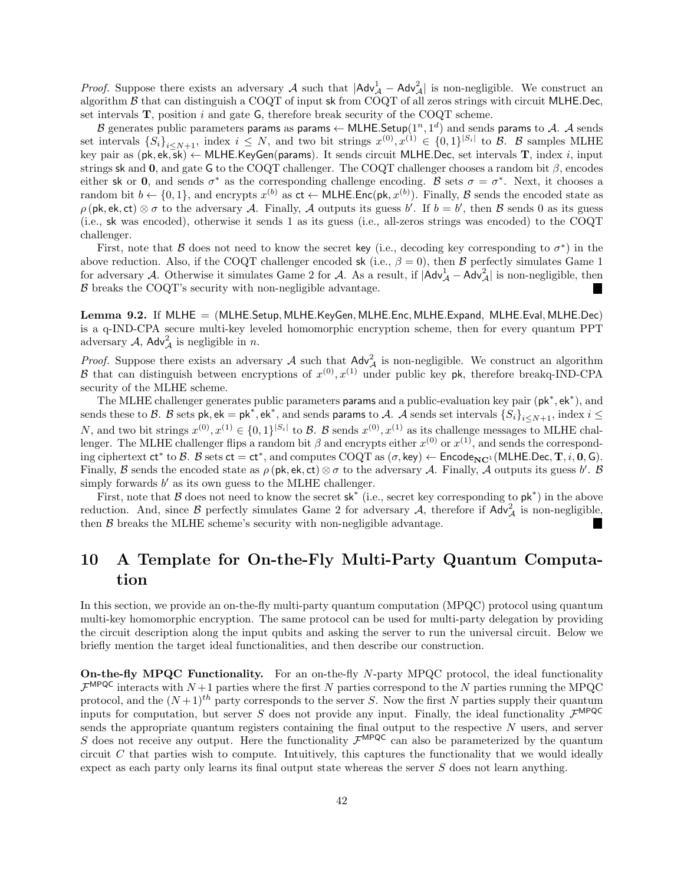*Proof.* Suppose there exists an adversary A such that  $|Adv_A^1 - Adv_A^2|$  is non-negligible. We construct an algorithm  $\beta$  that can distinguish a COQT of input sk from COQT of all zeros strings with circuit MLHE.Dec. set intervals  $T$ , position i and gate  $G$ , therefore break security of the COQT scheme.

 ${\cal B}$  generates public parameters params as params  $\leftarrow$  MLHE.Setup $(1^n,1^d)$  and sends params to  ${\cal A}.$   ${\cal A}$  sends set intervals  $\{S_i\}_{i\leq N+1}$ , index  $i\leq N$ , and two bit strings  $x^{(0)}, x^{(1)} \in \{0,1\}^{|S_i|}$  to  $\beta$ .  $\beta$  samples MLHE key pair as  $(\mathsf{pk}, \mathsf{ek}, \mathsf{\bar{sk}}) \leftarrow \mathsf{MLHE}$ . KeyGen(params). It sends circuit MLHE. Dec, set intervals **T**, index *i*, input strings sk and 0, and gate G to the COQT challenger. The COQT challenger chooses a random bit  $\beta$ , encodes either sk or 0, and sends  $\sigma^*$  as the corresponding challenge encoding. B sets  $\sigma = \sigma^*$ . Next, it chooses a random bit  $b \leftarrow \{0,1\}$ , and encrypts  $x^{(b)}$  as  $ct \leftarrow \textsf{MLHE}.\textsf{Enc}(\textsf{pk}, x^{(b)})$ . Finally, B sends the encoded state as  $\rho$  (pk, ek, ct)  $\otimes \sigma$  to the adversary A. Finally, A outputs its guess b'. If  $b = b'$ , then B sends 0 as its guess (i.e., sk was encoded), otherwise it sends 1 as its guess (i.e., all-zeros strings was encoded) to the COQT challenger.

First, note that B does not need to know the secret key (i.e., decoding key corresponding to  $\sigma^*$ ) in the above reduction. Also, if the COQT challenger encoded sk (i.e.,  $\beta = 0$ ), then B perfectly simulates Game 1 for adversary A. Otherwise it simulates Game 2 for A. As a result, if  $|Adv_A^1 - Adv_A^2|$  is non-negligible, then  $\ensuremath{\mathcal{B}}$  breaks the COQT's security with non-negligible advantage.

Lemma 9.2. If MLHE = (MLHE.Setup, MLHE.KeyGen, MLHE.Enc, MLHE.Expand, MLHE.Eval, MLHE.Dec) is a q-IND-CPA secure multi-key leveled homomorphic encryption scheme, then for every quantum PPT adversary  $A$ ,  $\mathsf{Adv}_{\mathcal{A}}^2$  is negligible in n.

*Proof.* Suppose there exists an adversary A such that  $Adv_{\mathcal{A}}^2$  is non-negligible. We construct an algorithm B that can distinguish between encryptions of  $x^{(0)}, x^{(1)}$  under public key pk, therefore breakq-IND-CPA security of the MLHE scheme.

The MLHE challenger generates public parameters params and a public-evaluation key pair (pk<sup>\*</sup>, ek<sup>\*</sup>), and sends these to  $\mathcal B$ .  $\mathcal B$  sets pk, ek = pk\*, ek\*, and sends params to  $\mathcal A$ .  $\mathcal A$  sends set intervals  $\{S_i\}_{i\leq N+1}$ , index  $i\leq$ N, and two bit strings  $x^{(0)}, x^{(1)} \in \{0,1\}^{|S_i|}$  to B. B sends  $x^{(0)}, x^{(1)}$  as its challenge messages to MLHE challenger. The MLHE challenger flips a random bit  $\beta$  and encrypts either  $x^{(0)}$  or  $x^{(1)}$ , and sends the corresponding ciphertext  $ct^*$  to  $B$ .  $B$  sets  $ct = ct^*$ , and computes  $COQT$  as  $(\sigma, \text{key}) \leftarrow$  Encode<sub>NC<sup>1</sup></sub> (MLHE.Dec, T, *i*, 0, G). Finally, B sends the encoded state as  $\rho(\mathsf{pk}, \mathsf{ek}, \mathsf{ct}) \otimes \sigma$  to the adversary A. Finally, A outputs its guess b'. B simply forwards  $b'$  as its own guess to the MLHE challenger.

First, note that  $\beta$  does not need to know the secret sk<sup>\*</sup> (i.e., secret key corresponding to  $\mathsf{pk}^*$ ) in the above reduction. And, since  $\beta$  perfectly simulates Game 2 for adversary  $\mathcal{A}$ , therefore if  $\text{Adv}_{\mathcal{A}}^2$  is non-negligible, then  $B$  breaks the MLHE scheme's security with non-negligible advantage.

# <span id="page-41-0"></span>10 A Template for On-the-Fly Multi-Party Quantum Computation

In this section, we provide an on-the-fly multi-party quantum computation (MPQC) protocol using quantum multi-key homomorphic encryption. The same protocol can be used for multi-party delegation by providing the circuit description along the input qubits and asking the server to run the universal circuit. Below we briefly mention the target ideal functionalities, and then describe our construction.

On-the-fly MPQC Functionality. For an on-the-fly N-party MPQC protocol, the ideal functionality  $\mathcal{F}^{\text{MPQC}}$  interacts with  $N+1$  parties where the first N parties correspond to the N parties running the MPQC protocol, and the  $(N+1)^{th}$  party corresponds to the server S. Now the first N parties supply their quantum inputs for computation, but server S does not provide any input. Finally, the ideal functionality  $\mathcal{F}^{\text{MPQC}}$ sends the appropriate quantum registers containing the final output to the respective  $N$  users, and server S does not receive any output. Here the functionality  $\mathcal{F}^{\text{MPQC}}$  can also be parameterized by the quantum circuit  $C$  that parties wish to compute. Intuitively, this captures the functionality that we would ideally expect as each party only learns its final output state whereas the server S does not learn anything.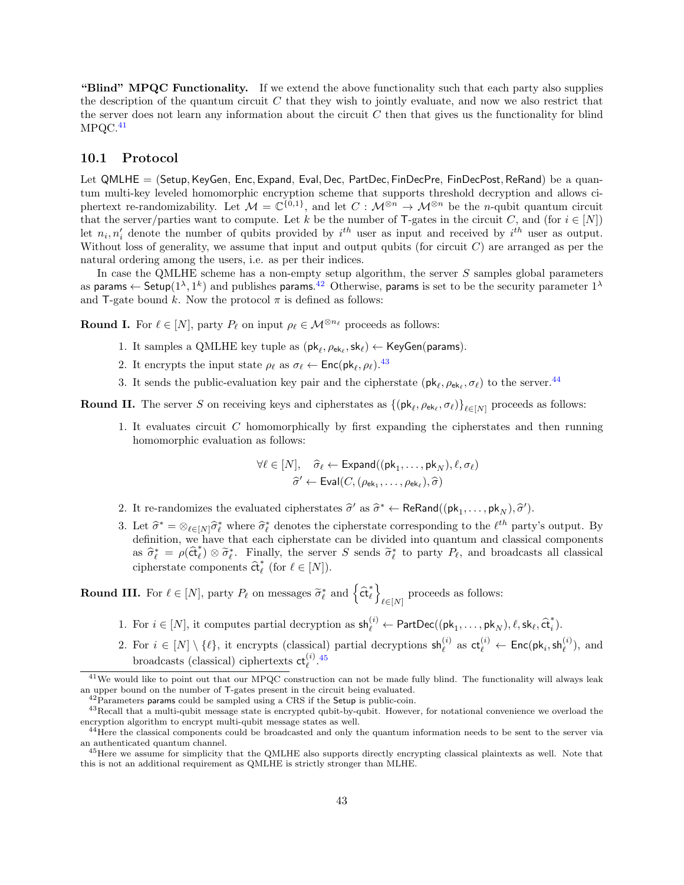"Blind" MPQC Functionality. If we extend the above functionality such that each party also supplies the description of the quantum circuit  $C$  that they wish to jointly evaluate, and now we also restrict that the server does not learn any information about the circuit  $C$  then that gives us the functionality for blind  $MPQC.<sup>41</sup>$  $MPQC.<sup>41</sup>$  $MPQC.<sup>41</sup>$ 

### 10.1 Protocol

Let QMLHE = (Setup, KeyGen, Enc, Expand, Eval, Dec, PartDec, FinDecPre, FinDecPost, ReRand) be a quantum multi-key leveled homomorphic encryption scheme that supports threshold decryption and allows ciphertext re-randomizability. Let  $\mathcal{M} = \mathbb{C}^{\{0,1\}}$ , and let  $C : \mathcal{M}^{\otimes n} \to \mathcal{M}^{\otimes n}$  be the *n*-qubit quantum circuit that the server/parties want to compute. Let k be the number of T-gates in the circuit C, and (for  $i \in [N]$ ) let  $n_i, n'_i$  denote the number of qubits provided by  $i^{th}$  user as input and received by  $i^{th}$  user as output. Without loss of generality, we assume that input and output qubits (for circuit  $C$ ) are arranged as per the natural ordering among the users, i.e. as per their indices.

In case the QMLHE scheme has a non-empty setup algorithm, the server  $S$  samples global parameters as params  $\leftarrow$  Setup( $1^{\lambda}, 1^k$ ) and publishes params.<sup>[42](#page-42-1)</sup> Otherwise, params is set to be the security parameter  $1^{\lambda}$ and T-gate bound k. Now the protocol  $\pi$  is defined as follows:

**Round I.** For  $\ell \in [N]$ , party  $P_\ell$  on input  $\rho_\ell \in \mathcal{M}^{\otimes n_\ell}$  proceeds as follows:

- 1. It samples a QMLHE key tuple as  $(\mathsf{pk}_\ell, \rho_{\mathsf{ek}_\ell}, \mathsf{sk}_\ell) \leftarrow \mathsf{KeyGen}(\mathsf{params}).$
- 2. It encrypts the input state  $\rho_{\ell}$  as  $\sigma_{\ell} \leftarrow \text{Enc}(pk_{\ell}, \rho_{\ell})$ .<sup>[43](#page-42-2)</sup>
- 3. It sends the public-evaluation key pair and the cipherstate  $(\mathsf{pk}_\ell, \rho_{\mathsf{ek}_\ell}, \sigma_\ell)$  to the server.<sup>[44](#page-42-3)</sup>

**Round II.** The server S on receiving keys and cipherstates as  $\{(\mathsf{pk}_\ell, \rho_{\mathsf{ek}_\ell}, \sigma_\ell)\}_{\ell \in [N]}$  proceeds as follows:

1. It evaluates circuit C homomorphically by first expanding the cipherstates and then running homomorphic evaluation as follows:

$$
\forall \ell \in [N], \quad \widehat{\sigma}_{\ell} \leftarrow \text{Expand}((\text{pk}_1, \dots, \text{pk}_N), \ell, \sigma_{\ell})
$$

$$
\widehat{\sigma}' \leftarrow \text{Eval}(C, (\rho_{\text{ek}_1}, \dots, \rho_{\text{ek}_{\ell}}), \widehat{\sigma})
$$

- 2. It re-randomizes the evaluated cipherstates  $\hat{\sigma}'$  as  $\hat{\sigma}^* \leftarrow \text{ReRand}((p k_1, \dots, p k_N), \hat{\sigma}')$ .
- 3. Let  $\hat{\sigma}^* = \otimes_{\ell \in [N]} \hat{\sigma}_{\ell}^*$  where  $\hat{\sigma}_{\ell}^*$  denotes the cipherstate corresponding to the  $\ell^{th}$  party's output. By definition, we have that each cipherstate can be divided into quantum and classical components as  $\hat{\sigma}_{\ell}^* = \rho(\hat{\text{ct}}_{\ell}^*)$  $\tilde{\sigma}_{\ell}^*$  ⊗  $\tilde{\sigma}_{\ell}^*$ . Finally, the server S sends  $\tilde{\sigma}_{\ell}^*$  to party  $P_{\ell}$ , and broadcasts all classical  $\tilde{\sigma}_{\ell}^*$ . (for  $\ell \in [N]$ ) cipherstate components  $\hat{\mathsf{ct}}_\ell^*$  $\ell$  (for  $\ell \in [N]$ ).

**Round III.** For  $\ell \in [N]$ , party  $P_{\ell}$  on messages  $\tilde{\sigma}_{\ell}^*$  and  $\left\{\hat{\mathbf{c}}_t^*\right\}$  $\begin{matrix} * \ * \end{matrix}$  $\ell \in [N]$  proceeds as follows:

- 1. For  $i \in [N]$ , it computes partial decryption as  $\mathsf{sh}_{\ell}^{(i)} \leftarrow \mathsf{PartDec}((\mathsf{pk}_1, \ldots, \mathsf{pk}_N), \ell, \mathsf{sk}_{\ell}, \hat{\mathsf{ct}}_i^*$  $\binom{r}{i}$ .
- 2. For  $i \in [N] \setminus \{\ell\}$ , it encrypts (classical) partial decryptions  $\mathsf{sh}_{\ell}^{(i)}$  as  $\mathsf{ct}_{\ell}^{(i)} \leftarrow \mathsf{Enc}(\mathsf{pk}_i, \mathsf{sh}_{\ell}^{(i)})$ , and broadcasts (classical) ciphertexts  $ct_{\ell}^{(i)}$ .<sup>[45](#page-42-4)</sup>

<span id="page-42-0"></span> $41$ We would like to point out that our MPQC construction can not be made fully blind. The functionality will always leak an upper bound on the number of T-gates present in the circuit being evaluated.

<span id="page-42-2"></span><span id="page-42-1"></span> $42$ Parameters params could be sampled using a CRS if the Setup is public-coin.

<sup>43</sup>Recall that a multi-qubit message state is encrypted qubit-by-qubit. However, for notational convenience we overload the encryption algorithm to encrypt multi-qubit message states as well.

<span id="page-42-3"></span><sup>&</sup>lt;sup>44</sup>Here the classical components could be broadcasted and only the quantum information needs to be sent to the server via an authenticated quantum channel.

<span id="page-42-4"></span><sup>45</sup>Here we assume for simplicity that the QMLHE also supports directly encrypting classical plaintexts as well. Note that this is not an additional requirement as QMLHE is strictly stronger than MLHE.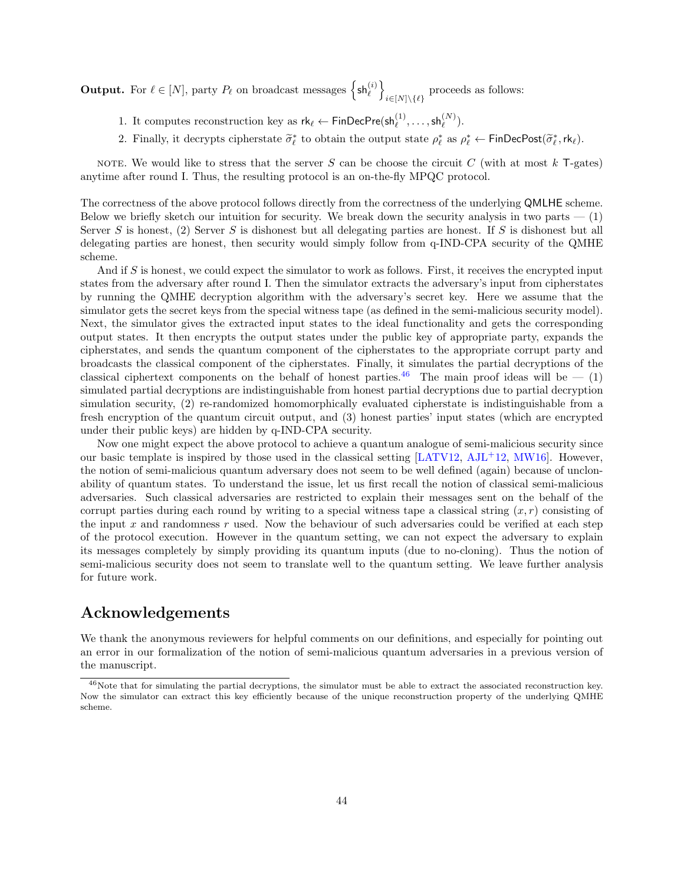**Output.** For  $\ell \in [N]$ , party  $P_{\ell}$  on broadcast messages  $\left\{ \mathsf{sh}_{\ell}^{(i)} \right\}$  $i \in [N] \backslash {\{\ell\}}$  proceeds as follows:

- 1. It computes reconstruction key as  $rk_{\ell} \leftarrow FinDecPre(sh_{\ell}^{(1)}, \ldots, sh_{\ell}^{(N)})$ .
- 2. Finally, it decrypts cipherstate  $\tilde{\sigma}_{\ell}^*$  to obtain the output state  $\rho_{\ell}^*$  as  $\rho_{\ell}^* \leftarrow \textsf{FinDecPost}(\tilde{\sigma}_{\ell}^*, \textsf{rk}_{\ell})$ .

NOTE. We would like to stress that the server S can be choose the circuit C (with at most  $k$  T-gates) anytime after round I. Thus, the resulting protocol is an on-the-fly MPQC protocol.

The correctness of the above protocol follows directly from the correctness of the underlying QMLHE scheme. Below we briefly sketch our intuition for security. We break down the security analysis in two parts  $-$  (1) Server S is honest, (2) Server S is dishonest but all delegating parties are honest. If S is dishonest but all delegating parties are honest, then security would simply follow from q-IND-CPA security of the QMHE scheme.

And if S is honest, we could expect the simulator to work as follows. First, it receives the encrypted input states from the adversary after round I. Then the simulator extracts the adversary's input from cipherstates by running the QMHE decryption algorithm with the adversary's secret key. Here we assume that the simulator gets the secret keys from the special witness tape (as defined in the semi-malicious security model). Next, the simulator gives the extracted input states to the ideal functionality and gets the corresponding output states. It then encrypts the output states under the public key of appropriate party, expands the cipherstates, and sends the quantum component of the cipherstates to the appropriate corrupt party and broadcasts the classical component of the cipherstates. Finally, it simulates the partial decryptions of the classical ciphertext components on the behalf of honest parties.<sup>[46](#page-43-0)</sup> The main proof ideas will be  $- (1)$ simulated partial decryptions are indistinguishable from honest partial decryptions due to partial decryption simulation security, (2) re-randomized homomorphically evaluated cipherstate is indistinguishable from a fresh encryption of the quantum circuit output, and (3) honest parties' input states (which are encrypted under their public keys) are hidden by q-IND-CPA security.

Now one might expect the above protocol to achieve a quantum analogue of semi-malicious security since our basic template is inspired by those used in the classical setting  $[LATV12, AJL+12, MW16]$  $[LATV12, AJL+12, MW16]$  $[LATV12, AJL+12, MW16]$  $[LATV12, AJL+12, MW16]$  $[LATV12, AJL+12, MW16]$ . However, the notion of semi-malicious quantum adversary does not seem to be well defined (again) because of unclonability of quantum states. To understand the issue, let us first recall the notion of classical semi-malicious adversaries. Such classical adversaries are restricted to explain their messages sent on the behalf of the corrupt parties during each round by writing to a special witness tape a classical string  $(x, r)$  consisting of the input  $x$  and randomness  $r$  used. Now the behaviour of such adversaries could be verified at each step of the protocol execution. However in the quantum setting, we can not expect the adversary to explain its messages completely by simply providing its quantum inputs (due to no-cloning). Thus the notion of semi-malicious security does not seem to translate well to the quantum setting. We leave further analysis for future work.

## Acknowledgements

We thank the anonymous reviewers for helpful comments on our definitions, and especially for pointing out an error in our formalization of the notion of semi-malicious quantum adversaries in a previous version of the manuscript.

<span id="page-43-0"></span><sup>&</sup>lt;sup>46</sup>Note that for simulating the partial decryptions, the simulator must be able to extract the associated reconstruction key. Now the simulator can extract this key efficiently because of the unique reconstruction property of the underlying QMHE scheme.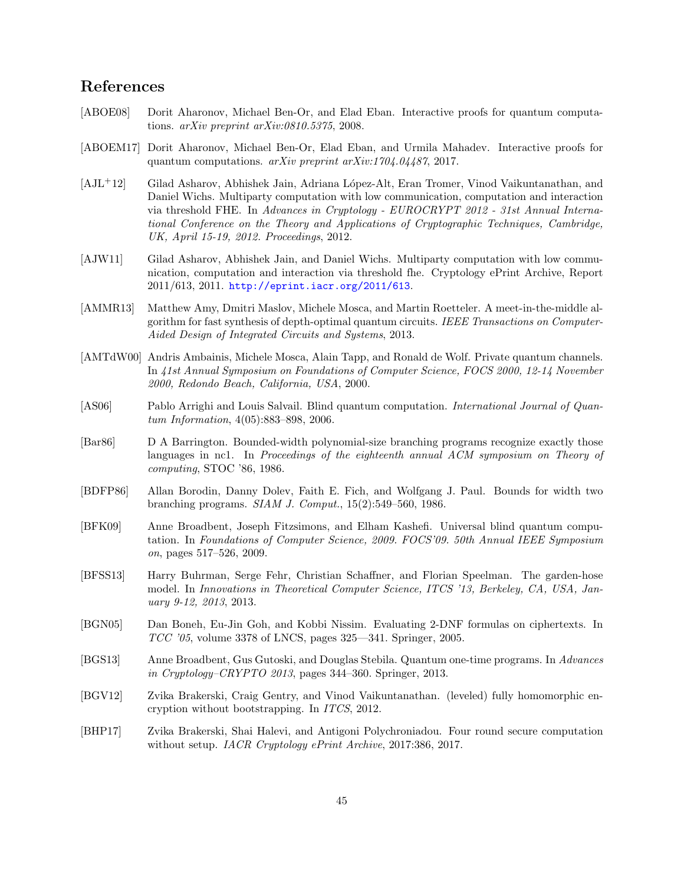## References

- <span id="page-44-5"></span>[ABOE08] Dorit Aharonov, Michael Ben-Or, and Elad Eban. Interactive proofs for quantum computations. arXiv preprint arXiv:0810.5375, 2008.
- <span id="page-44-7"></span>[ABOEM17] Dorit Aharonov, Michael Ben-Or, Elad Eban, and Urmila Mahadev. Interactive proofs for quantum computations. arXiv preprint arXiv:1704.04487, 2017.
- <span id="page-44-10"></span>[AJL+12] Gilad Asharov, Abhishek Jain, Adriana L´opez-Alt, Eran Tromer, Vinod Vaikuntanathan, and Daniel Wichs. Multiparty computation with low communication, computation and interaction via threshold FHE. In Advances in Cryptology - EUROCRYPT 2012 - 31st Annual International Conference on the Theory and Applications of Cryptographic Techniques, Cambridge, UK, April 15-19, 2012. Proceedings, 2012.
- <span id="page-44-9"></span>[AJW11] Gilad Asharov, Abhishek Jain, and Daniel Wichs. Multiparty computation with low communication, computation and interaction via threshold fhe. Cryptology ePrint Archive, Report 2011/613, 2011. <http://eprint.iacr.org/2011/613>.
- <span id="page-44-14"></span>[AMMR13] Matthew Amy, Dmitri Maslov, Michele Mosca, and Martin Roetteler. A meet-in-the-middle algorithm for fast synthesis of depth-optimal quantum circuits. IEEE Transactions on Computer-Aided Design of Integrated Circuits and Systems, 2013.
- <span id="page-44-2"></span>[AMTdW00] Andris Ambainis, Michele Mosca, Alain Tapp, and Ronald de Wolf. Private quantum channels. In 41st Annual Symposium on Foundations of Computer Science, FOCS 2000, 12-14 November 2000, Redondo Beach, California, USA, 2000.
- <span id="page-44-3"></span>[AS06] Pablo Arrighi and Louis Salvail. Blind quantum computation. *International Journal of Quan*tum Information, 4(05):883–898, 2006.
- <span id="page-44-12"></span>[Bar86] D A Barrington. Bounded-width polynomial-size branching programs recognize exactly those languages in nc1. In Proceedings of the eighteenth annual ACM symposium on Theory of computing, STOC '86, 1986.
- <span id="page-44-13"></span>[BDFP86] Allan Borodin, Danny Dolev, Faith E. Fich, and Wolfgang J. Paul. Bounds for width two branching programs. SIAM J. Comput., 15(2):549–560, 1986.
- <span id="page-44-4"></span>[BFK09] Anne Broadbent, Joseph Fitzsimons, and Elham Kashefi. Universal blind quantum computation. In Foundations of Computer Science, 2009. FOCS'09. 50th Annual IEEE Symposium on, pages 517–526, 2009.
- <span id="page-44-11"></span>[BFSS13] Harry Buhrman, Serge Fehr, Christian Schaffner, and Florian Speelman. The garden-hose model. In Innovations in Theoretical Computer Science, ITCS '13, Berkeley, CA, USA, January 9-12, 2013, 2013.
- <span id="page-44-1"></span>[BGN05] Dan Boneh, Eu-Jin Goh, and Kobbi Nissim. Evaluating 2-DNF formulas on ciphertexts. In TCC '05, volume 3378 of LNCS, pages 325—341. Springer, 2005.
- <span id="page-44-6"></span>[BGS13] Anne Broadbent, Gus Gutoski, and Douglas Stebila. Quantum one-time programs. In Advances in Cryptology–CRYPTO 2013, pages 344–360. Springer, 2013.
- <span id="page-44-0"></span>[BGV12] Zvika Brakerski, Craig Gentry, and Vinod Vaikuntanathan. (leveled) fully homomorphic encryption without bootstrapping. In ITCS, 2012.
- <span id="page-44-8"></span>[BHP17] Zvika Brakerski, Shai Halevi, and Antigoni Polychroniadou. Four round secure computation without setup. IACR Cryptology ePrint Archive, 2017:386, 2017.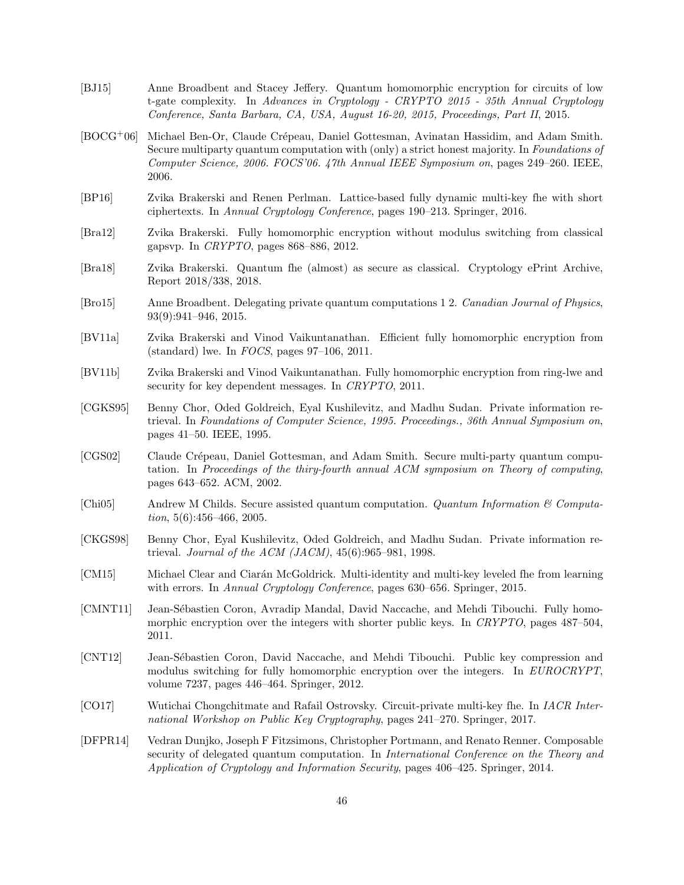- <span id="page-45-8"></span>[BJ15] Anne Broadbent and Stacey Jeffery. Quantum homomorphic encryption for circuits of low t-gate complexity. In Advances in Cryptology - CRYPTO 2015 - 35th Annual Cryptology Conference, Santa Barbara, CA, USA, August 16-20, 2015, Proceedings, Part II, 2015.
- <span id="page-45-15"></span>[BOCG<sup>+</sup>06] Michael Ben-Or, Claude Crépeau, Daniel Gottesman, Avinatan Hassidim, and Adam Smith. Secure multiparty quantum computation with (only) a strict honest majority. In Foundations of Computer Science, 2006. FOCS'06. 47th Annual IEEE Symposium on, pages 249–260. IEEE, 2006.
- <span id="page-45-6"></span>[BP16] Zvika Brakerski and Renen Perlman. Lattice-based fully dynamic multi-key fhe with short ciphertexts. In Annual Cryptology Conference, pages 190–213. Springer, 2016.
- <span id="page-45-4"></span>[Bra12] Zvika Brakerski. Fully homomorphic encryption without modulus switching from classical gapsvp. In CRYPTO, pages 868–886, 2012.
- <span id="page-45-16"></span>[Bra18] Zvika Brakerski. Quantum fhe (almost) as secure as classical. Cryptology ePrint Archive, Report 2018/338, 2018.
- <span id="page-45-13"></span>[Bro15] Anne Broadbent. Delegating private quantum computations 1 2. Canadian Journal of Physics, 93(9):941–946, 2015.
- <span id="page-45-1"></span>[BV11a] Zvika Brakerski and Vinod Vaikuntanathan. Efficient fully homomorphic encryption from (standard) lwe. In  $FOCS$ , pages  $97-106$ ,  $2011$ .
- <span id="page-45-0"></span>[BV11b] Zvika Brakerski and Vinod Vaikuntanathan. Fully homomorphic encryption from ring-lwe and security for key dependent messages. In CRYPTO, 2011.
- <span id="page-45-9"></span>[CGKS95] Benny Chor, Oded Goldreich, Eyal Kushilevitz, and Madhu Sudan. Private information retrieval. In Foundations of Computer Science, 1995. Proceedings., 36th Annual Symposium on, pages 41–50. IEEE, 1995.
- <span id="page-45-14"></span>[CGS02] Claude Crépeau, Daniel Gottesman, and Adam Smith. Secure multi-party quantum computation. In Proceedings of the thiry-fourth annual ACM symposium on Theory of computing, pages 643–652. ACM, 2002.
- <span id="page-45-11"></span>[Chi05] Andrew M Childs. Secure assisted quantum computation. Quantum Information & Computation,  $5(6)$ :456–466, 2005.
- <span id="page-45-10"></span>[CKGS98] Benny Chor, Eyal Kushilevitz, Oded Goldreich, and Madhu Sudan. Private information retrieval. Journal of the ACM (JACM), 45(6):965–981, 1998.
- <span id="page-45-5"></span>[CM15] Michael Clear and Ciar´an McGoldrick. Multi-identity and multi-key leveled fhe from learning with errors. In Annual Cryptology Conference, pages 630–656. Springer, 2015.
- <span id="page-45-2"></span>[CMNT11] Jean-Sébastien Coron, Avradip Mandal, David Naccache, and Mehdi Tibouchi. Fully homomorphic encryption over the integers with shorter public keys. In CRYPTO, pages 487–504, 2011.
- <span id="page-45-3"></span>[CNT12] Jean-Sébastien Coron, David Naccache, and Mehdi Tibouchi. Public key compression and modulus switching for fully homomorphic encryption over the integers. In EUROCRYPT, volume 7237, pages 446–464. Springer, 2012.
- <span id="page-45-7"></span>[CO17] Wutichai Chongchitmate and Rafail Ostrovsky. Circuit-private multi-key fhe. In IACR International Workshop on Public Key Cryptography, pages 241–270. Springer, 2017.
- <span id="page-45-12"></span>[DFPR14] Vedran Dunjko, Joseph F Fitzsimons, Christopher Portmann, and Renato Renner. Composable security of delegated quantum computation. In *International Conference on the Theory and* Application of Cryptology and Information Security, pages 406–425. Springer, 2014.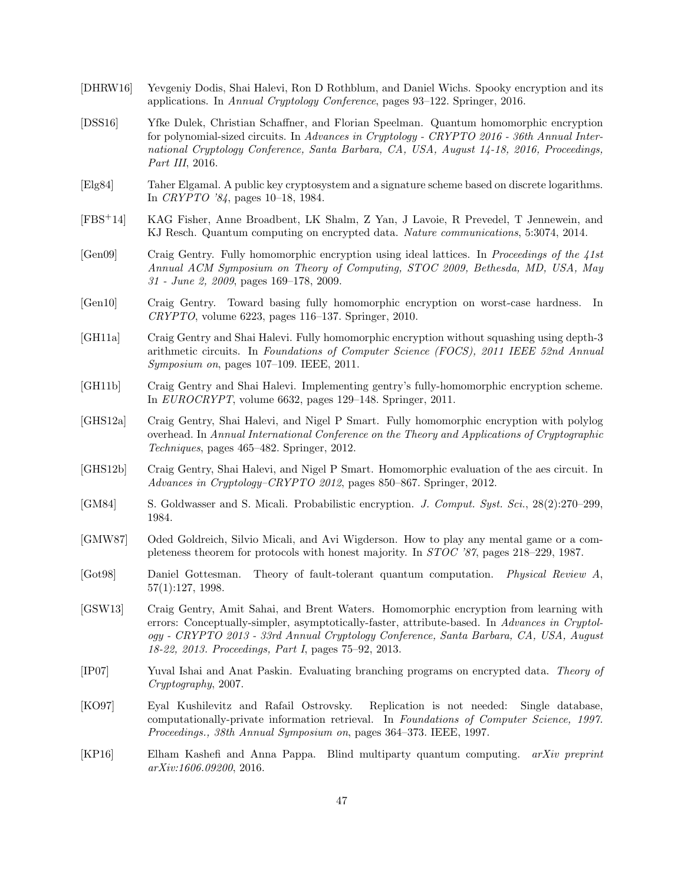- <span id="page-46-7"></span>[DHRW16] Yevgeniy Dodis, Shai Halevi, Ron D Rothblum, and Daniel Wichs. Spooky encryption and its applications. In Annual Cryptology Conference, pages 93–122. Springer, 2016.
- <span id="page-46-8"></span>[DSS16] Yfke Dulek, Christian Schaffner, and Florian Speelman. Quantum homomorphic encryption for polynomial-sized circuits. In Advances in Cryptology - CRYPTO 2016 - 36th Annual International Cryptology Conference, Santa Barbara, CA, USA, August 14-18, 2016, Proceedings, Part III, 2016.
- <span id="page-46-10"></span>[Elg84] Taher Elgamal. A public key cryptosystem and a signature scheme based on discrete logarithms. In CRYPTO '84, pages 10–18, 1984.
- <span id="page-46-13"></span>[FBS+14] KAG Fisher, Anne Broadbent, LK Shalm, Z Yan, J Lavoie, R Prevedel, T Jennewein, and KJ Resch. Quantum computing on encrypted data. Nature communications, 5:3074, 2014.
- <span id="page-46-0"></span>[Gen09] Craig Gentry. Fully homomorphic encryption using ideal lattices. In Proceedings of the 41st Annual ACM Symposium on Theory of Computing, STOC 2009, Bethesda, MD, USA, May 31 - June 2, 2009, pages 169–178, 2009.
- <span id="page-46-1"></span>[Gen10] Craig Gentry. Toward basing fully homomorphic encryption on worst-case hardness. In CRYPTO, volume 6223, pages 116–137. Springer, 2010.
- <span id="page-46-3"></span>[GH11a] Craig Gentry and Shai Halevi. Fully homomorphic encryption without squashing using depth-3 arithmetic circuits. In Foundations of Computer Science (FOCS), 2011 IEEE 52nd Annual Symposium on, pages 107–109. IEEE, 2011.
- <span id="page-46-2"></span>[GH11b] Craig Gentry and Shai Halevi. Implementing gentry's fully-homomorphic encryption scheme. In EUROCRYPT, volume 6632, pages 129–148. Springer, 2011.
- <span id="page-46-4"></span>[GHS12a] Craig Gentry, Shai Halevi, and Nigel P Smart. Fully homomorphic encryption with polylog overhead. In Annual International Conference on the Theory and Applications of Cryptographic Techniques, pages 465–482. Springer, 2012.
- <span id="page-46-5"></span>[GHS12b] Craig Gentry, Shai Halevi, and Nigel P Smart. Homomorphic evaluation of the aes circuit. In Advances in Cryptology–CRYPTO 2012, pages 850–867. Springer, 2012.
- <span id="page-46-9"></span>[GM84] S. Goldwasser and S. Micali. Probabilistic encryption. J. Comput. Syst. Sci., 28(2):270–299, 1984.
- <span id="page-46-15"></span>[GMW87] Oded Goldreich, Silvio Micali, and Avi Wigderson. How to play any mental game or a completeness theorem for protocols with honest majority. In STOC '87, pages 218–229, 1987.
- <span id="page-46-16"></span>[Got98] Daniel Gottesman. Theory of fault-tolerant quantum computation. Physical Review A, 57(1):127, 1998.
- <span id="page-46-6"></span>[GSW13] Craig Gentry, Amit Sahai, and Brent Waters. Homomorphic encryption from learning with errors: Conceptually-simpler, asymptotically-faster, attribute-based. In Advances in Cryptology - CRYPTO 2013 - 33rd Annual Cryptology Conference, Santa Barbara, CA, USA, August 18-22, 2013. Proceedings, Part I, pages 75–92, 2013.
- <span id="page-46-11"></span>[IP07] Yuval Ishai and Anat Paskin. Evaluating branching programs on encrypted data. Theory of Cryptography, 2007.
- <span id="page-46-12"></span>[KO97] Eyal Kushilevitz and Rafail Ostrovsky. Replication is not needed: Single database, computationally-private information retrieval. In Foundations of Computer Science, 1997. Proceedings., 38th Annual Symposium on, pages 364–373. IEEE, 1997.
- <span id="page-46-14"></span>[KP16] Elham Kashefi and Anna Pappa. Blind multiparty quantum computing. arXiv preprint arXiv:1606.09200, 2016.